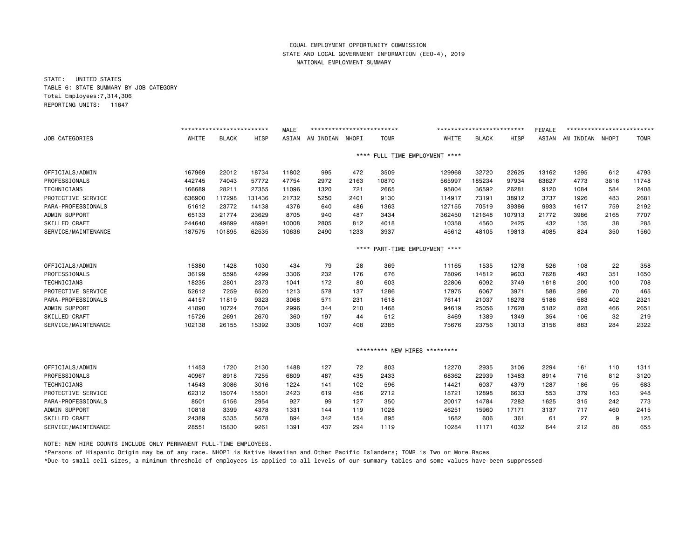STATE: UNITED STATES TABLE 6: STATE SUMMARY BY JOB CATEGORY Total Employees:7,314,306 REPORTING UNITS: 11647

|                       |        | ************************* |             | <b>MALE</b> | ************************** |       |             |                               | ************************* |        | <b>FEMALE</b> | ************************* |       |             |
|-----------------------|--------|---------------------------|-------------|-------------|----------------------------|-------|-------------|-------------------------------|---------------------------|--------|---------------|---------------------------|-------|-------------|
| <b>JOB CATEGORIES</b> | WHITE  | <b>BLACK</b>              | <b>HISP</b> | ASIAN       | AM INDIAN                  | NHOPI | <b>TOMR</b> | WHITE                         | <b>BLACK</b>              | HISP   | ASIAN         | AM INDIAN                 | NHOPI | <b>TOMR</b> |
|                       |        |                           |             |             |                            | ****  |             | FULL-TIME EMPLOYMENT ****     |                           |        |               |                           |       |             |
| OFFICIALS/ADMIN       | 167969 | 22012                     | 18734       | 11802       | 995                        | 472   | 3509        | 129968                        | 32720                     | 22625  | 13162         | 1295                      | 612   | 4793        |
| PROFESSIONALS         | 442745 | 74043                     | 57772       | 47754       | 2972                       | 2163  | 10870       | 565997                        | 185234                    | 97934  | 63627         | 4773                      | 3816  | 11748       |
| <b>TECHNICIANS</b>    | 166689 | 28211                     | 27355       | 11096       | 1320                       | 721   | 2665        | 95804                         | 36592                     | 26281  | 9120          | 1084                      | 584   | 2408        |
| PROTECTIVE SERVICE    | 636900 | 117298                    | 131436      | 21732       | 5250                       | 2401  | 9130        | 114917                        | 73191                     | 38912  | 3737          | 1926                      | 483   | 2681        |
| PARA-PROFESSIONALS    | 51612  | 23772                     | 14138       | 4376        | 640                        | 486   | 1363        | 127155                        | 70519                     | 39386  | 9933          | 1617                      | 759   | 2192        |
| ADMIN SUPPORT         | 65133  | 21774                     | 23629       | 8705        | 940                        | 487   | 3434        | 362450                        | 121648                    | 107913 | 21772         | 3986                      | 2165  | 7707        |
| <b>SKILLED CRAFT</b>  | 244640 | 49699                     | 46991       | 10008       | 2805                       | 812   | 4018        | 10358                         | 4560                      | 2425   | 432           | 135                       | 38    | 285         |
| SERVICE/MAINTENANCE   | 187575 | 101895                    | 62535       | 10636       | 2490                       | 1233  | 3937        | 45612                         | 48105                     | 19813  | 4085          | 824                       | 350   | 1560        |
|                       |        |                           |             |             |                            | ****  |             | PART-TIME EMPLOYMENT ****     |                           |        |               |                           |       |             |
| OFFICIALS/ADMIN       | 15380  | 1428                      | 1030        | 434         | 79                         | 28    | 369         | 11165                         | 1535                      | 1278   | 526           | 108                       | 22    | 358         |
| PROFESSIONALS         | 36199  | 5598                      | 4299        | 3306        | 232                        | 176   | 676         | 78096                         | 14812                     | 9603   | 7628          | 493                       | 351   | 1650        |
| TECHNICIANS           | 18235  | 2801                      | 2373        | 1041        | 172                        | 80    | 603         | 22806                         | 6092                      | 3749   | 1618          | 200                       | 100   | 708         |
| PROTECTIVE SERVICE    | 52612  | 7259                      | 6520        | 1213        | 578                        | 137   | 1286        | 17975                         | 6067                      | 3971   | 586           | 286                       | 70    | 465         |
| PARA-PROFESSIONALS    | 44157  | 11819                     | 9323        | 3068        | 571                        | 231   | 1618        | 76141                         | 21037                     | 16278  | 5186          | 583                       | 402   | 2321        |
| ADMIN SUPPORT         | 41890  | 10724                     | 7604        | 2996        | 344                        | 210   | 1468        | 94619                         | 25056                     | 17628  | 5182          | 828                       | 466   | 2651        |
| <b>SKILLED CRAFT</b>  | 15726  | 2691                      | 2670        | 360         | 197                        | 44    | 512         | 8469                          | 1389                      | 1349   | 354           | 106                       | 32    | 219         |
| SERVICE/MAINTENANCE   | 102138 | 26155                     | 15392       | 3308        | 1037                       | 408   | 2385        | 75676                         | 23756                     | 13013  | 3156          | 883                       | 284   | 2322        |
|                       |        |                           |             |             |                            |       |             | ********* NEW HIRES ********* |                           |        |               |                           |       |             |
| OFFICIALS/ADMIN       | 11453  | 1720                      | 2130        | 1488        | 127                        | 72    | 803         | 12270                         | 2935                      | 3106   | 2294          | 161                       | 110   | 1311        |
| PROFESSIONALS         | 40967  | 8918                      | 7255        | 6809        | 487                        | 435   | 2433        | 68362                         | 22939                     | 13483  | 8914          | 716                       | 812   | 3120        |
| <b>TECHNICIANS</b>    | 14543  | 3086                      | 3016        | 1224        | 141                        | 102   | 596         | 14421                         | 6037                      | 4379   | 1287          | 186                       | 95    | 683         |
| PROTECTIVE SERVICE    | 62312  | 15074                     | 15501       | 2423        | 619                        | 456   | 2712        | 18721                         | 12898                     | 6633   | 553           | 379                       | 163   | 948         |
| PARA-PROFESSIONALS    | 8501   | 5156                      | 2954        | 927         | 99                         | 127   | 350         | 20017                         | 14784                     | 7282   | 1625          | 315                       | 242   | 773         |
| ADMIN SUPPORT         | 10818  | 3399                      | 4378        | 1331        | 144                        | 119   | 1028        | 46251                         | 15960                     | 17171  | 3137          | 717                       | 460   | 2415        |
| <b>SKILLED CRAFT</b>  | 24389  | 5335                      | 5678        | 894         | 342                        | 154   | 895         | 1682                          | 606                       | 361    | 61            | 27                        | 9     | 125         |
| SERVICE/MAINTENANCE   | 28551  | 15830                     | 9261        | 1391        | 437                        | 294   | 1119        | 10284                         | 11171                     | 4032   | 644           | 212                       | 88    | 655         |

NOTE: NEW HIRE COUNTS INCLUDE ONLY PERMANENT FULL-TIME EMPLOYEES.

\*Persons of Hispanic Origin may be of any race. NHOPI is Native Hawaiian and Other Pacific Islanders; TOMR is Two or More Races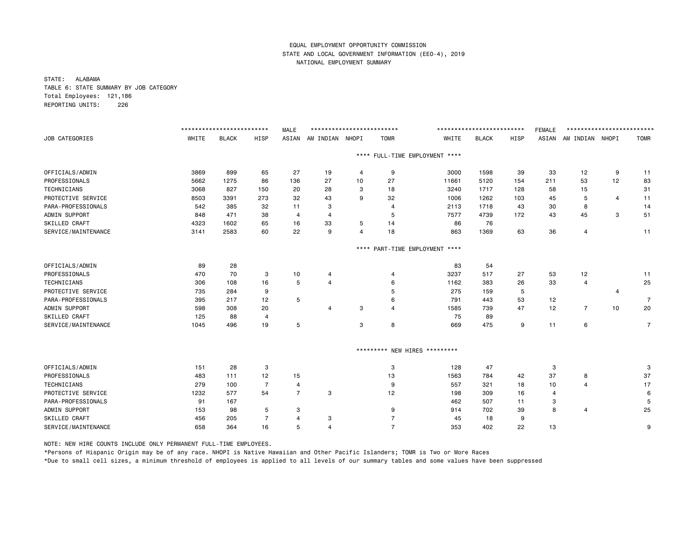STATE: ALABAMA TABLE 6: STATE SUMMARY BY JOB CATEGORY Total Employees: 121,186 REPORTING UNITS: 226

|                       |       | ************************* |                | <b>MALE</b>    | ************************** |                |                               |                                | ************************** |      | <b>FEMALE</b> | ************************* |                |                |
|-----------------------|-------|---------------------------|----------------|----------------|----------------------------|----------------|-------------------------------|--------------------------------|----------------------------|------|---------------|---------------------------|----------------|----------------|
| <b>JOB CATEGORIES</b> | WHITE | <b>BLACK</b>              | <b>HISP</b>    | ASIAN          | AM INDIAN NHOPI            |                | <b>TOMR</b>                   | WHITE                          | <b>BLACK</b>               | HISP |               | ASIAN AM INDIAN NHOPI     |                | <b>TOMR</b>    |
|                       |       |                           |                |                |                            |                |                               | **** FULL-TIME EMPLOYMENT **** |                            |      |               |                           |                |                |
| OFFICIALS/ADMIN       | 3869  | 899                       | 65             | 27             | 19                         | 4              | 9                             | 3000                           | 1598                       | 39   | 33            | 12                        | 9              | 11             |
| PROFESSIONALS         | 5662  | 1275                      | 86             | 136            | 27                         | 10             | 27                            | 11661                          | 5120                       | 154  | 211           | 53                        | 12             | 83             |
| TECHNICIANS           | 3068  | 827                       | 150            | 20             | 28                         | 3              | 18                            | 3240                           | 1717                       | 128  | 58            | 15                        |                | 31             |
| PROTECTIVE SERVICE    | 8503  | 3391                      | 273            | 32             | 43                         | 9              | 32                            | 1006                           | 1262                       | 103  | 45            | 5                         | 4              | 11             |
| PARA-PROFESSIONALS    | 542   | 385                       | 32             | 11             | 3                          |                | 4                             | 2113                           | 1718                       | 43   | 30            | 8                         |                | 14             |
| ADMIN SUPPORT         | 848   | 471                       | 38             | 4              | $\overline{4}$             |                | 5                             | 7577                           | 4739                       | 172  | 43            | 45                        | 3              | 51             |
| SKILLED CRAFT         | 4323  | 1602                      | 65             | 16             | 33                         | 5              | 14                            | 86                             | 76                         |      |               |                           |                |                |
| SERVICE/MAINTENANCE   | 3141  | 2583                      | 60             | 22             | 9                          | $\overline{4}$ | 18                            | 863                            | 1369                       | 63   | 36            | 4                         |                | 11             |
|                       |       |                           |                |                |                            | $***$ * *      |                               | PART-TIME EMPLOYMENT ****      |                            |      |               |                           |                |                |
| OFFICIALS/ADMIN       | 89    | 28                        |                |                |                            |                |                               | 83                             | 54                         |      |               |                           |                |                |
| PROFESSIONALS         | 470   | 70                        | 3              | 10             | 4                          |                | $\overline{4}$                | 3237                           | 517                        | 27   | 53            | 12                        |                | 11             |
| TECHNICIANS           | 306   | 108                       | 16             | 5              | $\overline{4}$             |                | 6                             | 1162                           | 383                        | 26   | 33            | $\overline{4}$            |                | 25             |
| PROTECTIVE SERVICE    | 735   | 284                       | 9              |                |                            |                | 5                             | 275                            | 159                        | 5    |               |                           | $\overline{4}$ |                |
| PARA-PROFESSIONALS    | 395   | 217                       | 12             | 5              |                            |                | 6                             | 791                            | 443                        | 53   | 12            |                           |                | $\overline{7}$ |
| ADMIN SUPPORT         | 598   | 308                       | 20             |                | 4                          | 3              | $\overline{4}$                | 1585                           | 739                        | 47   | 12            | $\overline{7}$            | 10             | 20             |
| SKILLED CRAFT         | 125   | 88                        | $\overline{4}$ |                |                            |                |                               | 75                             | 89                         |      |               |                           |                |                |
| SERVICE/MAINTENANCE   | 1045  | 496                       | 19             | 5              |                            | 3              | 8                             | 669                            | 475                        | 9    | 11            | 6                         |                | 7              |
|                       |       |                           |                |                |                            |                | ********* NEW HIRES ********* |                                |                            |      |               |                           |                |                |
| OFFICIALS/ADMIN       | 151   | 28                        | 3              |                |                            |                | 3                             | 128                            | 47                         |      | 3             |                           |                | 3              |
| PROFESSIONALS         | 483   | 111                       | 12             | 15             |                            |                | 13                            | 1563                           | 784                        | 42   | 37            | 8                         |                | 37             |
| <b>TECHNICIANS</b>    | 279   | 100                       | $\overline{7}$ | $\overline{4}$ |                            |                | 9                             | 557                            | 321                        | 18   | 10            | $\overline{4}$            |                | 17             |
| PROTECTIVE SERVICE    | 1232  | 577                       | 54             | $\overline{7}$ | 3                          |                | 12                            | 198                            | 309                        | 16   | 4             |                           |                | 6              |
| PARA-PROFESSIONALS    | 91    | 167                       |                |                |                            |                |                               | 462                            | 507                        | 11   | 3             |                           |                | 5              |
| ADMIN SUPPORT         | 153   | 98                        | 5              | 3              |                            |                | 9                             | 914                            | 702                        | 39   | 8             | 4                         |                | 25             |
| <b>SKILLED CRAFT</b>  | 456   | 205                       | -7             | 4              | 3                          |                | 7                             | 45                             | 18                         | 9    |               |                           |                |                |
| SERVICE/MAINTENANCE   | 658   | 364                       | 16             | 5              | $\overline{4}$             |                | $\overline{7}$                | 353                            | 402                        | 22   | 13            |                           |                | 9              |

NOTE: NEW HIRE COUNTS INCLUDE ONLY PERMANENT FULL-TIME EMPLOYEES.

\*Persons of Hispanic Origin may be of any race. NHOPI is Native Hawaiian and Other Pacific Islanders; TOMR is Two or More Races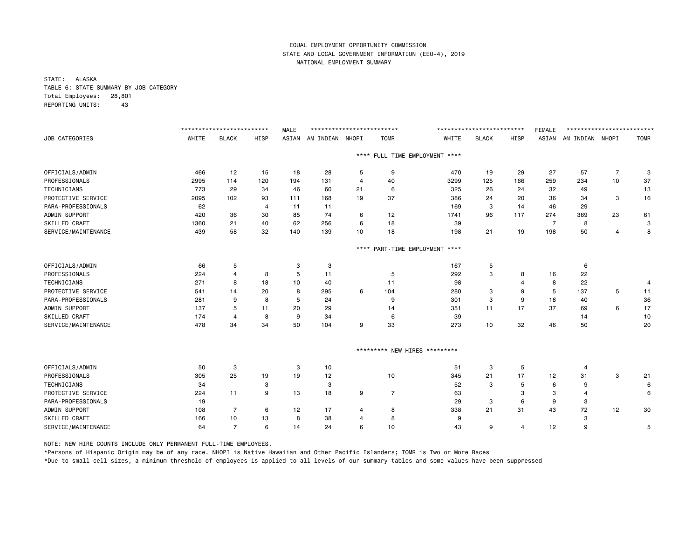STATE: ALASKA TABLE 6: STATE SUMMARY BY JOB CATEGORY Total Employees: 28,801 REPORTING UNITS: 43

|                      |       | ************************** |                | <b>MALE</b> | ************************** |                |                |                                | ************************** |                | <b>FEMALE</b>  | ************************** |                |             |
|----------------------|-------|----------------------------|----------------|-------------|----------------------------|----------------|----------------|--------------------------------|----------------------------|----------------|----------------|----------------------------|----------------|-------------|
| JOB CATEGORIES       | WHITE | <b>BLACK</b>               | HISP           | ASIAN       | AM INDIAN NHOPI            |                | <b>TOMR</b>    | WHITE                          | <b>BLACK</b>               | HISP           | ASIAN          | AM INDIAN NHOPI            |                | <b>TOMR</b> |
|                      |       |                            |                |             |                            |                |                | **** FULL-TIME EMPLOYMENT **** |                            |                |                |                            |                |             |
| OFFICIALS/ADMIN      | 466   | 12                         | 15             | 18          | 28                         | 5              | 9              | 470                            | 19                         | 29             | 27             | 57                         | $\overline{7}$ | 3           |
| PROFESSIONALS        | 2995  | 114                        | 120            | 194         | 131                        | $\overline{4}$ | 40             | 3299                           | 125                        | 166            | 259            | 234                        | 10             | 37          |
| TECHNICIANS          | 773   | 29                         | 34             | 46          | 60                         | 21             | 6              | 325                            | 26                         | 24             | 32             | 49                         |                | 13          |
| PROTECTIVE SERVICE   | 2095  | 102                        | 93             | 111         | 168                        | 19             | 37             | 386                            | 24                         | 20             | 36             | 34                         | 3              | 16          |
| PARA-PROFESSIONALS   | 62    |                            | $\overline{4}$ | 11          | 11                         |                |                | 169                            | 3                          | 14             | 46             | 29                         |                |             |
| ADMIN SUPPORT        | 420   | 36                         | 30             | 85          | 74                         | 6              | 12             | 1741                           | 96                         | 117            | 274            | 369                        | 23             | 61          |
| SKILLED CRAFT        | 1360  | 21                         | 40             | 62          | 256                        | 6              | 18             | 39                             |                            |                | $\overline{7}$ | 8                          |                | 3           |
| SERVICE/MAINTENANCE  | 439   | 58                         | 32             | 140         | 139                        | 10             | 18             | 198                            | 21                         | 19             | 198            | 50                         | 4              | 8           |
|                      |       |                            |                |             |                            | $***$ * *      |                | PART-TIME EMPLOYMENT ****      |                            |                |                |                            |                |             |
| OFFICIALS/ADMIN      | 66    | 5                          |                | 3           | 3                          |                |                | 167                            | 5                          |                |                | 6                          |                |             |
| PROFESSIONALS        | 224   | 4                          | 8              | 5           | 11                         |                | 5              | 292                            | 3                          | 8              | 16             | 22                         |                |             |
| <b>TECHNICIANS</b>   | 271   | 8                          | 18             | 10          | 40                         |                | 11             | 98                             |                            | 4              | 8              | 22                         |                | 4           |
| PROTECTIVE SERVICE   | 541   | 14                         | 20             | 8           | 295                        | 6              | 104            | 280                            | 3                          | 9              | 5              | 137                        | 5              | 11          |
| PARA-PROFESSIONALS   | 281   | 9                          | 8              | 5           | 24                         |                | 9              | 301                            | 3                          | 9              | 18             | 40                         |                | 36          |
| ADMIN SUPPORT        | 137   | 5                          | 11             | 20          | 29                         |                | 14             | 351                            | 11                         | 17             | 37             | 69                         | 6              | 17          |
| SKILLED CRAFT        | 174   | 4                          | 8              | 9           | 34                         |                | 6              | 39                             |                            |                |                | 14                         |                | 10          |
| SERVICE/MAINTENANCE  | 478   | 34                         | 34             | 50          | 104                        | 9              | 33             | 273                            | 10                         | 32             | 46             | 50                         |                | 20          |
|                      |       |                            |                |             |                            |                |                | ********* NEW HIRES *********  |                            |                |                |                            |                |             |
| OFFICIALS/ADMIN      | 50    | 3                          |                | 3           | 10                         |                |                | 51                             | 3                          | 5              |                | $\overline{4}$             |                |             |
| PROFESSIONALS        | 305   | 25                         | 19             | 19          | 12                         |                | 10             | 345                            | 21                         | 17             | 12             | 31                         | 3              | 21          |
| <b>TECHNICIANS</b>   | 34    |                            | 3              |             | 3                          |                |                | 52                             | 3                          | 5              | 6              | 9                          |                | 6           |
| PROTECTIVE SERVICE   | 224   | 11                         | 9              | 13          | 18                         | 9              | $\overline{7}$ | 63                             |                            | 3              | 3              | $\overline{4}$             |                | 6           |
| PARA-PROFESSIONALS   | 19    |                            |                |             |                            |                |                | 29                             | 3                          | 6              | 9              | 3                          |                |             |
| ADMIN SUPPORT        | 108   | 7                          | 6              | 12          | 17                         | 4              | 8              | 338                            | 21                         | 31             | 43             | 72                         | 12             | 30          |
| <b>SKILLED CRAFT</b> | 166   | 10                         | 13             | 8           | 38                         | 4              | 8              | 9                              |                            |                |                | 3                          |                |             |
| SERVICE/MAINTENANCE  | 64    | $\overline{7}$             | 6              | 14          | 24                         | 6              | 10             | 43                             | 9                          | $\overline{4}$ | 12             | 9                          |                | 5           |

NOTE: NEW HIRE COUNTS INCLUDE ONLY PERMANENT FULL-TIME EMPLOYEES.

\*Persons of Hispanic Origin may be of any race. NHOPI is Native Hawaiian and Other Pacific Islanders; TOMR is Two or More Races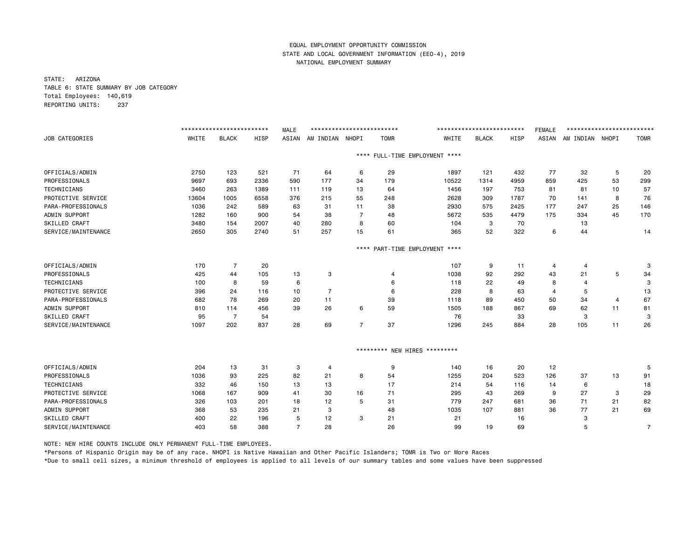STATE: ARIZONA TABLE 6: STATE SUMMARY BY JOB CATEGORY Total Employees: 140,619 REPORTING UNITS: 237

|                      |       | ************************* |      | <b>MALE</b>    | ************************** |                |             |                               | ************************* |      | <b>FEMALE</b> | ************************* |                |             |
|----------------------|-------|---------------------------|------|----------------|----------------------------|----------------|-------------|-------------------------------|---------------------------|------|---------------|---------------------------|----------------|-------------|
| JOB CATEGORIES       | WHITE | <b>BLACK</b>              | HISP | ASIAN          | AM INDIAN NHOPI            |                | <b>TOMR</b> | WHITE                         | <b>BLACK</b>              | HISP | ASIAN         | AM INDIAN NHOPI           |                | <b>TOMR</b> |
|                      |       |                           |      |                |                            | $***$ * *      |             | FULL-TIME EMPLOYMENT ****     |                           |      |               |                           |                |             |
| OFFICIALS/ADMIN      | 2750  | 123                       | 521  | 71             | 64                         | 6              | 29          | 1897                          | 121                       | 432  | 77            | 32                        | 5              | 20          |
| PROFESSIONALS        | 9697  | 693                       | 2336 | 590            | 177                        | 34             | 179         | 10522                         | 1314                      | 4959 | 859           | 425                       | 53             | 299         |
| <b>TECHNICIANS</b>   | 3460  | 263                       | 1389 | 111            | 119                        | 13             | 64          | 1456                          | 197                       | 753  | 81            | 81                        | 10             | 57          |
| PROTECTIVE SERVICE   | 13604 | 1005                      | 6558 | 376            | 215                        | 55             | 248         | 2628                          | 309                       | 1787 | 70            | 141                       | 8              | 76          |
| PARA-PROFESSIONALS   | 1036  | 242                       | 589  | 63             | 31                         | 11             | 38          | 2930                          | 575                       | 2425 | 177           | 247                       | 25             | 146         |
| ADMIN SUPPORT        | 1282  | 160                       | 900  | 54             | 38                         | $\overline{7}$ | 48          | 5672                          | 535                       | 4479 | 175           | 334                       | 45             | 170         |
| SKILLED CRAFT        | 3480  | 154                       | 2007 | 40             | 280                        | 8              | 60          | 104                           | 3                         | 70   |               | 13                        |                |             |
| SERVICE/MAINTENANCE  | 2650  | 305                       | 2740 | 51             | 257                        | 15             | 61          | 365                           | 52                        | 322  | 6             | 44                        |                | 14          |
|                      |       |                           |      |                |                            | $***$ * *      |             | PART-TIME EMPLOYMENT ****     |                           |      |               |                           |                |             |
| OFFICIALS/ADMIN      | 170   | $\overline{7}$            | 20   |                |                            |                |             | 107                           | 9                         | 11   | 4             | 4                         |                | 3           |
| PROFESSIONALS        | 425   | 44                        | 105  | 13             | 3                          |                | 4           | 1038                          | 92                        | 292  | 43            | 21                        | 5              | 34          |
| <b>TECHNICIANS</b>   | 100   | 8                         | 59   | 6              |                            |                | 6           | 118                           | 22                        | 49   | 8             | 4                         |                | 3           |
| PROTECTIVE SERVICE   | 396   | 24                        | 116  | 10             | $\overline{7}$             |                | 6           | 228                           | 8                         | 63   | 4             | 5                         |                | 13          |
| PARA-PROFESSIONALS   | 682   | 78                        | 269  | 20             | 11                         |                | 39          | 1118                          | 89                        | 450  | 50            | 34                        | $\overline{4}$ | 67          |
| ADMIN SUPPORT        | 810   | 114                       | 456  | 39             | 26                         | 6              | 59          | 1505                          | 188                       | 867  | 69            | 62                        | 11             | 81          |
| SKILLED CRAFT        | 95    | $\overline{7}$            | 54   |                |                            |                |             | 76                            |                           | 33   |               | 3                         |                | 3           |
| SERVICE/MAINTENANCE  | 1097  | 202                       | 837  | 28             | 69                         | $\overline{7}$ | 37          | 1296                          | 245                       | 884  | 28            | 105                       | 11             | 26          |
|                      |       |                           |      |                |                            |                |             | ********* NEW HIRES ********* |                           |      |               |                           |                |             |
| OFFICIALS/ADMIN      | 204   | 13                        | 31   | 3              | 4                          |                | 9           | 140                           | 16                        | 20   | 12            |                           |                | 5           |
| PROFESSIONALS        | 1036  | 93                        | 225  | 82             | 21                         | 8              | 54          | 1255                          | 204                       | 523  | 126           | 37                        | 13             | 91          |
| <b>TECHNICIANS</b>   | 332   | 46                        | 150  | 13             | 13                         |                | 17          | 214                           | 54                        | 116  | 14            | 6                         |                | 18          |
| PROTECTIVE SERVICE   | 1068  | 167                       | 909  | 41             | 30                         | 16             | 71          | 295                           | 43                        | 269  | 9             | 27                        | 3              | 29          |
| PARA-PROFESSIONALS   | 326   | 103                       | 201  | 18             | 12                         | 5              | 31          | 779                           | 247                       | 681  | 36            | 71                        | 21             | 82          |
| ADMIN SUPPORT        | 368   | 53                        | 235  | 21             | 3                          |                | 48          | 1035                          | 107                       | 881  | 36            | 77                        | 21             | 69          |
| <b>SKILLED CRAFT</b> | 400   | 22                        | 196  | 5              | 12                         | 3              | 21          | 21                            |                           | 16   |               | 3                         |                |             |
| SERVICE/MAINTENANCE  | 403   | 58                        | 388  | $\overline{7}$ | 28                         |                | 26          | 99                            | 19                        | 69   |               | 5                         |                | 7           |

NOTE: NEW HIRE COUNTS INCLUDE ONLY PERMANENT FULL-TIME EMPLOYEES.

\*Persons of Hispanic Origin may be of any race. NHOPI is Native Hawaiian and Other Pacific Islanders; TOMR is Two or More Races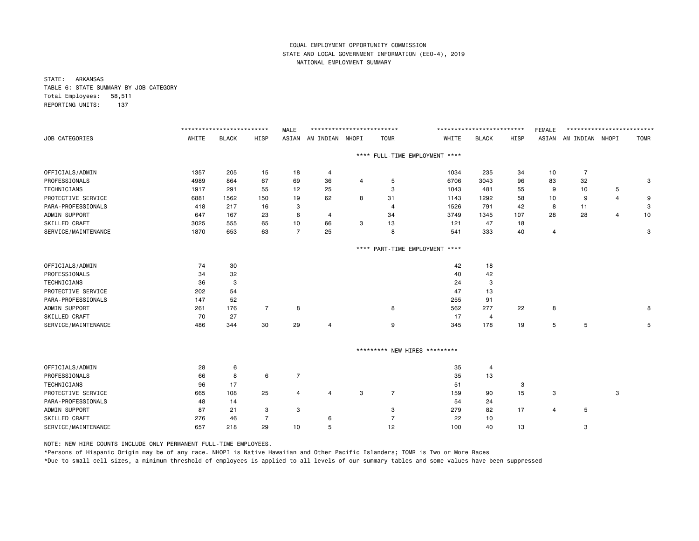STATE: ARKANSAS TABLE 6: STATE SUMMARY BY JOB CATEGORY Total Employees: 58,511 REPORTING UNITS: 137

|                       |       | ************************* |                | <b>MALE</b>    | ************************** |   |                               |                                | ************************** |      | <b>FEMALE</b> | ************************** |                |             |
|-----------------------|-------|---------------------------|----------------|----------------|----------------------------|---|-------------------------------|--------------------------------|----------------------------|------|---------------|----------------------------|----------------|-------------|
| <b>JOB CATEGORIES</b> | WHITE | <b>BLACK</b>              | <b>HISP</b>    | ASIAN          | AM INDIAN NHOPI            |   | <b>TOMR</b>                   | WHITE                          | <b>BLACK</b>               | HISP |               | ASIAN AM INDIAN NHOPI      |                | <b>TOMR</b> |
|                       |       |                           |                |                |                            |   |                               | **** FULL-TIME EMPLOYMENT **** |                            |      |               |                            |                |             |
| OFFICIALS/ADMIN       | 1357  | 205                       | 15             | 18             | 4                          |   |                               | 1034                           | 235                        | 34   | 10            | $\overline{7}$             |                |             |
| PROFESSIONALS         | 4989  | 864                       | 67             | 69             | 36                         | 4 | 5                             | 6706                           | 3043                       | 96   | 83            | 32                         |                | 3           |
| TECHNICIANS           | 1917  | 291                       | 55             | 12             | 25                         |   | 3                             | 1043                           | 481                        | 55   | 9             | 10                         | 5              |             |
| PROTECTIVE SERVICE    | 6881  | 1562                      | 150            | 19             | 62                         | 8 | 31                            | 1143                           | 1292                       | 58   | 10            | 9                          | $\overline{4}$ | 9           |
| PARA-PROFESSIONALS    | 418   | 217                       | 16             | 3              |                            |   | 4                             | 1526                           | 791                        | 42   | 8             | 11                         |                | 3           |
| ADMIN SUPPORT         | 647   | 167                       | 23             | 6              | 4                          |   | 34                            | 3749                           | 1345                       | 107  | 28            | 28                         | 4              | 10          |
| SKILLED CRAFT         | 3025  | 555                       | 65             | 10             | 66                         | 3 | 13                            | 121                            | 47                         | 18   |               |                            |                |             |
| SERVICE/MAINTENANCE   | 1870  | 653                       | 63             | $\overline{7}$ | 25                         |   | 8                             | 541                            | 333                        | 40   | 4             |                            |                | 3           |
|                       |       |                           |                |                |                            |   |                               | **** PART-TIME EMPLOYMENT **** |                            |      |               |                            |                |             |
| OFFICIALS/ADMIN       | 74    | 30                        |                |                |                            |   |                               | 42                             | 18                         |      |               |                            |                |             |
| PROFESSIONALS         | 34    | 32                        |                |                |                            |   |                               | 40                             | 42                         |      |               |                            |                |             |
| TECHNICIANS           | 36    | 3                         |                |                |                            |   |                               | 24                             | 3                          |      |               |                            |                |             |
| PROTECTIVE SERVICE    | 202   | 54                        |                |                |                            |   |                               | 47                             | 13                         |      |               |                            |                |             |
| PARA-PROFESSIONALS    | 147   | 52                        |                |                |                            |   |                               | 255                            | 91                         |      |               |                            |                |             |
| ADMIN SUPPORT         | 261   | 176                       | $\overline{7}$ | 8              |                            |   | 8                             | 562                            | 277                        | 22   | 8             |                            |                | 8           |
| SKILLED CRAFT         | 70    | 27                        |                |                |                            |   |                               | 17                             | 4                          |      |               |                            |                |             |
| SERVICE/MAINTENANCE   | 486   | 344                       | 30             | 29             | 4                          |   | 9                             | 345                            | 178                        | 19   | 5             | 5                          |                | 5           |
|                       |       |                           |                |                |                            |   | ********* NEW HIRES ********* |                                |                            |      |               |                            |                |             |
| OFFICIALS/ADMIN       | 28    | 6                         |                |                |                            |   |                               | 35                             | 4                          |      |               |                            |                |             |
| PROFESSIONALS         | 66    | 8                         | 6              | $\overline{7}$ |                            |   |                               | 35                             | 13                         |      |               |                            |                |             |
| TECHNICIANS           | 96    | 17                        |                |                |                            |   |                               | 51                             |                            | 3    |               |                            |                |             |
| PROTECTIVE SERVICE    | 665   | 108                       | 25             | 4              | $\overline{4}$             | 3 | $\overline{7}$                | 159                            | 90                         | 15   | 3             |                            | 3              |             |
| PARA-PROFESSIONALS    | 48    | 14                        |                |                |                            |   |                               | 54                             | 24                         |      |               |                            |                |             |
| ADMIN SUPPORT         | 87    | 21                        | 3              | 3              |                            |   | 3                             | 279                            | 82                         | 17   | 4             | 5                          |                |             |
| SKILLED CRAFT         | 276   | 46                        | -7             |                | 6                          |   | $\overline{7}$                | 22                             | 10                         |      |               |                            |                |             |
| SERVICE/MAINTENANCE   | 657   | 218                       | 29             | 10             | 5                          |   | 12                            | 100                            | 40                         | 13   |               | 3                          |                |             |

NOTE: NEW HIRE COUNTS INCLUDE ONLY PERMANENT FULL-TIME EMPLOYEES.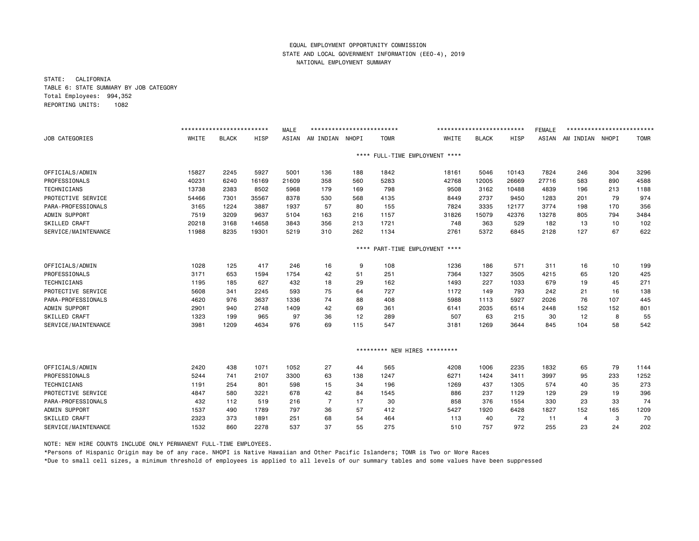STATE: CALIFORNIA TABLE 6: STATE SUMMARY BY JOB CATEGORY Total Employees: 994,352 REPORTING UNITS: 1082

|                     |       | ************************* |       | <b>MALE</b> | ************************* |           |             |                               | ************************* |       | <b>FEMALE</b> | ************************* |     |             |
|---------------------|-------|---------------------------|-------|-------------|---------------------------|-----------|-------------|-------------------------------|---------------------------|-------|---------------|---------------------------|-----|-------------|
| JOB CATEGORIES      | WHITE | <b>BLACK</b>              | HISP  | ASIAN       | AM INDIAN NHOPI           |           | <b>TOMR</b> | WHITE                         | <b>BLACK</b>              | HISP  | ASIAN         | AM INDIAN NHOPI           |     | <b>TOMR</b> |
|                     |       |                           |       |             |                           | ****      |             | FULL-TIME EMPLOYMENT ****     |                           |       |               |                           |     |             |
| OFFICIALS/ADMIN     | 15827 | 2245                      | 5927  | 5001        | 136                       | 188       | 1842        | 18161                         | 5046                      | 10143 | 7824          | 246                       | 304 | 3296        |
| PROFESSIONALS       | 40231 | 6240                      | 16169 | 21609       | 358                       | 560       | 5283        | 42768                         | 12005                     | 26669 | 27716         | 583                       | 890 | 4588        |
| TECHNICIANS         | 13738 | 2383                      | 8502  | 5968        | 179                       | 169       | 798         | 9508                          | 3162                      | 10488 | 4839          | 196                       | 213 | 1188        |
| PROTECTIVE SERVICE  | 54466 | 7301                      | 35567 | 8378        | 530                       | 568       | 4135        | 8449                          | 2737                      | 9450  | 1283          | 201                       | 79  | 974         |
| PARA-PROFESSIONALS  | 3165  | 1224                      | 3887  | 1937        | 57                        | 80        | 155         | 7824                          | 3335                      | 12177 | 3774          | 198                       | 170 | 356         |
| ADMIN SUPPORT       | 7519  | 3209                      | 9637  | 5104        | 163                       | 216       | 1157        | 31826                         | 15079                     | 42376 | 13278         | 805                       | 794 | 3484        |
| SKILLED CRAFT       | 20218 | 3168                      | 14658 | 3843        | 356                       | 213       | 1721        | 748                           | 363                       | 529   | 182           | 13                        | 10  | 102         |
| SERVICE/MAINTENANCE | 11988 | 8235                      | 19301 | 5219        | 310                       | 262       | 1134        | 2761                          | 5372                      | 6845  | 2128          | 127                       | 67  | 622         |
|                     |       |                           |       |             |                           | $***$ * * |             | PART-TIME EMPLOYMENT ****     |                           |       |               |                           |     |             |
| OFFICIALS/ADMIN     | 1028  | 125                       | 417   | 246         | 16                        | 9         | 108         | 1236                          | 186                       | 571   | 311           | 16                        | 10  | 199         |
| PROFESSIONALS       | 3171  | 653                       | 1594  | 1754        | 42                        | 51        | 251         | 7364                          | 1327                      | 3505  | 4215          | 65                        | 120 | 425         |
| TECHNICIANS         | 1195  | 185                       | 627   | 432         | 18                        | 29        | 162         | 1493                          | 227                       | 1033  | 679           | 19                        | 45  | 271         |
| PROTECTIVE SERVICE  | 5608  | 341                       | 2245  | 593         | 75                        | 64        | 727         | 1172                          | 149                       | 793   | 242           | 21                        | 16  | 138         |
| PARA-PROFESSIONALS  | 4620  | 976                       | 3637  | 1336        | 74                        | 88        | 408         | 5988                          | 1113                      | 5927  | 2026          | 76                        | 107 | 445         |
| ADMIN SUPPORT       | 2901  | 940                       | 2748  | 1409        | 42                        | 69        | 361         | 6141                          | 2035                      | 6514  | 2448          | 152                       | 152 | 801         |
| SKILLED CRAFT       | 1323  | 199                       | 965   | 97          | 36                        | 12        | 289         | 507                           | 63                        | 215   | 30            | 12                        | 8   | 55          |
| SERVICE/MAINTENANCE | 3981  | 1209                      | 4634  | 976         | 69                        | 115       | 547         | 3181                          | 1269                      | 3644  | 845           | 104                       | 58  | 542         |
|                     |       |                           |       |             |                           |           |             | ********* NEW HIRES ********* |                           |       |               |                           |     |             |
| OFFICIALS/ADMIN     | 2420  | 438                       | 1071  | 1052        | 27                        | 44        | 565         | 4208                          | 1006                      | 2235  | 1832          | 65                        | 79  | 1144        |
| PROFESSIONALS       | 5244  | 741                       | 2107  | 3300        | 63                        | 138       | 1247        | 6271                          | 1424                      | 3411  | 3997          | 95                        | 233 | 1252        |
| TECHNICIANS         | 1191  | 254                       | 801   | 598         | 15                        | 34        | 196         | 1269                          | 437                       | 1305  | 574           | 40                        | 35  | 273         |
| PROTECTIVE SERVICE  | 4847  | 580                       | 3221  | 678         | 42                        | 84        | 1545        | 886                           | 237                       | 1129  | 129           | 29                        | 19  | 396         |
| PARA-PROFESSIONALS  | 432   | 112                       | 519   | 216         | 7                         | 17        | 30          | 858                           | 376                       | 1554  | 330           | 23                        | 33  | 74          |
| ADMIN SUPPORT       | 1537  | 490                       | 1789  | 797         | 36                        | 57        | 412         | 5427                          | 1920                      | 6428  | 1827          | 152                       | 165 | 1209        |
| SKILLED CRAFT       | 2323  | 373                       | 1891  | 251         | 68                        | 54        | 464         | 113                           | 40                        | 72    | 11            | 4                         | 3   | 70          |
| SERVICE/MAINTENANCE | 1532  | 860                       | 2278  | 537         | 37                        | 55        | 275         | 510                           | 757                       | 972   | 255           | 23                        | 24  | 202         |

NOTE: NEW HIRE COUNTS INCLUDE ONLY PERMANENT FULL-TIME EMPLOYEES.

\*Persons of Hispanic Origin may be of any race. NHOPI is Native Hawaiian and Other Pacific Islanders; TOMR is Two or More Races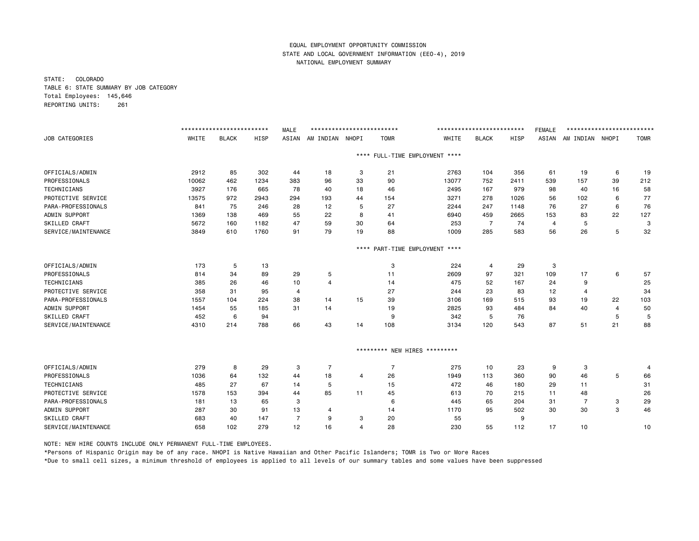STATE: COLORADO TABLE 6: STATE SUMMARY BY JOB CATEGORY Total Employees: 145,646 REPORTING UNITS: 261

|                       |       | ************************** |             | <b>MALE</b>    | ************************** |           |                |                                | ************************* |      | <b>FEMALE</b> | ************************** |                |             |
|-----------------------|-------|----------------------------|-------------|----------------|----------------------------|-----------|----------------|--------------------------------|---------------------------|------|---------------|----------------------------|----------------|-------------|
| <b>JOB CATEGORIES</b> | WHITE | <b>BLACK</b>               | <b>HISP</b> | ASIAN          | AM INDIAN NHOPI            |           | <b>TOMR</b>    | WHITE                          | <b>BLACK</b>              | HISP | ASIAN         | AM INDIAN NHOPI            |                | <b>TOMR</b> |
|                       |       |                            |             |                |                            |           |                | **** FULL-TIME EMPLOYMENT **** |                           |      |               |                            |                |             |
| OFFICIALS/ADMIN       | 2912  | 85                         | 302         | 44             | 18                         | 3         | 21             | 2763                           | 104                       | 356  | 61            | 19                         | 6              | 19          |
| PROFESSIONALS         | 10062 | 462                        | 1234        | 383            | 96                         | 33        | 90             | 13077                          | 752                       | 2411 | 539           | 157                        | 39             | 212         |
| TECHNICIANS           | 3927  | 176                        | 665         | 78             | 40                         | 18        | 46             | 2495                           | 167                       | 979  | 98            | 40                         | 16             | 58          |
| PROTECTIVE SERVICE    | 13575 | 972                        | 2943        | 294            | 193                        | 44        | 154            | 3271                           | 278                       | 1026 | 56            | 102                        | 6              | 77          |
| PARA-PROFESSIONALS    | 841   | 75                         | 246         | 28             | 12                         | 5         | 27             | 2244                           | 247                       | 1148 | 76            | 27                         | 6              | 76          |
| ADMIN SUPPORT         | 1369  | 138                        | 469         | 55             | 22                         | 8         | 41             | 6940                           | 459                       | 2665 | 153           | 83                         | 22             | 127         |
| SKILLED CRAFT         | 5672  | 160                        | 1182        | 47             | 59                         | 30        | 64             | 253                            | $\overline{7}$            | 74   | 4             | 5                          |                | 3           |
| SERVICE/MAINTENANCE   | 3849  | 610                        | 1760        | 91             | 79                         | 19        | 88             | 1009                           | 285                       | 583  | 56            | 26                         | 5              | 32          |
|                       |       |                            |             |                |                            | $***$ * * |                | PART-TIME EMPLOYMENT ****      |                           |      |               |                            |                |             |
| OFFICIALS/ADMIN       | 173   | 5                          | 13          |                |                            |           | 3              | 224                            | 4                         | 29   | 3             |                            |                |             |
| PROFESSIONALS         | 814   | 34                         | 89          | 29             | 5                          |           | 11             | 2609                           | 97                        | 321  | 109           | 17                         | 6              | 57          |
| TECHNICIANS           | 385   | 26                         | 46          | 10             | $\overline{4}$             |           | 14             | 475                            | 52                        | 167  | 24            | 9                          |                | 25          |
| PROTECTIVE SERVICE    | 358   | 31                         | 95          | 4              |                            |           | 27             | 244                            | 23                        | 83   | 12            | $\overline{4}$             |                | 34          |
| PARA-PROFESSIONALS    | 1557  | 104                        | 224         | 38             | 14                         | 15        | 39             | 3106                           | 169                       | 515  | 93            | 19                         | 22             | 103         |
| ADMIN SUPPORT         | 1454  | 55                         | 185         | 31             | 14                         |           | 19             | 2825                           | 93                        | 484  | 84            | 40                         | $\overline{4}$ | 50          |
| SKILLED CRAFT         | 452   | 6                          | 94          |                |                            |           | 9              | 342                            | 5                         | 76   |               |                            | 5              | 5           |
| SERVICE/MAINTENANCE   | 4310  | 214                        | 788         | 66             | 43                         | 14        | 108            | 3134                           | 120                       | 543  | 87            | 51                         | 21             | 88          |
|                       |       |                            |             |                |                            |           |                | ********* NEW HIRES *********  |                           |      |               |                            |                |             |
| OFFICIALS/ADMIN       | 279   | 8                          | 29          | 3              | 7                          |           | $\overline{7}$ | 275                            | 10                        | 23   | 9             | 3                          |                | 4           |
| PROFESSIONALS         | 1036  | 64                         | 132         | 44             | 18                         | 4         | 26             | 1949                           | 113                       | 360  | 90            | 46                         | 5              | 66          |
| TECHNICIANS           | 485   | 27                         | 67          | 14             | 5                          |           | 15             | 472                            | 46                        | 180  | 29            | 11                         |                | 31          |
| PROTECTIVE SERVICE    | 1578  | 153                        | 394         | 44             | 85                         | 11        | 45             | 613                            | 70                        | 215  | 11            | 48                         |                | 26          |
| PARA-PROFESSIONALS    | 181   | 13                         | 65          | 3              |                            |           | 6              | 445                            | 65                        | 204  | 31            | $\overline{7}$             | 3              | 29          |
| ADMIN SUPPORT         | 287   | 30                         | 91          | 13             | 4                          |           | 14             | 1170                           | 95                        | 502  | 30            | 30                         | 3              | 46          |
| <b>SKILLED CRAFT</b>  | 683   | 40                         | 147         | $\overline{7}$ | 9                          | 3         | 20             | 55                             |                           | 9    |               |                            |                |             |
| SERVICE/MAINTENANCE   | 658   | 102                        | 279         | 12             | 16                         | 4         | 28             | 230                            | 55                        | 112  | 17            | 10                         |                | 10          |

NOTE: NEW HIRE COUNTS INCLUDE ONLY PERMANENT FULL-TIME EMPLOYEES.

\*Persons of Hispanic Origin may be of any race. NHOPI is Native Hawaiian and Other Pacific Islanders; TOMR is Two or More Races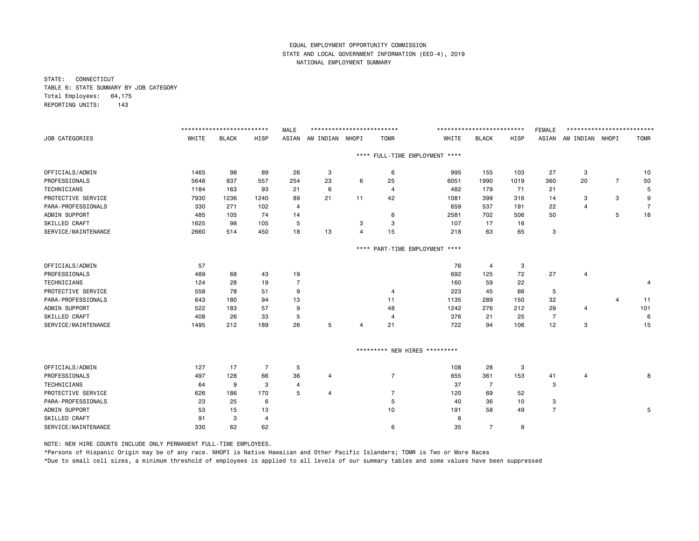STATE: CONNECTICUT TABLE 6: STATE SUMMARY BY JOB CATEGORY Total Employees: 64,175 REPORTING UNITS: 143

|                       |       | ************************** |      | <b>MALE</b>    | ************************** |                |                               |                                | ************************** |      | <b>FEMALE</b>  | ************************** |                |                |
|-----------------------|-------|----------------------------|------|----------------|----------------------------|----------------|-------------------------------|--------------------------------|----------------------------|------|----------------|----------------------------|----------------|----------------|
| <b>JOB CATEGORIES</b> | WHITE | <b>BLACK</b>               | HISP | ASIAN          | AM INDIAN NHOPI            |                | <b>TOMR</b>                   | WHITE                          | <b>BLACK</b>               | HISP |                | ASIAN AM INDIAN NHOPI      |                | <b>TOMR</b>    |
|                       |       |                            |      |                |                            |                |                               | **** FULL-TIME EMPLOYMENT **** |                            |      |                |                            |                |                |
| OFFICIALS/ADMIN       | 1465  | 98                         | 89   | 26             | 3                          |                | 6                             | 995                            | 155                        | 103  | 27             | 3                          |                | 10             |
| PROFESSIONALS         | 5648  | 837                        | 557  | 254            | 23                         | 6              | 25                            | 6051                           | 1990                       | 1019 | 360            | 20                         | $\overline{7}$ | 50             |
| <b>TECHNICIANS</b>    | 1184  | 163                        | 93   | 21             | 6                          |                | 4                             | 482                            | 179                        | 71   | 21             |                            |                | 5              |
| PROTECTIVE SERVICE    | 7930  | 1236                       | 1240 | 89             | 21                         | 11             | 42                            | 1081                           | 399                        | 316  | 14             | 3                          | 3              | 9              |
| PARA-PROFESSIONALS    | 330   | 271                        | 102  | 4              |                            |                |                               | 659                            | 537                        | 191  | 22             | $\overline{4}$             |                | $\overline{7}$ |
| ADMIN SUPPORT         | 485   | 105                        | 74   | 14             |                            |                | 6                             | 2581                           | 702                        | 506  | 50             |                            | 5              | 18             |
| SKILLED CRAFT         | 1625  | 98                         | 105  | 5              |                            | 3              | 3                             | 107                            | 17                         | 16   |                |                            |                |                |
| SERVICE/MAINTENANCE   | 2660  | 514                        | 450  | 18             | 13                         | $\overline{4}$ | 15                            | 218                            | 63                         | 65   | 3              |                            |                |                |
|                       |       |                            |      |                |                            |                |                               | **** PART-TIME EMPLOYMENT **** |                            |      |                |                            |                |                |
| OFFICIALS/ADMIN       | 57    |                            |      |                |                            |                |                               | 76                             | 4                          | 3    |                |                            |                |                |
| PROFESSIONALS         | 489   | 68                         | 43   | 19             |                            |                |                               | 692                            | 125                        | 72   | 27             | 4                          |                |                |
| TECHNICIANS           | 124   | 28                         | 19   | $\overline{7}$ |                            |                |                               | 160                            | 59                         | 22   |                |                            |                | 4              |
| PROTECTIVE SERVICE    | 558   | 78                         | 51   | 9              |                            |                | 4                             | 223                            | 45                         | 66   | 5              |                            |                |                |
| PARA-PROFESSIONALS    | 643   | 180                        | 94   | 13             |                            |                | 11                            | 1135                           | 289                        | 150  | 32             |                            | 4              | 11             |
| ADMIN SUPPORT         | 522   | 183                        | 57   | 9              |                            |                | 48                            | 1242                           | 276                        | 212  | 29             | 4                          |                | 101            |
| SKILLED CRAFT         | 408   | 26                         | 33   | 5              |                            |                | $\overline{4}$                | 376                            | 21                         | 25   | $\overline{7}$ |                            |                | 6              |
| SERVICE/MAINTENANCE   | 1495  | 212                        | 189  | 26             | 5                          | 4              | 21                            | 722                            | 94                         | 106  | 12             | 3                          |                | 15             |
|                       |       |                            |      |                |                            |                | ********* NEW HIRES ********* |                                |                            |      |                |                            |                |                |
| OFFICIALS/ADMIN       | 127   | 17                         | 7    | 5              |                            |                |                               | 108                            | 28                         | 3    |                |                            |                |                |
| PROFESSIONALS         | 497   | 128                        | 66   | 36             | 4                          |                | $\overline{7}$                | 655                            | 361                        | 153  | 41             | 4                          |                | 8              |
| TECHNICIANS           | 64    | 9                          | 3    | 4              |                            |                |                               | 37                             | $\overline{7}$             |      | 3              |                            |                |                |
| PROTECTIVE SERVICE    | 626   | 186                        | 170  | 5              | $\overline{4}$             |                | $\overline{7}$                | 120                            | 69                         | 52   |                |                            |                |                |
| PARA-PROFESSIONALS    | 23    | 25                         | 6    |                |                            |                | 5                             | 40                             | 36                         | 10   | з              |                            |                |                |
| ADMIN SUPPORT         | 53    | 15                         | 13   |                |                            |                | 10                            | 191                            | 58                         | 49   | $\overline{7}$ |                            |                | 5              |
| SKILLED CRAFT         | 91    | 3                          | 4    |                |                            |                |                               | 6                              |                            |      |                |                            |                |                |
| SERVICE/MAINTENANCE   | 330   | 62                         | 62   |                |                            |                | 6                             | 35                             | $\overline{7}$             | 8    |                |                            |                |                |
|                       |       |                            |      |                |                            |                |                               |                                |                            |      |                |                            |                |                |

NOTE: NEW HIRE COUNTS INCLUDE ONLY PERMANENT FULL-TIME EMPLOYEES.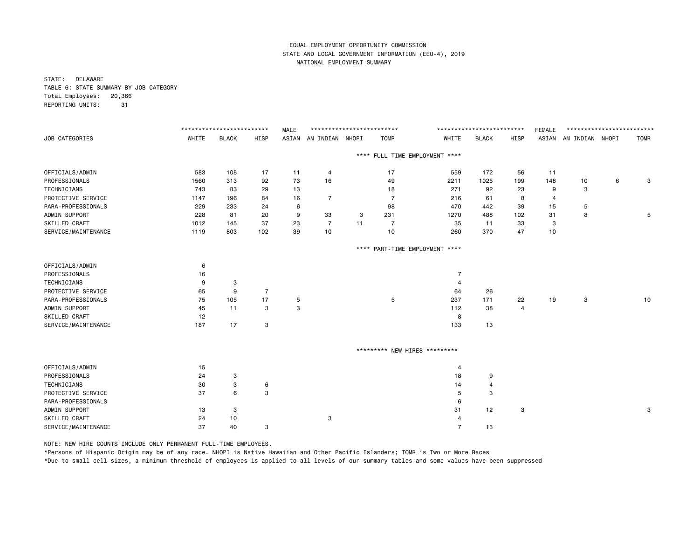STATE: DELAWARE TABLE 6: STATE SUMMARY BY JOB CATEGORY Total Employees: 20,366 REPORTING UNITS: 31

|                       |       | ************************* |                | <b>MALE</b> |                 | ************************** |                |                                | ************************* |                | <b>FEMALE</b>  | ************************** |   |             |
|-----------------------|-------|---------------------------|----------------|-------------|-----------------|----------------------------|----------------|--------------------------------|---------------------------|----------------|----------------|----------------------------|---|-------------|
| <b>JOB CATEGORIES</b> | WHITE | <b>BLACK</b>              | <b>HISP</b>    | ASIAN       | AM INDIAN NHOPI |                            | <b>TOMR</b>    | WHITE                          | <b>BLACK</b>              | HISP           |                | ASIAN AM INDIAN NHOPI      |   | <b>TOMR</b> |
|                       |       |                           |                |             |                 |                            |                | **** FULL-TIME EMPLOYMENT **** |                           |                |                |                            |   |             |
| OFFICIALS/ADMIN       | 583   | 108                       | 17             | 11          | 4               |                            | 17             | 559                            | 172                       | 56             | 11             |                            |   |             |
| PROFESSIONALS         | 1560  | 313                       | 92             | 73          | 16              |                            | 49             | 2211                           | 1025                      | 199            | 148            | 10                         | 6 | 3           |
| TECHNICIANS           | 743   | 83                        | 29             | 13          |                 |                            | 18             | 271                            | 92                        | 23             | 9              | 3                          |   |             |
| PROTECTIVE SERVICE    | 1147  | 196                       | 84             | 16          | $\overline{7}$  |                            | $\overline{7}$ | 216                            | 61                        | 8              | $\overline{4}$ |                            |   |             |
| PARA-PROFESSIONALS    | 229   | 233                       | 24             | 6           |                 |                            | 98             | 470                            | 442                       | 39             | 15             | 5                          |   |             |
| ADMIN SUPPORT         | 228   | 81                        | 20             | 9           | 33              | 3                          | 231            | 1270                           | 488                       | 102            | 31             | 8                          |   | 5           |
| SKILLED CRAFT         | 1012  | 145                       | 37             | 23          | $\overline{7}$  | 11                         | $\overline{7}$ | 35                             | 11                        | 33             | 3              |                            |   |             |
| SERVICE/MAINTENANCE   | 1119  | 803                       | 102            | 39          | 10              |                            | 10             | 260                            | 370                       | 47             | 10             |                            |   |             |
|                       |       |                           |                |             |                 |                            |                | **** PART-TIME EMPLOYMENT **** |                           |                |                |                            |   |             |
| OFFICIALS/ADMIN       | 6     |                           |                |             |                 |                            |                |                                |                           |                |                |                            |   |             |
| PROFESSIONALS         | 16    |                           |                |             |                 |                            |                | $\overline{7}$                 |                           |                |                |                            |   |             |
| TECHNICIANS           | 9     | 3                         |                |             |                 |                            |                | $\overline{4}$                 |                           |                |                |                            |   |             |
| PROTECTIVE SERVICE    | 65    | 9                         | $\overline{7}$ |             |                 |                            |                | 64                             | 26                        |                |                |                            |   |             |
| PARA-PROFESSIONALS    | 75    | 105                       | 17             | 5           |                 |                            | 5              | 237                            | 171                       | 22             | 19             | 3                          |   | 10          |
| ADMIN SUPPORT         | 45    | 11                        | 3              | 3           |                 |                            |                | 112                            | 38                        | $\overline{a}$ |                |                            |   |             |
| SKILLED CRAFT         | 12    |                           |                |             |                 |                            |                | 8                              |                           |                |                |                            |   |             |
| SERVICE/MAINTENANCE   | 187   | 17                        | 3              |             |                 |                            |                | 133                            | 13                        |                |                |                            |   |             |
|                       |       |                           |                |             |                 |                            |                | ********* NEW HIRES *********  |                           |                |                |                            |   |             |
| OFFICIALS/ADMIN       | 15    |                           |                |             |                 |                            |                | $\overline{4}$                 |                           |                |                |                            |   |             |
| PROFESSIONALS         | 24    | 3                         |                |             |                 |                            |                | 18                             | 9                         |                |                |                            |   |             |
| TECHNICIANS           | 30    | 3                         | 6              |             |                 |                            |                | 14                             | 4                         |                |                |                            |   |             |
| PROTECTIVE SERVICE    | 37    | 6                         | 3              |             |                 |                            |                | 5                              | 3                         |                |                |                            |   |             |
| PARA-PROFESSIONALS    |       |                           |                |             |                 |                            |                | 6                              |                           |                |                |                            |   |             |
| ADMIN SUPPORT         | 13    | 3                         |                |             |                 |                            |                | 31                             | 12                        | 3              |                |                            |   | 3           |
| SKILLED CRAFT         | 24    | 10                        |                |             | 3               |                            |                | $\overline{4}$                 |                           |                |                |                            |   |             |
| SERVICE/MAINTENANCE   | 37    | 40                        | 3              |             |                 |                            |                | $\overline{7}$                 | 13                        |                |                |                            |   |             |

NOTE: NEW HIRE COUNTS INCLUDE ONLY PERMANENT FULL-TIME EMPLOYEES.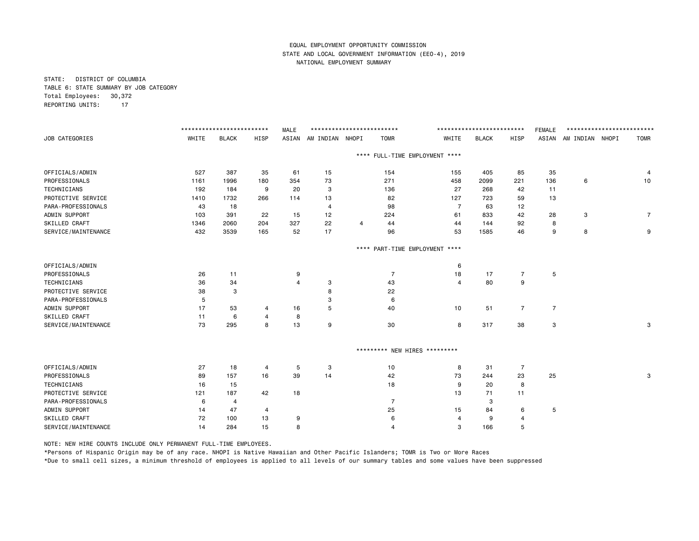STATE: DISTRICT OF COLUMBIA TABLE 6: STATE SUMMARY BY JOB CATEGORY Total Employees: 30,372 REPORTING UNITS: 17

|                       |       | ************************** |                | <b>MALE</b> | ************************** |                |                      |                                | ************************* |                | <b>FEMALE</b>  | ************************** |                |
|-----------------------|-------|----------------------------|----------------|-------------|----------------------------|----------------|----------------------|--------------------------------|---------------------------|----------------|----------------|----------------------------|----------------|
| <b>JOB CATEGORIES</b> | WHITE | <b>BLACK</b>               | HISP           |             | ASIAN AM INDIAN NHOPI      |                | <b>TOMR</b>          | WHITE                          | <b>BLACK</b>              | HISP           |                | ASIAN AM INDIAN NHOPI      | <b>TOMR</b>    |
|                       |       |                            |                |             |                            |                |                      | **** FULL-TIME EMPLOYMENT **** |                           |                |                |                            |                |
| OFFICIALS/ADMIN       | 527   | 387                        | 35             | 61          | 15                         |                | 154                  | 155                            | 405                       | 85             | 35             |                            | -4             |
| PROFESSIONALS         | 1161  | 1996                       | 180            | 354         | 73                         |                | 271                  | 458                            | 2099                      | 221            | 136            | 6                          | 10             |
| TECHNICIANS           | 192   | 184                        | 9              | 20          | 3                          |                | 136                  | 27                             | 268                       | 42             | 11             |                            |                |
| PROTECTIVE SERVICE    | 1410  | 1732                       | 266            | 114         | 13                         |                | 82                   | 127                            | 723                       | 59             | 13             |                            |                |
| PARA-PROFESSIONALS    | 43    | 18                         |                |             | $\overline{4}$             |                | 98                   | $\overline{7}$                 | 63                        | 12             |                |                            |                |
| ADMIN SUPPORT         | 103   | 391                        | 22             | 15          | 12                         |                | 224                  | 61                             | 833                       | 42             | 28             | 3                          | $\overline{7}$ |
| SKILLED CRAFT         | 1346  | 2060                       | 204            | 327         | 22                         | $\overline{4}$ | 44                   | 44                             | 144                       | 92             | 8              |                            |                |
| SERVICE/MAINTENANCE   | 432   | 3539                       | 165            | 52          | 17                         |                | 96                   | 53                             | 1585                      | 46             | 9              | 8                          | 9              |
|                       |       |                            |                |             |                            | ****           | PART-TIME EMPLOYMENT | $***$                          |                           |                |                |                            |                |
| OFFICIALS/ADMIN       |       |                            |                |             |                            |                |                      | 6                              |                           |                |                |                            |                |
| PROFESSIONALS         | 26    | 11                         |                | 9           |                            |                | $\overline{7}$       | 18                             | 17                        | $\overline{7}$ | 5              |                            |                |
| TECHNICIANS           | 36    | 34                         |                | 4           | 3                          |                | 43                   | $\overline{4}$                 | 80                        | 9              |                |                            |                |
| PROTECTIVE SERVICE    | 38    | 3                          |                |             | 8                          |                | 22                   |                                |                           |                |                |                            |                |
| PARA-PROFESSIONALS    | 5     |                            |                |             | 3                          |                | 6                    |                                |                           |                |                |                            |                |
| ADMIN SUPPORT         | 17    | 53                         | 4              | 16          | 5                          |                | 40                   | 10                             | 51                        | $\overline{7}$ | $\overline{7}$ |                            |                |
| SKILLED CRAFT         | 11    | 6                          | $\overline{4}$ | 8           |                            |                |                      |                                |                           |                |                |                            |                |
| SERVICE/MAINTENANCE   | 73    | 295                        | 8              | 13          | 9                          |                | 30                   | 8                              | 317                       | 38             | 3              |                            | 3              |
|                       |       |                            |                |             |                            |                |                      | ********* NEW HIRES *********  |                           |                |                |                            |                |
| OFFICIALS/ADMIN       | 27    | 18                         | 4              | 5           | 3                          |                | 10                   | 8                              | 31                        | 7              |                |                            |                |
| PROFESSIONALS         | 89    | 157                        | 16             | 39          | 14                         |                | 42                   | 73                             | 244                       | 23             | 25             |                            | 3              |
| TECHNICIANS           | 16    | 15                         |                |             |                            |                | 18                   | 9                              | 20                        | 8              |                |                            |                |
| PROTECTIVE SERVICE    | 121   | 187                        | 42             | 18          |                            |                |                      | 13                             | 71                        | 11             |                |                            |                |
| PARA-PROFESSIONALS    | 6     | $\overline{4}$             |                |             |                            |                | $\overline{7}$       |                                | 3                         |                |                |                            |                |
| ADMIN SUPPORT         | 14    | 47                         | 4              |             |                            |                | 25                   | 15                             | 84                        | 6              | 5              |                            |                |
| SKILLED CRAFT         | 72    | 100                        | 13             | 9           |                            |                | 6                    | $\overline{4}$                 | 9                         | 4              |                |                            |                |
| SERVICE/MAINTENANCE   | 14    | 284                        | 15             | 8           |                            |                | $\overline{4}$       | 3                              | 166                       | 5              |                |                            |                |

NOTE: NEW HIRE COUNTS INCLUDE ONLY PERMANENT FULL-TIME EMPLOYEES.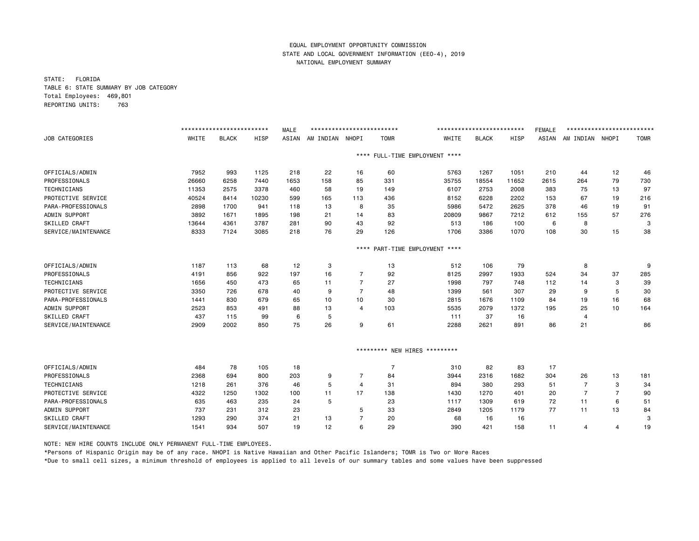STATE: FLORIDA TABLE 6: STATE SUMMARY BY JOB CATEGORY Total Employees: 469,801 REPORTING UNITS: 763

|                      |       | ************************* |       | <b>MALE</b> | ************************** |                |                |                               | ************************* |       | <b>FEMALE</b> | ************************* |                |             |
|----------------------|-------|---------------------------|-------|-------------|----------------------------|----------------|----------------|-------------------------------|---------------------------|-------|---------------|---------------------------|----------------|-------------|
| JOB CATEGORIES       | WHITE | <b>BLACK</b>              | HISP  | ASIAN       | AM INDIAN                  | NHOPI          | <b>TOMR</b>    | WHITE                         | <b>BLACK</b>              | HISP  | ASIAN         | AM INDIAN NHOPI           |                | <b>TOMR</b> |
|                      |       |                           |       |             |                            | $***$ * *      |                | FULL-TIME EMPLOYMENT ****     |                           |       |               |                           |                |             |
| OFFICIALS/ADMIN      | 7952  | 993                       | 1125  | 218         | 22                         | 16             | 60             | 5763                          | 1267                      | 1051  | 210           | 44                        | 12             | 46          |
| PROFESSIONALS        | 26660 | 6258                      | 7440  | 1653        | 158                        | 85             | 331            | 35755                         | 18554                     | 11652 | 2615          | 264                       | 79             | 730         |
| <b>TECHNICIANS</b>   | 11353 | 2575                      | 3378  | 460         | 58                         | 19             | 149            | 6107                          | 2753                      | 2008  | 383           | 75                        | 13             | 97          |
| PROTECTIVE SERVICE   | 40524 | 8414                      | 10230 | 599         | 165                        | 113            | 436            | 8152                          | 6228                      | 2202  | 153           | 67                        | 19             | 216         |
| PARA-PROFESSIONALS   | 2898  | 1700                      | 941   | 118         | 13                         | 8              | 35             | 5986                          | 5472                      | 2625  | 378           | 46                        | 19             | 91          |
| ADMIN SUPPORT        | 3892  | 1671                      | 1895  | 198         | 21                         | 14             | 83             | 20809                         | 9867                      | 7212  | 612           | 155                       | 57             | 276         |
| SKILLED CRAFT        | 13644 | 4361                      | 3787  | 281         | 90                         | 43             | 92             | 513                           | 186                       | 100   | 6             | 8                         |                | 3           |
| SERVICE/MAINTENANCE  | 8333  | 7124                      | 3085  | 218         | 76                         | 29             | 126            | 1706                          | 3386                      | 1070  | 108           | 30                        | 15             | 38          |
|                      |       |                           |       |             |                            | $***$ * *      |                | PART-TIME EMPLOYMENT ****     |                           |       |               |                           |                |             |
| OFFICIALS/ADMIN      | 1187  | 113                       | 68    | 12          | 3                          |                | 13             | 512                           | 106                       | 79    |               | 8                         |                | 9           |
| PROFESSIONALS        | 4191  | 856                       | 922   | 197         | 16                         | $\overline{7}$ | 92             | 8125                          | 2997                      | 1933  | 524           | 34                        | 37             | 285         |
| <b>TECHNICIANS</b>   | 1656  | 450                       | 473   | 65          | 11                         | $\overline{7}$ | 27             | 1998                          | 797                       | 748   | 112           | 14                        | 3              | 39          |
| PROTECTIVE SERVICE   | 3350  | 726                       | 678   | 40          | 9                          | $\overline{7}$ | 48             | 1399                          | 561                       | 307   | 29            | 9                         | 5              | 30          |
| PARA-PROFESSIONALS   | 1441  | 830                       | 679   | 65          | 10                         | 10             | 30             | 2815                          | 1676                      | 1109  | 84            | 19                        | 16             | 68          |
| ADMIN SUPPORT        | 2523  | 853                       | 491   | 88          | 13                         | 4              | 103            | 5535                          | 2079                      | 1372  | 195           | 25                        | 10             | 164         |
| SKILLED CRAFT        | 437   | 115                       | 99    | 6           | 5                          |                |                | 111                           | 37                        | 16    |               | 4                         |                |             |
| SERVICE/MAINTENANCE  | 2909  | 2002                      | 850   | 75          | 26                         | 9              | 61             | 2288                          | 2621                      | 891   | 86            | 21                        |                | 86          |
|                      |       |                           |       |             |                            |                |                | ********* NEW HIRES ********* |                           |       |               |                           |                |             |
| OFFICIALS/ADMIN      | 484   | 78                        | 105   | 18          |                            |                | $\overline{7}$ | 310                           | 82                        | 83    | 17            |                           |                |             |
| PROFESSIONALS        | 2368  | 694                       | 800   | 203         | 9                          | 7              | 84             | 3944                          | 2316                      | 1682  | 304           | 26                        | 13             | 181         |
| <b>TECHNICIANS</b>   | 1218  | 261                       | 376   | 46          | 5                          | $\overline{4}$ | 31             | 894                           | 380                       | 293   | 51            | $\overline{7}$            | 3              | 34          |
| PROTECTIVE SERVICE   | 4322  | 1250                      | 1302  | 100         | 11                         | 17             | 138            | 1430                          | 1270                      | 401   | 20            | $\overline{7}$            | $\overline{7}$ | 90          |
| PARA-PROFESSIONALS   | 635   | 463                       | 235   | 24          | 5                          |                | 23             | 1117                          | 1309                      | 619   | 72            | 11                        | 6              | 51          |
| ADMIN SUPPORT        | 737   | 231                       | 312   | 23          |                            | 5              | 33             | 2849                          | 1205                      | 1179  | 77            | 11                        | 13             | 84          |
| <b>SKILLED CRAFT</b> | 1293  | 290                       | 374   | 21          | 13                         | 7              | 20             | 68                            | 16                        | 16    |               |                           |                | 3           |
| SERVICE/MAINTENANCE  | 1541  | 934                       | 507   | 19          | 12                         | 6              | 29             | 390                           | 421                       | 158   | 11            | 4                         | 4              | 19          |

NOTE: NEW HIRE COUNTS INCLUDE ONLY PERMANENT FULL-TIME EMPLOYEES.

\*Persons of Hispanic Origin may be of any race. NHOPI is Native Hawaiian and Other Pacific Islanders; TOMR is Two or More Races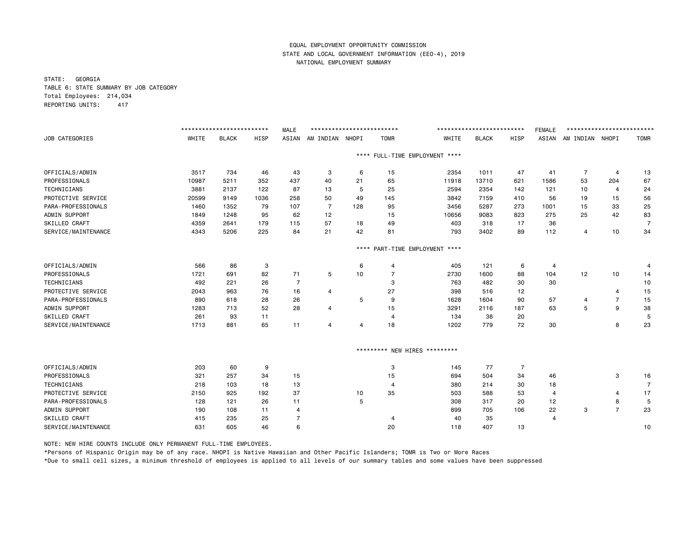STATE: GEORGIA TABLE 6: STATE SUMMARY BY JOB CATEGORY Total Employees: 214,034 REPORTING UNITS: 417

|                      |       | ************************* |             | <b>MALE</b>    | ************************** |           |                     |                           | ************************* |                | <b>FEMALE</b>  | ************************* |                |             |
|----------------------|-------|---------------------------|-------------|----------------|----------------------------|-----------|---------------------|---------------------------|---------------------------|----------------|----------------|---------------------------|----------------|-------------|
| JOB CATEGORIES       | WHITE | <b>BLACK</b>              | <b>HISP</b> | ASIAN          | AM INDIAN                  | NHOPI     | <b>TOMR</b>         | WHITE                     | <b>BLACK</b>              | HISP           | ASIAN          | AM INDIAN NHOPI           |                | <b>TOMR</b> |
|                      |       |                           |             |                |                            | $***$ * * |                     | FULL-TIME EMPLOYMENT **** |                           |                |                |                           |                |             |
| OFFICIALS/ADMIN      | 3517  | 734                       | 46          | 43             | 3                          | 6         | 15                  | 2354                      | 1011                      | 47             | 41             | $\overline{7}$            | $\overline{4}$ | 13          |
| PROFESSIONALS        | 10987 | 5211                      | 352         | 437            | 40                         | 21        | 65                  | 11918                     | 13710                     | 621            | 1586           | 53                        | 204            | 67          |
| <b>TECHNICIANS</b>   | 3881  | 2137                      | 122         | 87             | 13                         | 5         | 25                  | 2594                      | 2354                      | 142            | 121            | 10                        | $\overline{4}$ | 24          |
| PROTECTIVE SERVICE   | 20599 | 9149                      | 1036        | 258            | 50                         | 49        | 145                 | 3842                      | 7159                      | 410            | 56             | 19                        | 15             | 56          |
| PARA-PROFESSIONALS   | 1460  | 1352                      | 79          | 107            | 7                          | 128       | 95                  | 3456                      | 5287                      | 273            | 1001           | 15                        | 33             | 25          |
| ADMIN SUPPORT        | 1849  | 1248                      | 95          | 62             | 12                         |           | 15                  | 10656                     | 9083                      | 823            | 275            | 25                        | 42             | 83          |
| SKILLED CRAFT        | 4359  | 2641                      | 179         | 115            | 57                         | 18        | 49                  | 403                       | 318                       | 17             | 36             |                           |                | 7           |
| SERVICE/MAINTENANCE  | 4343  | 5206                      | 225         | 84             | 21                         | 42        | 81                  | 793                       | 3402                      | 89             | 112            | $\overline{4}$            | 10             | 34          |
|                      |       |                           |             |                |                            | $***$ * * |                     | PART-TIME EMPLOYMENT **** |                           |                |                |                           |                |             |
| OFFICIALS/ADMIN      | 566   | 86                        | 3           |                |                            | 6         | $\overline{a}$      | 405                       | 121                       | 6              | $\overline{4}$ |                           |                | 4           |
| PROFESSIONALS        | 1721  | 691                       | 82          | 71             | 5                          | 10        | 7                   | 2730                      | 1600                      | 88             | 104            | 12                        | 10             | 14          |
| <b>TECHNICIANS</b>   | 492   | 221                       | 26          | $\overline{7}$ |                            |           | 3                   | 763                       | 482                       | 30             | 30             |                           |                | 10          |
| PROTECTIVE SERVICE   | 2043  | 963                       | 76          | 16             | 4                          |           | 27                  | 398                       | 516                       | 12             |                |                           | $\overline{4}$ | 15          |
| PARA-PROFESSIONALS   | 890   | 618                       | 28          | 26             |                            | 5         | 9                   | 1628                      | 1604                      | 90             | 57             | 4                         | $\overline{7}$ | 15          |
| ADMIN SUPPORT        | 1283  | 713                       | 52          | 28             | 4                          |           | 15                  | 3291                      | 2116                      | 187            | 63             | 5                         | 9              | 38          |
| <b>SKILLED CRAFT</b> | 261   | 93                        | 11          |                |                            |           | $\overline{4}$      | 134                       | 38                        | 20             |                |                           |                | 5           |
| SERVICE/MAINTENANCE  | 1713  | 881                       | 65          | 11             | 4                          | 4         | 18                  | 1202                      | 779                       | 72             | 30             |                           | 8              | 23          |
|                      |       |                           |             |                |                            |           | ********* NEW HIRES | *********                 |                           |                |                |                           |                |             |
| OFFICIALS/ADMIN      | 203   | 60                        | 9           |                |                            |           | 3                   | 145                       | 77                        | $\overline{7}$ |                |                           |                |             |
| PROFESSIONALS        | 321   | 257                       | 34          | 15             |                            |           | 15                  | 694                       | 504                       | 34             | 46             |                           | 3              | 16          |
| TECHNICIANS          | 218   | 103                       | 18          | 13             |                            |           | $\overline{a}$      | 380                       | 214                       | 30             | 18             |                           |                | 7           |
| PROTECTIVE SERVICE   | 2150  | 925                       | 192         | 37             |                            | 10        | 35                  | 503                       | 588                       | 53             | 4              |                           | 4              | 17          |
| PARA-PROFESSIONALS   | 128   | 121                       | 26          | 11             |                            | 5         |                     | 308                       | 317                       | 20             | 12             |                           | 8              | 5           |
| ADMIN SUPPORT        | 190   | 108                       | 11          | 4              |                            |           |                     | 899                       | 705                       | 106            | 22             | з                         | $\overline{7}$ | 23          |
| SKILLED CRAFT        | 415   | 235                       | 25          | 7              |                            |           | $\overline{4}$      | 40                        | 35                        |                | 4              |                           |                |             |
| SERVICE/MAINTENANCE  | 631   | 605                       | 46          | 6              |                            |           | 20                  | 118                       | 407                       | 13             |                |                           |                | 10          |

NOTE: NEW HIRE COUNTS INCLUDE ONLY PERMANENT FULL-TIME EMPLOYEES.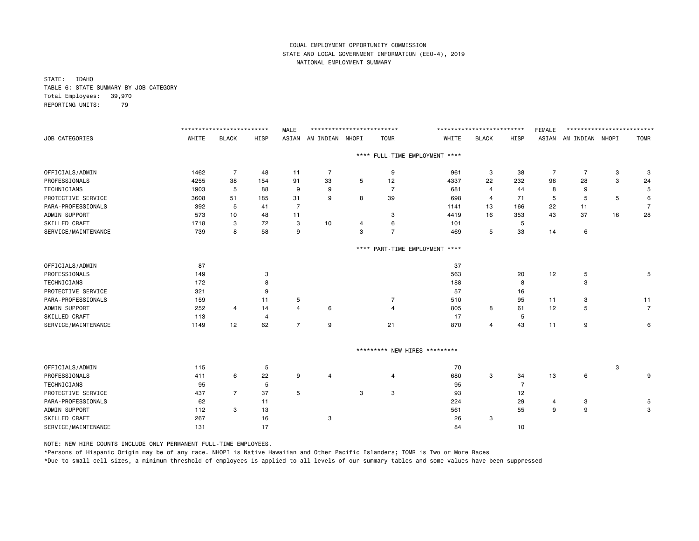STATE: IDAHO TABLE 6: STATE SUMMARY BY JOB CATEGORY Total Employees: 39,970 REPORTING UNITS: 79

|                       |       | ************************** |                | <b>MALE</b>    | ************************** |   |                |                                | ************************** |      | <b>FEMALE</b> | ************************** |    |                |
|-----------------------|-------|----------------------------|----------------|----------------|----------------------------|---|----------------|--------------------------------|----------------------------|------|---------------|----------------------------|----|----------------|
| <b>JOB CATEGORIES</b> | WHITE | <b>BLACK</b>               | HISP           | ASIAN          | AM INDIAN NHOPI            |   | <b>TOMR</b>    | WHITE                          | <b>BLACK</b>               | HISP |               | ASIAN AM INDIAN NHOPI      |    | <b>TOMR</b>    |
|                       |       |                            |                |                |                            |   |                | **** FULL-TIME EMPLOYMENT **** |                            |      |               |                            |    |                |
| OFFICIALS/ADMIN       | 1462  | $\overline{7}$             | 48             | 11             | 7                          |   | 9              | 961                            | 3                          | 38   | 7             | 7                          | 3  | 3              |
| PROFESSIONALS         | 4255  | 38                         | 154            | 91             | 33                         | 5 | 12             | 4337                           | 22                         | 232  | 96            | 28                         | 3  | 24             |
| TECHNICIANS           | 1903  | 5                          | 88             | 9              | 9                          |   | $\overline{7}$ | 681                            | 4                          | 44   | 8             | 9                          |    | 5              |
| PROTECTIVE SERVICE    | 3608  | 51                         | 185            | 31             | 9                          | 8 | 39             | 698                            | 4                          | 71   | 5             | 5                          | 5  | 6              |
| PARA-PROFESSIONALS    | 392   | 5                          | 41             | $\overline{7}$ |                            |   |                | 1141                           | 13                         | 166  | 22            | 11                         |    | $\overline{7}$ |
| ADMIN SUPPORT         | 573   | 10                         | 48             | 11             |                            |   | 3              | 4419                           | 16                         | 353  | 43            | 37                         | 16 | 28             |
| SKILLED CRAFT         | 1718  | 3                          | 72             | 3              | 10                         | 4 | 6              | 101                            |                            | 5    |               |                            |    |                |
| SERVICE/MAINTENANCE   | 739   | 8                          | 58             | 9              |                            | 3 | $\overline{7}$ | 469                            | 5                          | 33   | 14            | 6                          |    |                |
|                       |       |                            |                |                |                            |   |                | **** PART-TIME EMPLOYMENT **** |                            |      |               |                            |    |                |
| OFFICIALS/ADMIN       | 87    |                            |                |                |                            |   |                | 37                             |                            |      |               |                            |    |                |
| PROFESSIONALS         | 149   |                            | 3              |                |                            |   |                | 563                            |                            | 20   | 12            | 5                          |    | 5              |
| TECHNICIANS           | 172   |                            | 8              |                |                            |   |                | 188                            |                            | 8    |               | 3                          |    |                |
| PROTECTIVE SERVICE    | 321   |                            | 9              |                |                            |   |                | 57                             |                            | 16   |               |                            |    |                |
| PARA-PROFESSIONALS    | 159   |                            | 11             | 5              |                            |   | $\overline{7}$ | 510                            |                            | 95   | 11            | 3                          |    | 11             |
| ADMIN SUPPORT         | 252   | $\overline{4}$             | 14             | $\overline{a}$ | 6                          |   | $\overline{4}$ | 805                            | 8                          | 61   | 12            | 5                          |    | $\overline{7}$ |
| SKILLED CRAFT         | 113   |                            | $\overline{4}$ |                |                            |   |                | 17                             |                            | 5    |               |                            |    |                |
| SERVICE/MAINTENANCE   | 1149  | 12                         | 62             | $\overline{7}$ | 9                          |   | 21             | 870                            | $\overline{4}$             | 43   | 11            | 9                          |    | 6              |
|                       |       |                            |                |                |                            |   |                | ********* NEW HIRES *********  |                            |      |               |                            |    |                |
| OFFICIALS/ADMIN       | 115   |                            | 5              |                |                            |   |                | 70                             |                            |      |               |                            | 3  |                |
| PROFESSIONALS         | 411   | 6                          | 22             | 9              | 4                          |   | 4              | 680                            | 3                          | 34   | 13            | 6                          |    | 9              |
| TECHNICIANS           | 95    |                            | 5              |                |                            |   |                | 95                             |                            | 7    |               |                            |    |                |
| PROTECTIVE SERVICE    | 437   | $\overline{7}$             | 37             | 5              |                            | 3 | 3              | 93                             |                            | 12   |               |                            |    |                |
| PARA-PROFESSIONALS    | 62    |                            | 11             |                |                            |   |                | 224                            |                            | 29   | 4             | 3                          |    | 5              |
| ADMIN SUPPORT         | 112   | 3                          | 13             |                |                            |   |                | 561                            |                            | 55   | 9             | 9                          |    | 3              |
| SKILLED CRAFT         | 267   |                            | 16             |                | 3                          |   |                | 26                             | 3                          |      |               |                            |    |                |
| SERVICE/MAINTENANCE   | 131   |                            | 17             |                |                            |   |                | 84                             |                            | 10   |               |                            |    |                |

NOTE: NEW HIRE COUNTS INCLUDE ONLY PERMANENT FULL-TIME EMPLOYEES.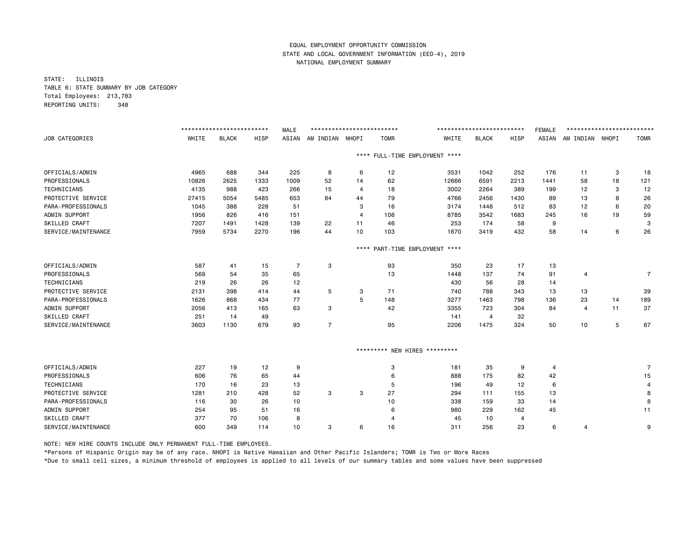STATE: ILLINOIS TABLE 6: STATE SUMMARY BY JOB CATEGORY Total Employees: 213,783 REPORTING UNITS: 348

|                     |       | ************************** |      | <b>MALE</b>    | ************************** |                |                |                                | ************************* |      | <b>FEMALE</b> | ************************** |    |             |
|---------------------|-------|----------------------------|------|----------------|----------------------------|----------------|----------------|--------------------------------|---------------------------|------|---------------|----------------------------|----|-------------|
| JOB CATEGORIES      | WHITE | <b>BLACK</b>               | HISP | ASIAN          | AM INDIAN                  | NHOPI          | <b>TOMR</b>    | WHITE                          | <b>BLACK</b>              | HISP | ASIAN         | AM INDIAN NHOPI            |    | <b>TOMR</b> |
|                     |       |                            |      |                |                            |                |                | **** FULL-TIME EMPLOYMENT **** |                           |      |               |                            |    |             |
| OFFICIALS/ADMIN     | 4965  | 688                        | 344  | 225            | 8                          | 6              | 12             | 3531                           | 1042                      | 252  | 176           | 11                         | 3  | 18          |
| PROFESSIONALS       | 10826 | 2625                       | 1333 | 1009           | 52                         | 14             | 62             | 12666                          | 6591                      | 2213 | 1441          | 58                         | 18 | 121         |
| <b>TECHNICIANS</b>  | 4135  | 988                        | 423  | 266            | 15                         | 4              | 18             | 3002                           | 2264                      | 389  | 199           | 12                         | 3  | 12          |
| PROTECTIVE SERVICE  | 27415 | 5054                       | 5485 | 653            | 84                         | 44             | 79             | 4766                           | 2456                      | 1430 | 89            | 13                         | 8  | 26          |
| PARA-PROFESSIONALS  | 1045  | 388                        | 228  | 51             |                            | 3              | 16             | 3174                           | 1448                      | 512  | 83            | 12                         | 6  | 20          |
| ADMIN SUPPORT       | 1956  | 826                        | 416  | 151            |                            | $\overline{4}$ | 106            | 8785                           | 3542                      | 1683 | 245           | 16                         | 19 | 59          |
| SKILLED CRAFT       | 7207  | 1491                       | 1428 | 139            | 22                         | 11             | 46             | 253                            | 174                       | 58   | 9             |                            |    | 3           |
| SERVICE/MAINTENANCE | 7959  | 5734                       | 2270 | 196            | 44                         | 10             | 103            | 1670                           | 3419                      | 432  | 58            | 14                         | 6  | 26          |
|                     |       |                            |      |                |                            | $***$ * *      |                | PART-TIME EMPLOYMENT ****      |                           |      |               |                            |    |             |
| OFFICIALS/ADMIN     | 587   | 41                         | 15   | $\overline{7}$ | 3                          |                | 93             | 350                            | 23                        | 17   | 13            |                            |    |             |
| PROFESSIONALS       | 569   | 54                         | 35   | 65             |                            |                | 13             | 1448                           | 137                       | 74   | 91            | 4                          |    | 7           |
| TECHNICIANS         | 219   | 26                         | 26   | 12             |                            |                |                | 430                            | 56                        | 28   | 14            |                            |    |             |
| PROTECTIVE SERVICE  | 2131  | 398                        | 414  | 44             | 5                          | 3              | 71             | 740                            | 788                       | 343  | 13            | 13                         |    | 39          |
| PARA-PROFESSIONALS  | 1626  | 868                        | 434  | 77             |                            | 5              | 148            | 3277                           | 1463                      | 798  | 136           | 23                         | 14 | 189         |
| ADMIN SUPPORT       | 2056  | 413                        | 165  | 63             | 3                          |                | 42             | 3355                           | 723                       | 304  | 84            | $\overline{4}$             | 11 | 37          |
| SKILLED CRAFT       | 251   | 14                         | 49   |                |                            |                |                | 141                            | 4                         | 32   |               |                            |    |             |
| SERVICE/MAINTENANCE | 3603  | 1130                       | 679  | 93             | $\overline{7}$             |                | 95             | 2206                           | 1475                      | 324  | 50            | 10                         | 5  | 67          |
|                     |       |                            |      |                |                            |                |                | ********* NEW HIRES *********  |                           |      |               |                            |    |             |
| OFFICIALS/ADMIN     | 227   | 19                         | 12   | 9              |                            |                | 3              | 181                            | 35                        | 9    | 4             |                            |    | 7           |
| PROFESSIONALS       | 606   | 76                         | 65   | 44             |                            |                | 6              | 888                            | 175                       | 82   | 42            |                            |    | 15          |
| <b>TECHNICIANS</b>  | 170   | 16                         | 23   | 13             |                            |                | 5              | 196                            | 49                        | 12   | 6             |                            |    | 4           |
| PROTECTIVE SERVICE  | 1281  | 210                        | 428  | 52             | 3                          | 3              | 27             | 294                            | 111                       | 155  | 13            |                            |    | 8           |
| PARA-PROFESSIONALS  | 116   | 30                         | 26   | 10             |                            |                | 10             | 338                            | 159                       | 33   | 14            |                            |    | 8           |
| ADMIN SUPPORT       | 254   | 95                         | 51   | 16             |                            |                | 6              | 980                            | 229                       | 162  | 45            |                            |    | 11          |
| SKILLED CRAFT       | 377   | 70                         | 106  | 8              |                            |                | $\overline{4}$ | 45                             | 10                        | 4    |               |                            |    |             |
| SERVICE/MAINTENANCE | 600   | 349                        | 114  | 10             | 3                          | 6              | 16             | 311                            | 256                       | 23   | 6             | 4                          |    | 9           |

NOTE: NEW HIRE COUNTS INCLUDE ONLY PERMANENT FULL-TIME EMPLOYEES.

\*Persons of Hispanic Origin may be of any race. NHOPI is Native Hawaiian and Other Pacific Islanders; TOMR is Two or More Races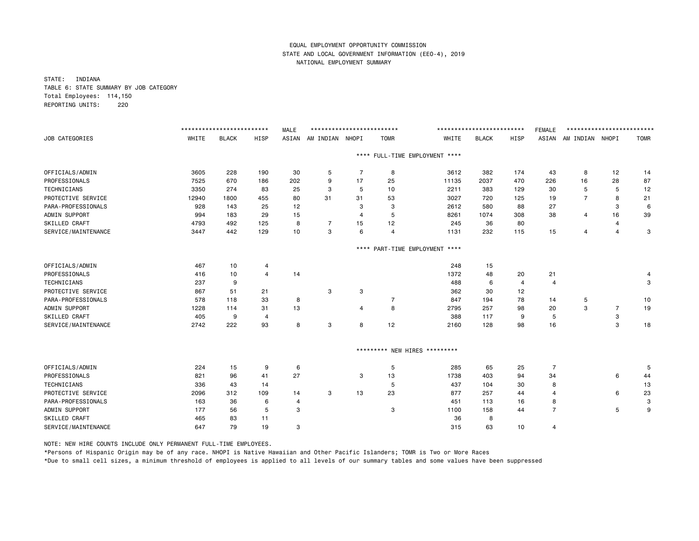STATE: INDIANA TABLE 6: STATE SUMMARY BY JOB CATEGORY Total Employees: 114,150 REPORTING UNITS: 220

|                     |       | ************************** |                | <b>MALE</b>    | ************************** |                |                |                                | ************************** |      | <b>FEMALE</b>  | ************************** |                |             |
|---------------------|-------|----------------------------|----------------|----------------|----------------------------|----------------|----------------|--------------------------------|----------------------------|------|----------------|----------------------------|----------------|-------------|
| JOB CATEGORIES      | WHITE | <b>BLACK</b>               | HISP           | ASIAN          | AM INDIAN NHOPI            |                | <b>TOMR</b>    | WHITE                          | <b>BLACK</b>               | HISP | ASIAN          | AM INDIAN NHOPI            |                | <b>TOMR</b> |
|                     |       |                            |                |                |                            |                |                | **** FULL-TIME EMPLOYMENT **** |                            |      |                |                            |                |             |
| OFFICIALS/ADMIN     | 3605  | 228                        | 190            | 30             | 5                          | $\overline{7}$ | 8              | 3612                           | 382                        | 174  | 43             | 8                          | 12             | 14          |
| PROFESSIONALS       | 7525  | 670                        | 186            | 202            | 9                          | 17             | 25             | 11135                          | 2037                       | 470  | 226            | 16                         | 28             | 87          |
| <b>TECHNICIANS</b>  | 3350  | 274                        | 83             | 25             | 3                          | 5              | 10             | 2211                           | 383                        | 129  | 30             | 5                          | 5              | 12          |
| PROTECTIVE SERVICE  | 12940 | 1800                       | 455            | 80             | 31                         | 31             | 53             | 3027                           | 720                        | 125  | 19             | $\overline{7}$             | 8              | 21          |
| PARA-PROFESSIONALS  | 928   | 143                        | 25             | 12             |                            | 3              | 3              | 2612                           | 580                        | 88   | 27             |                            | 3              | 6           |
| ADMIN SUPPORT       | 994   | 183                        | 29             | 15             |                            | 4              | 5              | 8261                           | 1074                       | 308  | 38             | 4                          | 16             | 39          |
| SKILLED CRAFT       | 4793  | 492                        | 125            | 8              | $\overline{7}$             | 15             | 12             | 245                            | 36                         | 80   |                |                            | 4              |             |
| SERVICE/MAINTENANCE | 3447  | 442                        | 129            | 10             | 3                          | 6              | $\overline{4}$ | 1131                           | 232                        | 115  | 15             | $\overline{4}$             | $\overline{4}$ | 3           |
|                     |       |                            |                |                |                            | $***$ * *      |                | PART-TIME EMPLOYMENT ****      |                            |      |                |                            |                |             |
| OFFICIALS/ADMIN     | 467   | 10                         | 4              |                |                            |                |                | 248                            | 15                         |      |                |                            |                |             |
| PROFESSIONALS       | 416   | 10                         | $\overline{4}$ | 14             |                            |                |                | 1372                           | 48                         | 20   | 21             |                            |                |             |
| TECHNICIANS         | 237   | 9                          |                |                |                            |                |                | 488                            | 6                          | 4    | $\overline{4}$ |                            |                | 3           |
| PROTECTIVE SERVICE  | 867   | 51                         | 21             |                | 3                          | 3              |                | 362                            | 30                         | 12   |                |                            |                |             |
| PARA-PROFESSIONALS  | 578   | 118                        | 33             | 8              |                            |                | 7              | 847                            | 194                        | 78   | 14             | 5                          |                | 10          |
| ADMIN SUPPORT       | 1228  | 114                        | 31             | 13             |                            | $\overline{4}$ | 8              | 2795                           | 257                        | 98   | 20             | 3                          | 7              | 19          |
| SKILLED CRAFT       | 405   | 9                          | $\overline{4}$ |                |                            |                |                | 388                            | 117                        | 9    | 5              |                            | $\mathbf 3$    |             |
| SERVICE/MAINTENANCE | 2742  | 222                        | 93             | 8              | 3                          | 8              | 12             | 2160                           | 128                        | 98   | 16             |                            | 3              | 18          |
|                     |       |                            |                |                |                            |                |                | ********* NEW HIRES *********  |                            |      |                |                            |                |             |
|                     |       |                            |                |                |                            |                |                |                                |                            |      |                |                            |                |             |
| OFFICIALS/ADMIN     | 224   | 15                         | 9              | 6              |                            |                | 5              | 285                            | 65                         | 25   | $\overline{7}$ |                            |                | 5           |
| PROFESSIONALS       | 821   | 96                         | 41             | 27             |                            | 3              | 13             | 1738                           | 403                        | 94   | 34             |                            | 6              | 44          |
| <b>TECHNICIANS</b>  | 336   | 43                         | 14             |                |                            |                | 5              | 437                            | 104                        | 30   | 8              |                            |                | 13          |
| PROTECTIVE SERVICE  | 2096  | 312                        | 109            | 14             | 3                          | 13             | 23             | 877                            | 257                        | 44   | 4              |                            | 6              | 23          |
| PARA-PROFESSIONALS  | 163   | 36                         | 6              | $\overline{4}$ |                            |                |                | 451                            | 113                        | 16   | 8              |                            |                | 3           |
| ADMIN SUPPORT       | 177   | 56                         | 5              | 3              |                            |                | 3              | 1100                           | 158                        | 44   | $\overline{7}$ |                            | 5              | 9           |
| SKILLED CRAFT       | 465   | 83                         | 11             |                |                            |                |                | 36                             | 8                          |      |                |                            |                |             |
| SERVICE/MAINTENANCE | 647   | 79                         | 19             | 3              |                            |                |                | 315                            | 63                         | 10   | 4              |                            |                |             |

NOTE: NEW HIRE COUNTS INCLUDE ONLY PERMANENT FULL-TIME EMPLOYEES.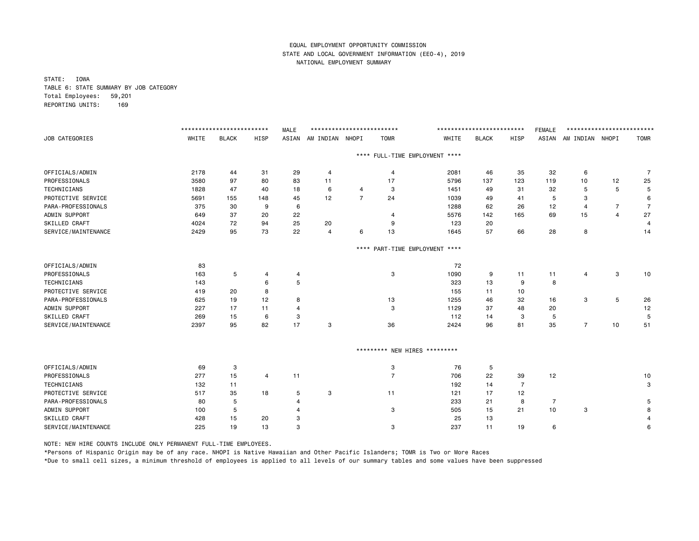STATE: IOWA TABLE 6: STATE SUMMARY BY JOB CATEGORY Total Employees: 59,201 REPORTING UNITS: 169

|                      |       | ************************* |          | <b>MALE</b> | ************************** |                |                     |                                | ************************** |      | <b>FEMALE</b>  | ************************* |                |                |
|----------------------|-------|---------------------------|----------|-------------|----------------------------|----------------|---------------------|--------------------------------|----------------------------|------|----------------|---------------------------|----------------|----------------|
| JOB CATEGORIES       | WHITE | <b>BLACK</b>              | HISP     | ASIAN       | AM INDIAN NHOPI            |                | <b>TOMR</b>         | WHITE                          | <b>BLACK</b>               | HISP |                | ASIAN AM INDIAN NHOPI     |                | <b>TOMR</b>    |
|                      |       |                           |          |             |                            |                |                     | **** FULL-TIME EMPLOYMENT **** |                            |      |                |                           |                |                |
| OFFICIALS/ADMIN      | 2178  | 44                        | 31       | 29          | 4                          |                | 4                   | 2081                           | 46                         | 35   | 32             | 6                         |                | 7              |
| PROFESSIONALS        | 3580  | 97                        | 80       | 83          | 11                         |                | 17                  | 5796                           | 137                        | 123  | 119            | 10                        | 12             | 25             |
| TECHNICIANS          | 1828  | 47                        | 40       | 18          | 6                          | 4              | 3                   | 1451                           | 49                         | 31   | 32             | 5                         | 5              | 5              |
| PROTECTIVE SERVICE   | 5691  | 155                       | 148      | 45          | 12                         | $\overline{7}$ | 24                  | 1039                           | 49                         | 41   | 5              | 3                         |                | 6              |
| PARA-PROFESSIONALS   | 375   | 30                        | 9        | 6           |                            |                |                     | 1288                           | 62                         | 26   | 12             | 4                         | 7              | $\overline{7}$ |
| ADMIN SUPPORT        | 649   | 37                        | 20       | 22          |                            |                | $\overline{4}$      | 5576                           | 142                        | 165  | 69             | 15                        | $\overline{4}$ | 27             |
| SKILLED CRAFT        | 4024  | 72                        | 94       | 25          | 20                         |                | 9                   | 123                            | 20                         |      |                |                           |                | 4              |
| SERVICE/MAINTENANCE  | 2429  | 95                        | 73       | 22          | $\overline{4}$             | 6              | 13                  | 1645                           | 57                         | 66   | 28             | 8                         |                | 14             |
|                      |       |                           |          |             |                            |                |                     | **** PART-TIME EMPLOYMENT **** |                            |      |                |                           |                |                |
| OFFICIALS/ADMIN      | 83    |                           |          |             |                            |                |                     | 72                             |                            |      |                |                           |                |                |
| PROFESSIONALS        | 163   | 5                         | 4        | 4           |                            |                | 3                   | 1090                           | 9                          | 11   | 11             | 4                         | 3              | 10             |
| TECHNICIANS          | 143   |                           | 6        | 5           |                            |                |                     | 323                            | 13                         | 9    | 8              |                           |                |                |
| PROTECTIVE SERVICE   | 419   | 20                        | 8        |             |                            |                |                     | 155                            | 11                         | 10   |                |                           |                |                |
| PARA-PROFESSIONALS   | 625   | 19                        | 12       | 8           |                            |                | 13                  | 1255                           | 46                         | 32   | 16             | 3                         | 5              | 26             |
| ADMIN SUPPORT        | 227   | 17                        | 11       | 4           |                            |                | 3                   | 1129                           | 37                         | 48   | 20             |                           |                | 12             |
| SKILLED CRAFT        | 269   | 15                        | 6        | 3           |                            |                |                     | 112                            | 14                         | 3    | 5              |                           |                | 5              |
| SERVICE/MAINTENANCE  | 2397  | 95                        | 82       | 17          | 3                          |                | 36                  | 2424                           | 96                         | 81   | 35             | $\overline{7}$            | 10             | 51             |
|                      |       |                           |          |             |                            |                | ********* NEW HIRES | *********                      |                            |      |                |                           |                |                |
| OFFICIALS/ADMIN      | 69    | 3                         |          |             |                            |                | 3                   | 76                             | 5                          |      |                |                           |                |                |
| PROFESSIONALS        | 277   | 15                        | 4        | 11          |                            |                | $\overline{7}$      | 706                            | 22                         | 39   | 12             |                           |                | 10             |
| <b>TECHNICIANS</b>   | 132   | 11                        |          |             |                            |                |                     | 192                            | 14                         | 7    |                |                           |                | 3              |
| PROTECTIVE SERVICE   | 517   | 35                        | 18       | 5           | 3                          |                | 11                  | 121                            | 17                         | 12   |                |                           |                |                |
| PARA-PROFESSIONALS   | 80    | 5                         |          | 4           |                            |                |                     | 233                            | 21                         | 8    | $\overline{7}$ |                           |                | 5              |
| ADMIN SUPPORT        | 100   | 5                         |          | 4           |                            |                | 3                   | 505                            | 15                         | 21   | 10             | 3                         |                | 8              |
| <b>SKILLED CRAFT</b> | 428   | 15                        |          | 3           |                            |                |                     | 25                             | 13                         |      |                |                           |                |                |
| SERVICE/MAINTENANCE  | 225   | 19                        | 20<br>13 | 3           |                            |                | 3                   | 237                            | 11                         | 19   | 6              |                           |                | 6              |
|                      |       |                           |          |             |                            |                |                     |                                |                            |      |                |                           |                |                |

NOTE: NEW HIRE COUNTS INCLUDE ONLY PERMANENT FULL-TIME EMPLOYEES.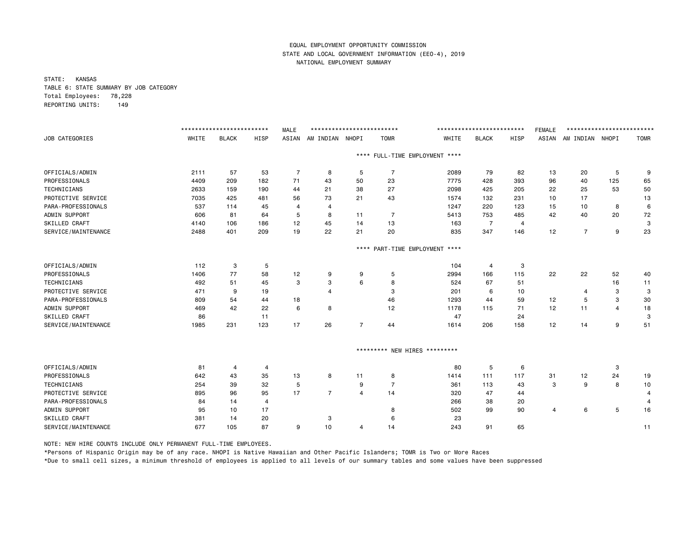STATE: KANSAS TABLE 6: STATE SUMMARY BY JOB CATEGORY Total Employees: 78,228 REPORTING UNITS: 149

|                      |       | ************************** |                | <b>MALE</b>    | ************************** |                |                |                                | ************************** |       | <b>FEMALE</b> | ************************** |                |             |
|----------------------|-------|----------------------------|----------------|----------------|----------------------------|----------------|----------------|--------------------------------|----------------------------|-------|---------------|----------------------------|----------------|-------------|
| JOB CATEGORIES       | WHITE | <b>BLACK</b>               | <b>HISP</b>    | ASIAN          | AM INDIAN NHOPI            |                | <b>TOMR</b>    | WHITE                          | <b>BLACK</b>               | HISP  | ASIAN         | AM INDIAN NHOPI            |                | <b>TOMR</b> |
|                      |       |                            |                |                |                            |                |                | **** FULL-TIME EMPLOYMENT **** |                            |       |               |                            |                |             |
| OFFICIALS/ADMIN      | 2111  | 57                         | 53             | $\overline{7}$ | 8                          | 5              | $\overline{7}$ | 2089                           | 79                         | 82    | 13            | 20                         | 5              | 9           |
| PROFESSIONALS        | 4409  | 209                        | 182            | 71             | 43                         | 50             | 23             | 7775                           | 428                        | 393   | 96            | 40                         | 125            | 65          |
| TECHNICIANS          | 2633  | 159                        | 190            | 44             | 21                         | 38             | 27             | 2098                           | 425                        | 205   | 22            | 25                         | 53             | 50          |
| PROTECTIVE SERVICE   | 7035  | 425                        | 481            | 56             | 73                         | 21             | 43             | 1574                           | 132                        | 231   | 10            | 17                         |                | 13          |
| PARA-PROFESSIONALS   | 537   | 114                        | 45             | 4              | 4                          |                |                | 1247                           | 220                        | 123   | 15            | 10                         | 8              | 6           |
| ADMIN SUPPORT        | 606   | 81                         | 64             | 5              | 8                          | 11             | $\overline{7}$ | 5413                           | 753                        | 485   | 42            | 40                         | 20             | 72          |
| SKILLED CRAFT        | 4140  | 106                        | 186            | 12             | 45                         | 14             | 13             | 163                            | $\overline{7}$             | 4     |               |                            |                | 3           |
| SERVICE/MAINTENANCE  | 2488  | 401                        | 209            | 19             | 22                         | 21             | 20             | 835                            | 347                        | 146   | 12            | $\overline{7}$             | 9              | 23          |
|                      |       |                            |                |                |                            | $***$ * *      |                | PART-TIME EMPLOYMENT ****      |                            |       |               |                            |                |             |
| OFFICIALS/ADMIN      | 112   | 3                          | 5              |                |                            |                |                | 104                            | 4                          | 3     |               |                            |                |             |
| PROFESSIONALS        | 1406  | 77                         | 58             | 12             | 9                          | 9              | 5              | 2994                           | 166                        | 115   | 22            | 22                         | 52             | 40          |
| <b>TECHNICIANS</b>   | 492   | 51                         | 45             | 3              | 3                          | 6              | 8              | 524                            | 67                         | 51    |               |                            | 16             | 11          |
| PROTECTIVE SERVICE   | 471   | 9                          | 19             |                | 4                          |                | 3              | 201                            | 6                          | 10    |               | 4                          | 3              | 3           |
| PARA-PROFESSIONALS   | 809   | 54                         | 44             | 18             |                            |                | 46             | 1293                           | 44                         | 59    | 12            | 5                          | 3              | 30          |
| ADMIN SUPPORT        | 469   | 42                         | 22             | 6              | 8                          |                | 12             | 1178                           | 115                        | 71    | 12            | 11                         | $\overline{4}$ | 18          |
| SKILLED CRAFT        | 86    |                            | 11             |                |                            |                |                | 47                             |                            | 24    |               |                            |                | 3           |
| SERVICE/MAINTENANCE  | 1985  | 231                        | 123            | 17             | 26                         | $\overline{7}$ | 44             | 1614                           | 206                        | 158   | 12            | 14                         | 9              | 51          |
|                      |       |                            |                |                |                            |                |                | ********* NEW HIRES *********  |                            |       |               |                            |                |             |
| OFFICIALS/ADMIN      | 81    | $\overline{4}$             | 4              |                |                            |                |                | 80                             | 5                          | $\,6$ |               |                            | 3              |             |
| PROFESSIONALS        | 642   | 43                         | 35             | 13             | 8                          | 11             | 8              | 1414                           | 111                        | 117   | 31            | 12                         | 24             | 19          |
| <b>TECHNICIANS</b>   | 254   | 39                         | 32             | 5              |                            | 9              | $\overline{7}$ | 361                            | 113                        | 43    | 3             | 9                          | 8              | 10          |
| PROTECTIVE SERVICE   | 895   | 96                         | 95             | 17             | $\overline{7}$             | $\overline{4}$ | 14             | 320                            | 47                         | 44    |               |                            |                | 4           |
| PARA-PROFESSIONALS   | 84    | 14                         | $\overline{4}$ |                |                            |                |                | 266                            | 38                         | 20    |               |                            |                | 4           |
| ADMIN SUPPORT        | 95    | 10                         | 17             |                |                            |                | 8              | 502                            | 99                         | 90    | 4             | 6                          | 5              | 16          |
| <b>SKILLED CRAFT</b> | 381   | 14                         | 20             |                | 3                          |                | 6              | 23                             |                            |       |               |                            |                |             |
| SERVICE/MAINTENANCE  | 677   | 105                        | 87             | 9              | 10                         | 4              | 14             | 243                            | 91                         | 65    |               |                            |                | 11          |

NOTE: NEW HIRE COUNTS INCLUDE ONLY PERMANENT FULL-TIME EMPLOYEES.

\*Persons of Hispanic Origin may be of any race. NHOPI is Native Hawaiian and Other Pacific Islanders; TOMR is Two or More Races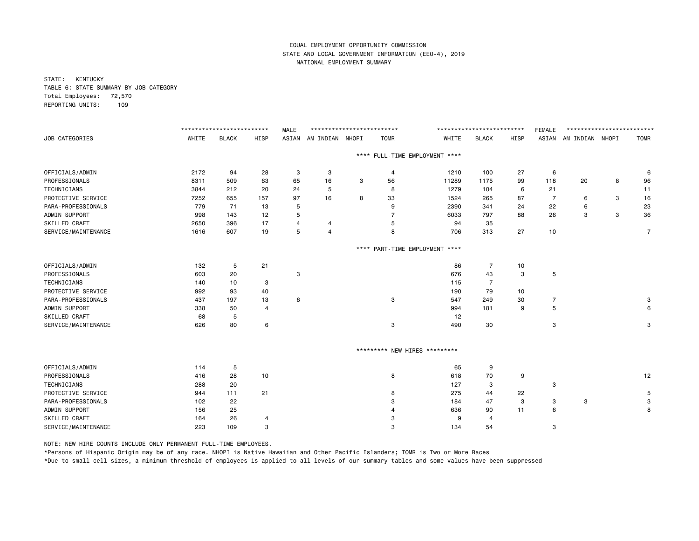STATE: KENTUCKY TABLE 6: STATE SUMMARY BY JOB CATEGORY Total Employees: 72,570 REPORTING UNITS: 109

|                     |       | ************************* |                | <b>MALE</b> | ************************* |      |                               |                                | ************************* |      | FEMALE         | ************************* |   |             |
|---------------------|-------|---------------------------|----------------|-------------|---------------------------|------|-------------------------------|--------------------------------|---------------------------|------|----------------|---------------------------|---|-------------|
| JOB CATEGORIES      | WHITE | <b>BLACK</b>              | HISP           | ASIAN       | AM INDIAN NHOPI           |      | <b>TOMR</b>                   | WHITE                          | <b>BLACK</b>              | HISP |                | ASIAN AM INDIAN NHOPI     |   | <b>TOMR</b> |
|                     |       |                           |                |             |                           |      |                               | **** FULL-TIME EMPLOYMENT **** |                           |      |                |                           |   |             |
| OFFICIALS/ADMIN     | 2172  | 94                        | 28             | 3           | 3                         |      | 4                             | 1210                           | 100                       | 27   | 6              |                           |   | 6           |
| PROFESSIONALS       | 8311  | 509                       | 63             | 65          | 16                        | 3    | 56                            | 11289                          | 1175                      | 99   | 118            | 20                        | 8 | 96          |
| TECHNICIANS         | 3844  | 212                       | 20             | 24          | 5                         |      | 8                             | 1279                           | 104                       | 6    | 21             |                           |   | 11          |
| PROTECTIVE SERVICE  | 7252  | 655                       | 157            | 97          | 16                        | 8    | 33                            | 1524                           | 265                       | 87   | $\overline{7}$ | 6                         | 3 | 16          |
| PARA-PROFESSIONALS  | 779   | 71                        | 13             | 5           |                           |      | 9                             | 2390                           | 341                       | 24   | 22             | 6                         |   | 23          |
| ADMIN SUPPORT       | 998   | 143                       | 12             | 5           |                           |      | 7                             | 6033                           | 797                       | 88   | 26             | 3                         | 3 | 36          |
| SKILLED CRAFT       | 2650  | 396                       | 17             | 4           | 4                         |      | 5                             | 94                             | 35                        |      |                |                           |   |             |
| SERVICE/MAINTENANCE | 1616  | 607                       | 19             | 5           | $\overline{4}$            |      | 8                             | 706                            | 313                       | 27   | 10             |                           |   | 7           |
|                     |       |                           |                |             |                           | **** |                               | PART-TIME EMPLOYMENT ****      |                           |      |                |                           |   |             |
| OFFICIALS/ADMIN     | 132   | 5                         | 21             |             |                           |      |                               | 86                             | $\overline{7}$            | 10   |                |                           |   |             |
| PROFESSIONALS       | 603   | 20                        |                | 3           |                           |      |                               | 676                            | 43                        | 3    | 5              |                           |   |             |
| TECHNICIANS         | 140   | 10                        | 3              |             |                           |      |                               | 115                            | $\overline{7}$            |      |                |                           |   |             |
| PROTECTIVE SERVICE  | 992   | 93                        | 40             |             |                           |      |                               | 190                            | 79                        | 10   |                |                           |   |             |
| PARA-PROFESSIONALS  | 437   | 197                       | 13             | 6           |                           |      | 3                             | 547                            | 249                       | 30   | $\overline{7}$ |                           |   | 3           |
| ADMIN SUPPORT       | 338   | 50                        | $\overline{4}$ |             |                           |      |                               | 994                            | 181                       | 9    | 5              |                           |   | 6           |
| SKILLED CRAFT       | 68    | 5                         |                |             |                           |      |                               | 12                             |                           |      |                |                           |   |             |
| SERVICE/MAINTENANCE | 626   | 80                        | 6              |             |                           |      | 3                             | 490                            | 30                        |      | 3              |                           |   | 3           |
|                     |       |                           |                |             |                           |      | ********* NEW HIRES ********* |                                |                           |      |                |                           |   |             |
| OFFICIALS/ADMIN     | 114   | 5                         |                |             |                           |      |                               | 65                             | 9                         |      |                |                           |   |             |
| PROFESSIONALS       | 416   | 28                        | 10             |             |                           |      | 8                             | 618                            | 70                        | 9    |                |                           |   | 12          |
| TECHNICIANS         | 288   | 20                        |                |             |                           |      |                               | 127                            | 3                         |      | 3              |                           |   |             |
| PROTECTIVE SERVICE  | 944   | 111                       | 21             |             |                           |      | 8                             | 275                            | 44                        | 22   |                |                           |   | 5           |
| PARA-PROFESSIONALS  | 102   | 22                        |                |             |                           |      | 3                             | 184                            | 47                        | 3    | 3              | 3                         |   | 3           |
| ADMIN SUPPORT       | 156   | 25                        |                |             |                           |      |                               | 636                            | 90                        | 11   | 6              |                           |   | 8           |
| SKILLED CRAFT       | 164   | 26                        | $\overline{4}$ |             |                           |      | з                             | 9                              | 4                         |      |                |                           |   |             |
| SERVICE/MAINTENANCE | 223   | 109                       | 3              |             |                           |      | 3                             | 134                            | 54                        |      | 3              |                           |   |             |

NOTE: NEW HIRE COUNTS INCLUDE ONLY PERMANENT FULL-TIME EMPLOYEES.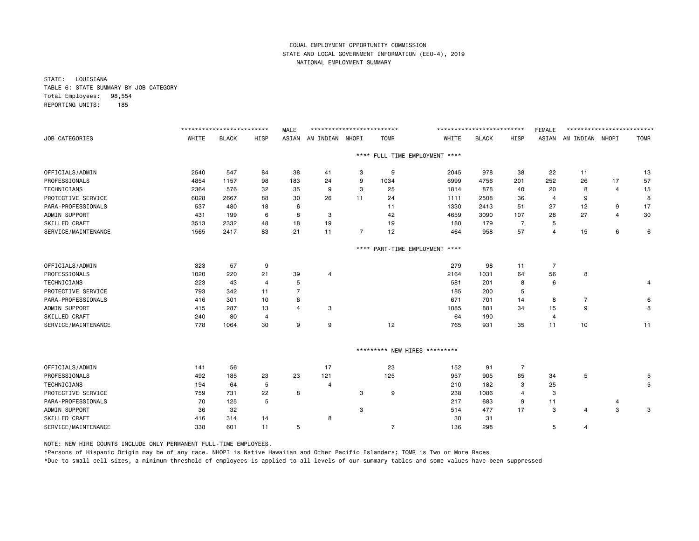STATE: LOUISIANA TABLE 6: STATE SUMMARY BY JOB CATEGORY Total Employees: 98,554 REPORTING UNITS: 185

|                       |       | ************************** |                | <b>MALE</b>    | ************************** |                |                               |                                | ************************** |                | <b>FEMALE</b>  | ************************** |                |             |
|-----------------------|-------|----------------------------|----------------|----------------|----------------------------|----------------|-------------------------------|--------------------------------|----------------------------|----------------|----------------|----------------------------|----------------|-------------|
| <b>JOB CATEGORIES</b> | WHITE | <b>BLACK</b>               | <b>HISP</b>    | ASIAN          | AM INDIAN NHOPI            |                | <b>TOMR</b>                   | WHITE                          | <b>BLACK</b>               | HISP           | ASIAN          | AM INDIAN NHOPI            |                | <b>TOMR</b> |
|                       |       |                            |                |                |                            |                |                               | **** FULL-TIME EMPLOYMENT **** |                            |                |                |                            |                |             |
| OFFICIALS/ADMIN       | 2540  | 547                        | 84             | 38             | 41                         | 3              | 9                             | 2045                           | 978                        | 38             | 22             | 11                         |                | 13          |
| PROFESSIONALS         | 4854  | 1157                       | 98             | 183            | 24                         | 9              | 1034                          | 6999                           | 4756                       | 201            | 252            | 26                         | 17             | 57          |
| TECHNICIANS           | 2364  | 576                        | 32             | 35             | 9                          | 3              | 25                            | 1814                           | 878                        | 40             | 20             | 8                          | 4              | 15          |
| PROTECTIVE SERVICE    | 6028  | 2667                       | 88             | 30             | 26                         | 11             | 24                            | 1111                           | 2508                       | 36             | $\overline{4}$ | 9                          |                | 8           |
| PARA-PROFESSIONALS    | 537   | 480                        | 18             | 6              |                            |                | 11                            | 1330                           | 2413                       | 51             | 27             | 12                         | 9              | 17          |
| ADMIN SUPPORT         | 431   | 199                        | 6              | 8              | 3                          |                | 42                            | 4659                           | 3090                       | 107            | 28             | 27                         | $\overline{4}$ | 30          |
| SKILLED CRAFT         | 3513  | 2332                       | 48             | 18             | 19                         |                | 19                            | 180                            | 179                        | $\overline{7}$ | 5              |                            |                |             |
| SERVICE/MAINTENANCE   | 1565  | 2417                       | 83             | 21             | 11                         | $\overline{7}$ | 12                            | 464                            | 958                        | 57             | 4              | 15                         | 6              | 6           |
|                       |       |                            |                |                |                            | $***$ *        |                               | PART-TIME EMPLOYMENT ****      |                            |                |                |                            |                |             |
| OFFICIALS/ADMIN       | 323   | 57                         | 9              |                |                            |                |                               | 279                            | 98                         | 11             | $\overline{7}$ |                            |                |             |
| PROFESSIONALS         | 1020  | 220                        | 21             | 39             | 4                          |                |                               | 2164                           | 1031                       | 64             | 56             | 8                          |                |             |
| TECHNICIANS           | 223   | 43                         | $\overline{4}$ | 5              |                            |                |                               | 581                            | 201                        | 8              | 6              |                            |                | 4           |
| PROTECTIVE SERVICE    | 793   | 342                        | 11             | $\overline{7}$ |                            |                |                               | 185                            | 200                        | 5              |                |                            |                |             |
| PARA-PROFESSIONALS    | 416   | 301                        | 10             | 6              |                            |                |                               | 671                            | 701                        | 14             | 8              | $\overline{7}$             |                | 6           |
| ADMIN SUPPORT         | 415   | 287                        | 13             | $\overline{a}$ | 3                          |                |                               | 1085                           | 881                        | 34             | 15             | 9                          |                | 8           |
| SKILLED CRAFT         | 240   | 80                         | $\overline{4}$ |                |                            |                |                               | 64                             | 190                        |                | 4              |                            |                |             |
| SERVICE/MAINTENANCE   | 778   | 1064                       | 30             | 9              | 9                          |                | 12                            | 765                            | 931                        | 35             | 11             | 10                         |                | 11          |
|                       |       |                            |                |                |                            |                | ********* NEW HIRES ********* |                                |                            |                |                |                            |                |             |
| OFFICIALS/ADMIN       | 141   | 56                         |                |                | 17                         |                | 23                            | 152                            | 91                         | $\overline{7}$ |                |                            |                |             |
| PROFESSIONALS         | 492   | 185                        | 23             | 23             | 121                        |                | 125                           | 957                            | 905                        | 65             | 34             | 5                          |                | 5           |
| TECHNICIANS           | 194   | 64                         | 5              |                | 4                          |                |                               | 210                            | 182                        | 3              | 25             |                            |                | 5           |
| PROTECTIVE SERVICE    | 759   | 731                        | 22             | 8              |                            | 3              | 9                             | 238                            | 1086                       | 4              | 3              |                            |                |             |
| PARA-PROFESSIONALS    | 70    | 125                        | 5              |                |                            |                |                               | 217                            | 683                        | 9              | 11             |                            | 4              |             |
| ADMIN SUPPORT         | 36    | 32                         |                |                |                            | 3              |                               | 514                            | 477                        | 17             | 3              | 4                          | 3              | 3           |
| <b>SKILLED CRAFT</b>  | 416   | 314                        | 14             |                | 8                          |                |                               | 30                             | 31                         |                |                |                            |                |             |
| SERVICE/MAINTENANCE   | 338   | 601                        | 11             | 5              |                            |                | $\overline{7}$                | 136                            | 298                        |                | 5              | $\overline{4}$             |                |             |

NOTE: NEW HIRE COUNTS INCLUDE ONLY PERMANENT FULL-TIME EMPLOYEES.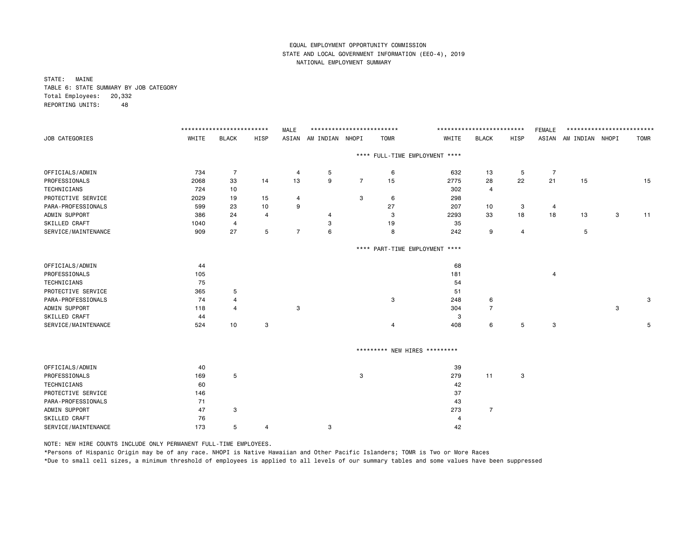STATE: MAINE TABLE 6: STATE SUMMARY BY JOB CATEGORY Total Employees: 20,332 REPORTING UNITS: 48

|                       |       | ************************* |                | <b>MALE</b>    | ************************** |                |             |                               | ************************* |                | <b>FEMALE</b>  | ************************* |             |             |
|-----------------------|-------|---------------------------|----------------|----------------|----------------------------|----------------|-------------|-------------------------------|---------------------------|----------------|----------------|---------------------------|-------------|-------------|
| <b>JOB CATEGORIES</b> | WHITE | <b>BLACK</b>              | HISP           | ASIAN          | AM INDIAN NHOPI            |                | <b>TOMR</b> | WHITE                         | <b>BLACK</b>              | HISP           |                | ASIAN AM INDIAN NHOPI     |             | <b>TOMR</b> |
|                       |       |                           |                |                |                            | ****           |             | FULL-TIME EMPLOYMENT ****     |                           |                |                |                           |             |             |
| OFFICIALS/ADMIN       | 734   | 7                         |                | 4              | 5                          |                | 6           | 632                           | 13                        | 5              | 7              |                           |             |             |
| PROFESSIONALS         | 2068  | 33                        | 14             | 13             | 9                          | $\overline{7}$ | 15          | 2775                          | 28                        | 22             | 21             | 15                        |             | 15          |
| TECHNICIANS           | 724   | 10                        |                |                |                            |                |             | 302                           | 4                         |                |                |                           |             |             |
| PROTECTIVE SERVICE    | 2029  | 19                        | 15             | 4              |                            | 3              | 6           | 298                           |                           |                |                |                           |             |             |
| PARA-PROFESSIONALS    | 599   | 23                        | 10             | 9              |                            |                | 27          | 207                           | 10                        | 3              | 4              |                           |             |             |
| ADMIN SUPPORT         | 386   | 24                        | $\overline{4}$ |                |                            |                | 3           | 2293                          | 33                        | 18             | 18             | 13                        | 3           | 11          |
| SKILLED CRAFT         | 1040  | $\overline{4}$            |                |                | 3                          |                | 19          | 35                            |                           |                |                |                           |             |             |
| SERVICE/MAINTENANCE   | 909   | 27                        | 5              | $\overline{7}$ | 6                          |                | 8           | 242                           | 9                         | $\overline{4}$ |                | 5                         |             |             |
|                       |       |                           |                |                |                            | ****           |             | PART-TIME EMPLOYMENT ****     |                           |                |                |                           |             |             |
| OFFICIALS/ADMIN       | 44    |                           |                |                |                            |                |             | 68                            |                           |                |                |                           |             |             |
| PROFESSIONALS         | 105   |                           |                |                |                            |                |             | 181                           |                           |                | $\overline{a}$ |                           |             |             |
| TECHNICIANS           | 75    |                           |                |                |                            |                |             | 54                            |                           |                |                |                           |             |             |
| PROTECTIVE SERVICE    | 365   | 5                         |                |                |                            |                |             | 51                            |                           |                |                |                           |             |             |
| PARA-PROFESSIONALS    | 74    | 4                         |                |                |                            |                | 3           | 248                           | 6                         |                |                |                           |             | 3           |
| ADMIN SUPPORT         | 118   |                           |                | 3              |                            |                |             | 304                           | $\overline{7}$            |                |                |                           | $\mathbf 3$ |             |
| SKILLED CRAFT         | 44    |                           |                |                |                            |                |             | 3                             |                           |                |                |                           |             |             |
| SERVICE/MAINTENANCE   | 524   | 10                        | 3              |                |                            |                | 4           | 408                           | 6                         | 5              | 3              |                           |             | 5           |
|                       |       |                           |                |                |                            |                |             | ********* NEW HIRES ********* |                           |                |                |                           |             |             |
| OFFICIALS/ADMIN       | 40    |                           |                |                |                            |                |             | 39                            |                           |                |                |                           |             |             |

| OFFICIALS/ADMIN     | 40  |   |   |   |   | 39  |      |   |
|---------------------|-----|---|---|---|---|-----|------|---|
| PROFESSIONALS       | 169 | 5 |   |   | 3 | 279 | - 11 | 3 |
| TECHNICIANS         | 60  |   |   |   |   | 42  |      |   |
| PROTECTIVE SERVICE  | 146 |   |   |   |   | -37 |      |   |
| PARA-PROFESSIONALS  | 71  |   |   |   |   | 43  |      |   |
| ADMIN SUPPORT       | 47  | 3 |   |   |   | 273 |      |   |
| SKILLED CRAFT       | 76  |   |   |   |   | 4   |      |   |
| SERVICE/MAINTENANCE | 173 |   | 4 | 3 |   | 42  |      |   |
|                     |     |   |   |   |   |     |      |   |

NOTE: NEW HIRE COUNTS INCLUDE ONLY PERMANENT FULL-TIME EMPLOYEES.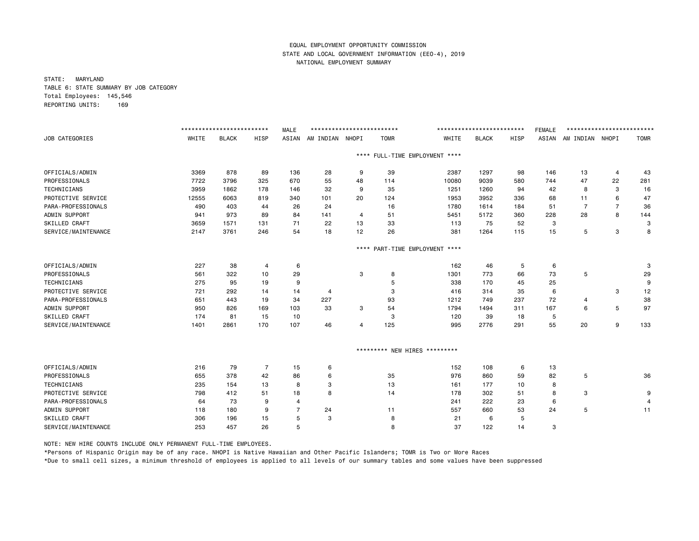STATE: MARYLAND TABLE 6: STATE SUMMARY BY JOB CATEGORY Total Employees: 145,546 REPORTING UNITS: 169

|                       |       | ************************** |                | <b>MALE</b> | ************************** |           |                               |                                | ************************** |      | <b>FEMALE</b> | ************************** |                |             |
|-----------------------|-------|----------------------------|----------------|-------------|----------------------------|-----------|-------------------------------|--------------------------------|----------------------------|------|---------------|----------------------------|----------------|-------------|
| <b>JOB CATEGORIES</b> | WHITE | <b>BLACK</b>               | <b>HISP</b>    | ASIAN       | AM INDIAN NHOPI            |           | <b>TOMR</b>                   | WHITE                          | <b>BLACK</b>               | HISP | ASIAN         | AM INDIAN NHOPI            |                | <b>TOMR</b> |
|                       |       |                            |                |             |                            |           |                               | **** FULL-TIME EMPLOYMENT **** |                            |      |               |                            |                |             |
| OFFICIALS/ADMIN       | 3369  | 878                        | 89             | 136         | 28                         | 9         | 39                            | 2387                           | 1297                       | 98   | 146           | 13                         | 4              | 43          |
| PROFESSIONALS         | 7722  | 3796                       | 325            | 670         | 55                         | 48        | 114                           | 10080                          | 9039                       | 580  | 744           | 47                         | 22             | 281         |
| TECHNICIANS           | 3959  | 1862                       | 178            | 146         | 32                         | 9         | 35                            | 1251                           | 1260                       | 94   | 42            | 8                          | 3              | 16          |
| PROTECTIVE SERVICE    | 12555 | 6063                       | 819            | 340         | 101                        | 20        | 124                           | 1953                           | 3952                       | 336  | 68            | 11                         | 6              | 47          |
| PARA-PROFESSIONALS    | 490   | 403                        | 44             | 26          | 24                         |           | 16                            | 1780                           | 1614                       | 184  | 51            | $\overline{7}$             | $\overline{7}$ | 36          |
| ADMIN SUPPORT         | 941   | 973                        | 89             | 84          | 141                        | 4         | 51                            | 5451                           | 5172                       | 360  | 228           | 28                         | 8              | 144         |
| SKILLED CRAFT         | 3659  | 1571                       | 131            | 71          | 22                         | 13        | 33                            | 113                            | 75                         | 52   | 3             |                            |                | 3           |
| SERVICE/MAINTENANCE   | 2147  | 3761                       | 246            | 54          | 18                         | 12        | 26                            | 381                            | 1264                       | 115  | 15            | 5                          | 3              | 8           |
|                       |       |                            |                |             |                            | $***$ * * |                               | PART-TIME EMPLOYMENT ****      |                            |      |               |                            |                |             |
| OFFICIALS/ADMIN       | 227   | 38                         | $\overline{4}$ | 6           |                            |           |                               | 162                            | 46                         | 5    | 6             |                            |                | 3           |
| PROFESSIONALS         | 561   | 322                        | 10             | 29          |                            | 3         | 8                             | 1301                           | 773                        | 66   | 73            | 5                          |                | 29          |
| TECHNICIANS           | 275   | 95                         | 19             | 9           |                            |           | 5                             | 338                            | 170                        | 45   | 25            |                            |                | 9           |
| PROTECTIVE SERVICE    | 721   | 292                        | 14             | 14          | 4                          |           | 3                             | 416                            | 314                        | 35   | 6             |                            | 3              | 12          |
| PARA-PROFESSIONALS    | 651   | 443                        | 19             | 34          | 227                        |           | 93                            | 1212                           | 749                        | 237  | 72            | 4                          |                | 38          |
| ADMIN SUPPORT         | 950   | 826                        | 169            | 103         | 33                         | 3         | 54                            | 1794                           | 1494                       | 311  | 167           | 6                          | 5              | 97          |
| SKILLED CRAFT         | 174   | 81                         | 15             | 10          |                            |           | 3                             | 120                            | 39                         | 18   | 5             |                            |                |             |
| SERVICE/MAINTENANCE   | 1401  | 2861                       | 170            | 107         | 46                         | 4         | 125                           | 995                            | 2776                       | 291  | 55            | 20                         | 9              | 133         |
|                       |       |                            |                |             |                            |           | ********* NEW HIRES ********* |                                |                            |      |               |                            |                |             |
| OFFICIALS/ADMIN       | 216   | 79                         | $\overline{7}$ | 15          | 6                          |           |                               | 152                            | 108                        | 6    | 13            |                            |                |             |
| PROFESSIONALS         | 655   | 378                        | 42             | 86          | 6                          |           | 35                            | 976                            | 860                        | 59   | 82            | 5                          |                | 36          |
| TECHNICIANS           | 235   | 154                        | 13             | 8           | 3                          |           | 13                            | 161                            | 177                        | 10   | 8             |                            |                |             |
| PROTECTIVE SERVICE    | 798   | 412                        | 51             | 18          | 8                          |           | 14                            | 178                            | 302                        | 51   | 8             | 3                          |                | 9           |
| PARA-PROFESSIONALS    | 64    | 73                         | 9              | 4           |                            |           |                               | 241                            | 222                        | 23   | 6             |                            |                |             |
| ADMIN SUPPORT         | 118   | 180                        | 9              | 7           | 24                         |           | 11                            | 557                            | 660                        | 53   | 24            | 5                          |                | 11          |
| <b>SKILLED CRAFT</b>  | 306   | 196                        | 15             | 5           | 3                          |           | 8                             | 21                             | 6                          | 5    |               |                            |                |             |
| SERVICE/MAINTENANCE   | 253   | 457                        | 26             | 5           |                            |           | 8                             | 37                             | 122                        | 14   | 3             |                            |                |             |

NOTE: NEW HIRE COUNTS INCLUDE ONLY PERMANENT FULL-TIME EMPLOYEES.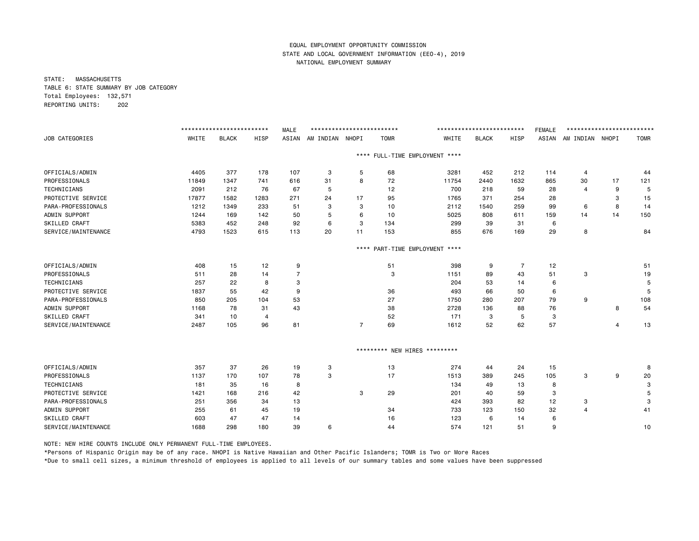STATE: MASSACHUSETTS TABLE 6: STATE SUMMARY BY JOB CATEGORY Total Employees: 132,571 REPORTING UNITS: 202

|                      |       | ************************* |                | <b>MALE</b>    | ************************** |                |             |                               | ************************* |                | <b>FEMALE</b> | ************************* |    |             |
|----------------------|-------|---------------------------|----------------|----------------|----------------------------|----------------|-------------|-------------------------------|---------------------------|----------------|---------------|---------------------------|----|-------------|
| JOB CATEGORIES       | WHITE | <b>BLACK</b>              | HISP           | ASIAN          | AM INDIAN NHOPI            |                | <b>TOMR</b> | WHITE                         | <b>BLACK</b>              | HISP           | ASIAN         | AM INDIAN NHOPI           |    | <b>TOMR</b> |
|                      |       |                           |                |                |                            | $***$ * *      |             | FULL-TIME EMPLOYMENT ****     |                           |                |               |                           |    |             |
| OFFICIALS/ADMIN      | 4405  | 377                       | 178            | 107            | 3                          | 5              | 68          | 3281                          | 452                       | 212            | 114           | 4                         |    | 44          |
| PROFESSIONALS        | 11849 | 1347                      | 741            | 616            | 31                         | 8              | 72          | 11754                         | 2440                      | 1632           | 865           | 30                        | 17 | 121         |
| TECHNICIANS          | 2091  | 212                       | 76             | 67             | 5                          |                | 12          | 700                           | 218                       | 59             | 28            | $\overline{4}$            | 9  | 5           |
| PROTECTIVE SERVICE   | 17877 | 1582                      | 1283           | 271            | 24                         | 17             | 95          | 1765                          | 371                       | 254            | 28            |                           | 3  | 15          |
| PARA-PROFESSIONALS   | 1212  | 1349                      | 233            | 51             | 3                          | 3              | 10          | 2112                          | 1540                      | 259            | 99            | 6                         | 8  | 14          |
| ADMIN SUPPORT        | 1244  | 169                       | 142            | 50             | 5                          | 6              | 10          | 5025                          | 808                       | 611            | 159           | 14                        | 14 | 150         |
| SKILLED CRAFT        | 5383  | 452                       | 248            | 92             | 6                          | 3              | 134         | 299                           | 39                        | 31             | 6             |                           |    |             |
| SERVICE/MAINTENANCE  | 4793  | 1523                      | 615            | 113            | 20                         | 11             | 153         | 855                           | 676                       | 169            | 29            | 8                         |    | 84          |
|                      |       |                           |                |                |                            | $***$ * *      |             | PART-TIME EMPLOYMENT ****     |                           |                |               |                           |    |             |
| OFFICIALS/ADMIN      | 408   | 15                        | 12             | 9              |                            |                | 51          | 398                           | 9                         | $\overline{7}$ | 12            |                           |    | 51          |
| PROFESSIONALS        | 511   | 28                        | 14             | $\overline{7}$ |                            |                | 3           | 1151                          | 89                        | 43             | 51            | 3                         |    | 19          |
| <b>TECHNICIANS</b>   | 257   | 22                        | 8              | 3              |                            |                |             | 204                           | 53                        | 14             | 6             |                           |    | 5           |
| PROTECTIVE SERVICE   | 1837  | 55                        | 42             | 9              |                            |                | 36          | 493                           | 66                        | 50             | 6             |                           |    | -5          |
| PARA-PROFESSIONALS   | 850   | 205                       | 104            | 53             |                            |                | 27          | 1750                          | 280                       | 207            | 79            | 9                         |    | 108         |
| ADMIN SUPPORT        | 1168  | 78                        | 31             | 43             |                            |                | 38          | 2728                          | 136                       | 88             | 76            |                           | 8  | 54          |
| SKILLED CRAFT        | 341   | 10                        | $\overline{4}$ |                |                            |                | 52          | 171                           | 3                         | 5              | 3             |                           |    |             |
| SERVICE/MAINTENANCE  | 2487  | 105                       | 96             | 81             |                            | $\overline{7}$ | 69          | 1612                          | 52                        | 62             | 57            |                           | 4  | 13          |
|                      |       |                           |                |                |                            |                |             | ********* NEW HIRES ********* |                           |                |               |                           |    |             |
| OFFICIALS/ADMIN      | 357   | 37                        | 26             | 19             | 3                          |                | 13          | 274                           | 44                        | 24             | 15            |                           |    | 8           |
| PROFESSIONALS        | 1137  | 170                       | 107            | 78             | 3                          |                | 17          | 1513                          | 389                       | 245            | 105           | 3                         | 9  | 20          |
| TECHNICIANS          | 181   | 35                        | 16             | 8              |                            |                |             | 134                           | 49                        | 13             | 8             |                           |    | 3           |
| PROTECTIVE SERVICE   | 1421  | 168                       | 216            | 42             |                            | 3              | 29          | 201                           | 40                        | 59             | 3             |                           |    | 5           |
| PARA-PROFESSIONALS   | 251   | 356                       | 34             | 13             |                            |                |             | 424                           | 393                       | 82             | 12            | 3                         |    | 3           |
| ADMIN SUPPORT        | 255   | 61                        | 45             | 19             |                            |                | 34          | 733                           | 123                       | 150            | 32            | $\overline{4}$            |    | 41          |
| <b>SKILLED CRAFT</b> | 603   | 47                        | 47             | 14             |                            |                | 16          | 123                           | 6                         | 14             | 6             |                           |    |             |
| SERVICE/MAINTENANCE  | 1688  | 298                       | 180            | 39             | 6                          |                | 44          | 574                           | 121                       | 51             | 9             |                           |    | 10          |

NOTE: NEW HIRE COUNTS INCLUDE ONLY PERMANENT FULL-TIME EMPLOYEES.

\*Persons of Hispanic Origin may be of any race. NHOPI is Native Hawaiian and Other Pacific Islanders; TOMR is Two or More Races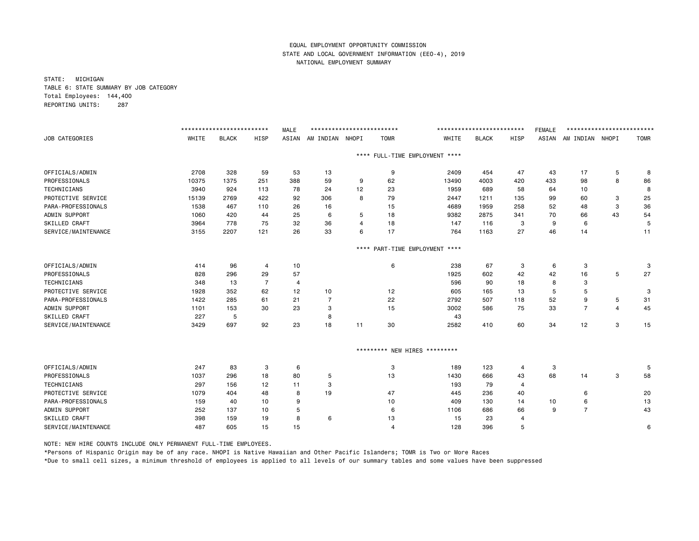STATE: MICHIGAN TABLE 6: STATE SUMMARY BY JOB CATEGORY Total Employees: 144,400 REPORTING UNITS: 287

|                      |       | ************************* |                | <b>MALE</b> | ************************** |           |                               |                           | ************************* |                | <b>FEMALE</b> | ************************* |    |             |
|----------------------|-------|---------------------------|----------------|-------------|----------------------------|-----------|-------------------------------|---------------------------|---------------------------|----------------|---------------|---------------------------|----|-------------|
| JOB CATEGORIES       | WHITE | <b>BLACK</b>              | HISP           | ASIAN       | AM INDIAN NHOPI            |           | <b>TOMR</b>                   | WHITE                     | <b>BLACK</b>              | HISP           | ASIAN         | AM INDIAN NHOPI           |    | <b>TOMR</b> |
|                      |       |                           |                |             |                            | $***$ * * |                               | FULL-TIME EMPLOYMENT **** |                           |                |               |                           |    |             |
| OFFICIALS/ADMIN      | 2708  | 328                       | 59             | 53          | 13                         |           | 9                             | 2409                      | 454                       | 47             | 43            | 17                        | 5  | 8           |
| PROFESSIONALS        | 10375 | 1375                      | 251            | 388         | 59                         | 9         | 62                            | 13490                     | 4003                      | 420            | 433           | 98                        | 8  | 86          |
| <b>TECHNICIANS</b>   | 3940  | 924                       | 113            | 78          | 24                         | 12        | 23                            | 1959                      | 689                       | 58             | 64            | 10                        |    | 8           |
| PROTECTIVE SERVICE   | 15139 | 2769                      | 422            | 92          | 306                        | 8         | 79                            | 2447                      | 1211                      | 135            | 99            | 60                        | 3  | 25          |
| PARA-PROFESSIONALS   | 1538  | 467                       | 110            | 26          | 16                         |           | 15                            | 4689                      | 1959                      | 258            | 52            | 48                        | 3  | 36          |
| ADMIN SUPPORT        | 1060  | 420                       | 44             | 25          | 6                          | 5         | 18                            | 9382                      | 2875                      | 341            | 70            | 66                        | 43 | 54          |
| SKILLED CRAFT        | 3964  | 778                       | 75             | 32          | 36                         | 4         | 18                            | 147                       | 116                       | 3              | 9             | 6                         |    | 5           |
| SERVICE/MAINTENANCE  | 3155  | 2207                      | 121            | 26          | 33                         | 6         | 17                            | 764                       | 1163                      | 27             | 46            | 14                        |    | 11          |
|                      |       |                           |                |             |                            | $***$ * * |                               | PART-TIME EMPLOYMENT **** |                           |                |               |                           |    |             |
| OFFICIALS/ADMIN      | 414   | 96                        | $\overline{4}$ | 10          |                            |           | 6                             | 238                       | 67                        | 3              | 6             | 3                         |    | 3           |
| PROFESSIONALS        | 828   | 296                       | 29             | 57          |                            |           |                               | 1925                      | 602                       | 42             | 42            | 16                        | 5  | 27          |
| <b>TECHNICIANS</b>   | 348   | 13                        | $\overline{7}$ | 4           |                            |           |                               | 596                       | 90                        | 18             | 8             | 3                         |    |             |
| PROTECTIVE SERVICE   | 1928  | 352                       | 62             | 12          | 10                         |           | 12                            | 605                       | 165                       | 13             | 5             | 5                         |    | 3           |
| PARA-PROFESSIONALS   | 1422  | 285                       | 61             | 21          | $\overline{7}$             |           | 22                            | 2792                      | 507                       | 118            | 52            | 9                         | 5  | 31          |
| ADMIN SUPPORT        | 1101  | 153                       | 30             | 23          | 3                          |           | 15                            | 3002                      | 586                       | 75             | 33            | $\overline{7}$            | 4  | 45          |
| SKILLED CRAFT        | 227   | 5                         |                |             | 8                          |           |                               | 43                        |                           |                |               |                           |    |             |
| SERVICE/MAINTENANCE  | 3429  | 697                       | 92             | 23          | 18                         | 11        | 30                            | 2582                      | 410                       | 60             | 34            | 12                        | 3  | 15          |
|                      |       |                           |                |             |                            |           | ********* NEW HIRES ********* |                           |                           |                |               |                           |    |             |
| OFFICIALS/ADMIN      | 247   | 83                        | 3              | 6           |                            |           | 3                             | 189                       | 123                       | 4              | 3             |                           |    | 5           |
| PROFESSIONALS        | 1037  | 296                       | 18             | 80          | 5                          |           | 13                            | 1430                      | 666                       | 43             | 68            | 14                        | 3  | 58          |
| <b>TECHNICIANS</b>   | 297   | 156                       | 12             | 11          | 3                          |           |                               | 193                       | 79                        | $\overline{4}$ |               |                           |    |             |
| PROTECTIVE SERVICE   | 1079  | 404                       | 48             | 8           | 19                         |           | 47                            | 445                       | 236                       | 40             |               | 6                         |    | 20          |
| PARA-PROFESSIONALS   | 159   | 40                        | 10             | 9           |                            |           | 10                            | 409                       | 130                       | 14             | 10            | 6                         |    | 13          |
| ADMIN SUPPORT        | 252   | 137                       | 10             | 5           |                            |           | 6                             | 1106                      | 686                       | 66             | 9             | $\overline{7}$            |    | 43          |
| <b>SKILLED CRAFT</b> | 398   | 159                       | 19             | 8           | 6                          |           | 13                            | 15                        | 23                        | 4              |               |                           |    |             |
| SERVICE/MAINTENANCE  | 487   | 605                       | 15             | 15          |                            |           | $\overline{4}$                | 128                       | 396                       | 5              |               |                           |    | 6           |

NOTE: NEW HIRE COUNTS INCLUDE ONLY PERMANENT FULL-TIME EMPLOYEES.

\*Persons of Hispanic Origin may be of any race. NHOPI is Native Hawaiian and Other Pacific Islanders; TOMR is Two or More Races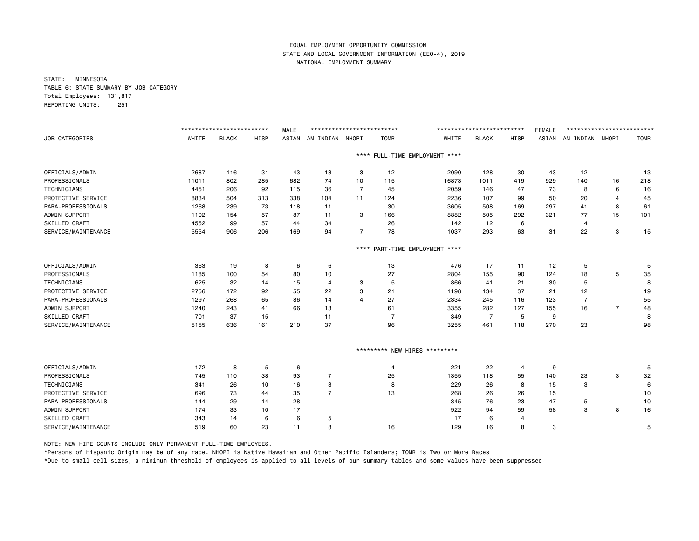STATE: MINNESOTA TABLE 6: STATE SUMMARY BY JOB CATEGORY Total Employees: 131,817 REPORTING UNITS: 251

|                      |       | ************************** |      | <b>MALE</b> | ************************** |                |                               |                                | ************************** |                | <b>FEMALE</b> | ************************** |                |             |
|----------------------|-------|----------------------------|------|-------------|----------------------------|----------------|-------------------------------|--------------------------------|----------------------------|----------------|---------------|----------------------------|----------------|-------------|
| JOB CATEGORIES       | WHITE | <b>BLACK</b>               | HISP | ASIAN       | AM INDIAN NHOPI            |                | <b>TOMR</b>                   | WHITE                          | <b>BLACK</b>               | HISP           | ASIAN         | AM INDIAN NHOPI            |                | <b>TOMR</b> |
|                      |       |                            |      |             |                            |                |                               | **** FULL-TIME EMPLOYMENT **** |                            |                |               |                            |                |             |
| OFFICIALS/ADMIN      | 2687  | 116                        | 31   | 43          | 13                         | 3              | 12                            | 2090                           | 128                        | 30             | 43            | 12                         |                | 13          |
| PROFESSIONALS        | 11011 | 802                        | 285  | 682         | 74                         | 10             | 115                           | 16873                          | 1011                       | 419            | 929           | 140                        | 16             | 218         |
| TECHNICIANS          | 4451  | 206                        | 92   | 115         | 36                         | $\overline{7}$ | 45                            | 2059                           | 146                        | 47             | 73            | 8                          | 6              | 16          |
| PROTECTIVE SERVICE   | 8834  | 504                        | 313  | 338         | 104                        | 11             | 124                           | 2236                           | 107                        | 99             | 50            | 20                         | 4              | 45          |
| PARA-PROFESSIONALS   | 1268  | 239                        | 73   | 118         | 11                         |                | 30                            | 3605                           | 508                        | 169            | 297           | 41                         | 8              | 61          |
| ADMIN SUPPORT        | 1102  | 154                        | 57   | 87          | 11                         | 3              | 166                           | 8882                           | 505                        | 292            | 321           | 77                         | 15             | 101         |
| SKILLED CRAFT        | 4552  | 99                         | 57   | 44          | 34                         |                | 26                            | 142                            | 12                         | 6              |               | 4                          |                |             |
| SERVICE/MAINTENANCE  | 5554  | 906                        | 206  | 169         | 94                         | $\overline{7}$ | 78                            | 1037                           | 293                        | 63             | 31            | 22                         | 3              | 15          |
|                      |       |                            |      |             |                            | $***$ * *      |                               | PART-TIME EMPLOYMENT ****      |                            |                |               |                            |                |             |
| OFFICIALS/ADMIN      | 363   | 19                         | 8    | 6           | 6                          |                | 13                            | 476                            | 17                         | 11             | 12            | 5                          |                | 5           |
| PROFESSIONALS        | 1185  | 100                        | 54   | 80          | 10                         |                | 27                            | 2804                           | 155                        | 90             | 124           | 18                         | 5              | 35          |
| <b>TECHNICIANS</b>   | 625   | 32                         | 14   | 15          | 4                          | 3              | 5                             | 866                            | 41                         | 21             | 30            | 5                          |                | 8           |
| PROTECTIVE SERVICE   | 2756  | 172                        | 92   | 55          | 22                         | 3              | 21                            | 1198                           | 134                        | 37             | 21            | 12                         |                | 19          |
| PARA-PROFESSIONALS   | 1297  | 268                        | 65   | 86          | 14                         | $\overline{4}$ | 27                            | 2334                           | 245                        | 116            | 123           | $\overline{7}$             |                | 55          |
| ADMIN SUPPORT        | 1240  | 243                        | 41   | 66          | 13                         |                | 61                            | 3355                           | 282                        | 127            | 155           | 16                         | $\overline{7}$ | 48          |
| SKILLED CRAFT        | 701   | 37                         | 15   |             | 11                         |                | $\overline{7}$                | 349                            | $\overline{7}$             | 5              | 9             |                            |                | 8           |
| SERVICE/MAINTENANCE  | 5155  | 636                        | 161  | 210         | 37                         |                | 96                            | 3255                           | 461                        | 118            | 270           | 23                         |                | 98          |
|                      |       |                            |      |             |                            |                | ********* NEW HIRES ********* |                                |                            |                |               |                            |                |             |
| OFFICIALS/ADMIN      | 172   | 8                          | 5    | 6           |                            |                | $\overline{4}$                | 221                            | 22                         | $\overline{4}$ | 9             |                            |                | 5           |
| PROFESSIONALS        | 745   | 110                        | 38   | 93          | 7                          |                | 25                            | 1355                           | 118                        | 55             | 140           | 23                         | 3              | 32          |
| <b>TECHNICIANS</b>   | 341   | 26                         | 10   | 16          | 3                          |                | 8                             | 229                            | 26                         | 8              | 15            | 3                          |                | 6           |
| PROTECTIVE SERVICE   | 696   | 73                         | 44   | 35          | $\overline{7}$             |                | 13                            | 268                            | 26                         | 26             | 15            |                            |                | 10          |
| PARA-PROFESSIONALS   | 144   | 29                         | 14   | 28          |                            |                |                               | 345                            | 76                         | 23             | 47            | 5                          |                | 10          |
| ADMIN SUPPORT        | 174   | 33                         | 10   | 17          |                            |                |                               | 922                            | 94                         | 59             | 58            | 3                          | 8              | 16          |
| <b>SKILLED CRAFT</b> | 343   | 14                         | 6    | 6           | 5                          |                |                               | 17                             | 6                          | 4              |               |                            |                |             |
| SERVICE/MAINTENANCE  | 519   | 60                         | 23   | 11          | 8                          |                | 16                            | 129                            | 16                         | 8              | 3             |                            |                | 5           |

NOTE: NEW HIRE COUNTS INCLUDE ONLY PERMANENT FULL-TIME EMPLOYEES.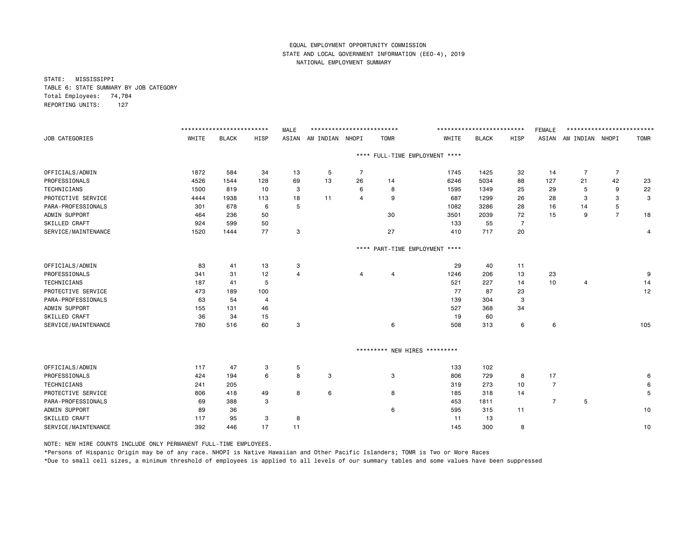STATE: MISSISSIPPI TABLE 6: STATE SUMMARY BY JOB CATEGORY Total Employees: 74,784 REPORTING UNITS: 127

|                       |       | ************************** |             | <b>MALE</b> | ************************** |                |                               |                                | ************************** |                | <b>FEMALE</b>  | ************************** |                |             |
|-----------------------|-------|----------------------------|-------------|-------------|----------------------------|----------------|-------------------------------|--------------------------------|----------------------------|----------------|----------------|----------------------------|----------------|-------------|
| <b>JOB CATEGORIES</b> | WHITE | <b>BLACK</b>               | <b>HISP</b> |             | ASIAN AM INDIAN NHOPI      |                | <b>TOMR</b>                   | WHITE                          | <b>BLACK</b>               | <b>HISP</b>    |                | ASIAN AM INDIAN NHOPI      |                | <b>TOMR</b> |
|                       |       |                            |             |             |                            |                |                               | **** FULL-TIME EMPLOYMENT **** |                            |                |                |                            |                |             |
| OFFICIALS/ADMIN       | 1872  | 584                        | 34          | 13          | 5                          | $\overline{7}$ |                               | 1745                           | 1425                       | 32             | 14             | $\overline{7}$             | $\overline{7}$ |             |
| PROFESSIONALS         | 4526  | 1544                       | 128         | 69          | 13                         | 26             | 14                            | 6246                           | 5034                       | 88             | 127            | 21                         | 42             | 23          |
| TECHNICIANS           | 1500  | 819                        | 10          | 3           |                            | 6              | 8                             | 1595                           | 1349                       | 25             | 29             | 5                          | 9              | 22          |
| PROTECTIVE SERVICE    | 4444  | 1938                       | 113         | 18          | 11                         | 4              | 9                             | 687                            | 1299                       | 26             | 28             | 3                          | 3              | 3           |
| PARA-PROFESSIONALS    | 301   | 678                        | 6           | 5           |                            |                |                               | 1082                           | 3286                       | 28             | 16             | 14                         | 5              |             |
| ADMIN SUPPORT         | 464   | 236                        | 50          |             |                            |                | 30                            | 3501                           | 2039                       | 72             | 15             | 9                          | $\overline{7}$ | 18          |
| SKILLED CRAFT         | 924   | 599                        | 50          |             |                            |                |                               | 133                            | 55                         | $\overline{7}$ |                |                            |                |             |
| SERVICE/MAINTENANCE   | 1520  | 1444                       | 77          | 3           |                            |                | 27                            | 410                            | 717                        | 20             |                |                            |                | 4           |
|                       |       |                            |             |             |                            |                |                               | **** PART-TIME EMPLOYMENT **** |                            |                |                |                            |                |             |
| OFFICIALS/ADMIN       | 83    | 41                         | 13          | 3           |                            |                |                               | 29                             | 40                         | 11             |                |                            |                |             |
| PROFESSIONALS         | 341   | 31                         | 12          | 4           |                            | 4              | $\overline{4}$                | 1246                           | 206                        | 13             | 23             |                            |                | 9           |
| TECHNICIANS           | 187   | 41                         | 5           |             |                            |                |                               | 521                            | 227                        | 14             | 10             | $\overline{4}$             |                | 14          |
| PROTECTIVE SERVICE    | 473   | 189                        | 100         |             |                            |                |                               | 77                             | 87                         | 23             |                |                            |                | 12          |
| PARA-PROFESSIONALS    | 63    | 54                         | 4           |             |                            |                |                               | 139                            | 304                        | 3              |                |                            |                |             |
| ADMIN SUPPORT         | 155   | 131                        | 46          |             |                            |                |                               | 527                            | 368                        | 34             |                |                            |                |             |
| SKILLED CRAFT         | 36    | 34                         | 15          |             |                            |                |                               | 19                             | 60                         |                |                |                            |                |             |
| SERVICE/MAINTENANCE   | 780   | 516                        | 60          | 3           |                            |                | 6                             | 508                            | 313                        | 6              | 6              |                            |                | 105         |
|                       |       |                            |             |             |                            |                | ********* NEW HIRES ********* |                                |                            |                |                |                            |                |             |
| OFFICIALS/ADMIN       | 117   | 47                         | 3           | 5           |                            |                |                               | 133                            | 102                        |                |                |                            |                |             |
| PROFESSIONALS         | 424   | 194                        | 6           | 8           | 3                          |                | 3                             | 806                            | 729                        | 8              | 17             |                            |                | 6           |
| TECHNICIANS           | 241   | 205                        |             |             |                            |                |                               | 319                            | 273                        | 10             | $\overline{7}$ |                            |                | 6           |
| PROTECTIVE SERVICE    | 806   | 418                        | 49          | 8           | 6                          |                | 8                             | 185                            | 318                        | 14             |                |                            |                | 5           |
| PARA-PROFESSIONALS    | 69    | 388                        | 3           |             |                            |                |                               | 453                            | 1811                       |                | $\overline{7}$ | 5                          |                |             |
| ADMIN SUPPORT         | 89    | 36                         |             |             |                            |                | 6                             | 595                            | 315                        | 11             |                |                            |                | 10          |
| SKILLED CRAFT         | 117   | 95                         | 3           | 8           |                            |                |                               | 11                             | 13                         |                |                |                            |                |             |
| SERVICE/MAINTENANCE   | 392   | 446                        | 17          | 11          |                            |                |                               | 145                            | 300                        | 8              |                |                            |                | 10          |

NOTE: NEW HIRE COUNTS INCLUDE ONLY PERMANENT FULL-TIME EMPLOYEES.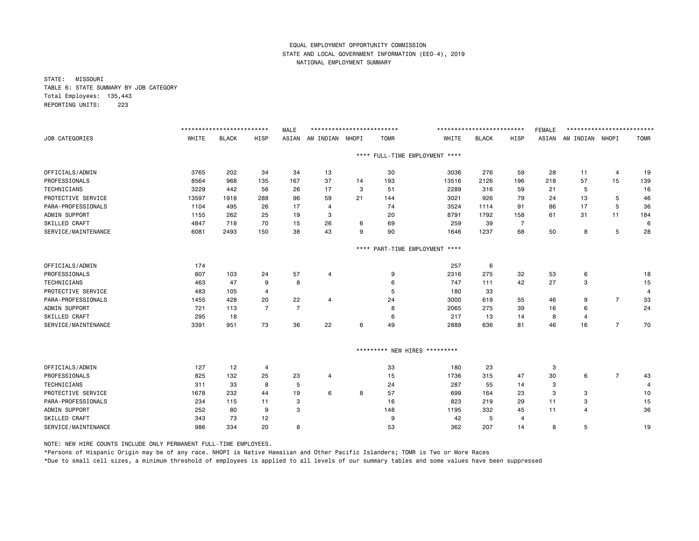STATE: MISSOURI TABLE 6: STATE SUMMARY BY JOB CATEGORY Total Employees: 135,443 REPORTING UNITS: 223

|                       |       | ************************* |                | <b>MALE</b>    | ************************** |      |             |                                | ************************** |                | <b>FEMALE</b> | ************************* |                |             |
|-----------------------|-------|---------------------------|----------------|----------------|----------------------------|------|-------------|--------------------------------|----------------------------|----------------|---------------|---------------------------|----------------|-------------|
| <b>JOB CATEGORIES</b> | WHITE | <b>BLACK</b>              | HISP           | ASIAN          | AM INDIAN NHOPI            |      | <b>TOMR</b> | WHITE                          | <b>BLACK</b>               | HISP           | ASIAN         | AM INDIAN NHOPI           |                | <b>TOMR</b> |
|                       |       |                           |                |                |                            |      |             | **** FULL-TIME EMPLOYMENT **** |                            |                |               |                           |                |             |
| OFFICIALS/ADMIN       | 3765  | 202                       | 34             | 34             | 13                         |      | 30          | 3036                           | 276                        | 59             | 28            | 11                        | 4              | 19          |
| PROFESSIONALS         | 8564  | 968                       | 135            | 167            | 37                         | 14   | 193         | 13516                          | 2126                       | 196            | 218           | 57                        | 15             | 139         |
| <b>TECHNICIANS</b>    | 3229  | 442                       | 56             | 26             | 17                         | 3    | 51          | 2289                           | 316                        | 59             | 21            | 5                         |                | 16          |
| PROTECTIVE SERVICE    | 13597 | 1918                      | 288            | 96             | 59                         | 21   | 144         | 3021                           | 926                        | 79             | 24            | 13                        | 5              | 46          |
| PARA-PROFESSIONALS    | 1104  | 495                       | 26             | 17             | $\overline{4}$             |      | 74          | 3524                           | 1114                       | 91             | 86            | 17                        | 5              | 36          |
| ADMIN SUPPORT         | 1155  | 262                       | 25             | 19             | 3                          |      | 20          | 8791                           | 1792                       | 158            | 61            | 31                        | 11             | 184         |
| SKILLED CRAFT         | 4847  | 718                       | 70             | 15             | 26                         | 6    | 69          | 259                            | 39                         | $\overline{7}$ |               |                           |                | 6           |
| SERVICE/MAINTENANCE   | 6081  | 2493                      | 150            | 38             | 43                         | 9    | 90          | 1646                           | 1237                       | 68             | 50            | 8                         | 5              | 28          |
|                       |       |                           |                |                |                            | **** |             | PART-TIME EMPLOYMENT ****      |                            |                |               |                           |                |             |
| OFFICIALS/ADMIN       | 174   |                           |                |                |                            |      |             | 257                            | 6                          |                |               |                           |                |             |
| PROFESSIONALS         | 807   | 103                       | 24             | 57             | 4                          |      | 9           | 2316                           | 275                        | 32             | 53            | 6                         |                | 18          |
| TECHNICIANS           | 463   | 47                        | 9              | 8              |                            |      | 6           | 747                            | 111                        | 42             | 27            | 3                         |                | 15          |
| PROTECTIVE SERVICE    | 483   | 105                       | $\overline{4}$ |                |                            |      | 5           | 180                            | 33                         |                |               |                           |                | 4           |
| PARA-PROFESSIONALS    | 1455  | 428                       | 20             | 22             | 4                          |      | 24          | 3000                           | 619                        | 55             | 46            | 9                         | $\overline{7}$ | 33          |
| ADMIN SUPPORT         | 721   | 113                       | $\overline{7}$ | $\overline{7}$ |                            |      | 8           | 2065                           | 275                        | 39             | 16            | 6                         |                | 24          |
| SKILLED CRAFT         | 295   | 18                        |                |                |                            |      | 6           | 217                            | 13                         | 14             | 8             | $\overline{4}$            |                |             |
| SERVICE/MAINTENANCE   | 3391  | 951                       | 73             | 36             | 22                         | 6    | 49          | 2889                           | 636                        | 81             | 46            | 16                        | $\overline{7}$ | 70          |
|                       |       |                           |                |                |                            |      |             | ********* NEW HIRES *********  |                            |                |               |                           |                |             |
| OFFICIALS/ADMIN       | 127   | 12                        | $\overline{a}$ |                |                            |      | 33          | 180                            | 23                         |                | 3             |                           |                |             |
| PROFESSIONALS         | 825   | 132                       | 25             | 23             | 4                          |      | 15          | 1736                           | 315                        | 47             | 30            | 6                         | $\overline{7}$ | 43          |
| TECHNICIANS           | 311   | 33                        | 8              | 5              |                            |      | 24          | 287                            | 55                         | 14             | 3             |                           |                |             |
| PROTECTIVE SERVICE    | 1678  | 232                       | 44             | 19             | 6                          | 8    | 57          | 699                            | 164                        | 23             | 3             | з                         |                | 10          |
| PARA-PROFESSIONALS    | 234   | 115                       | 11             | 3              |                            |      | 16          | 823                            | 219                        | 29             | 11            | 3                         |                | 15          |
| ADMIN SUPPORT         | 252   | 80                        | 9              | 3              |                            |      | 148         | 1195                           | 332                        | 45             | 11            | $\overline{4}$            |                | 36          |
| SKILLED CRAFT         | 343   | 73                        | 12             |                |                            |      | 9           | 42                             | 5                          | 4              |               |                           |                |             |
| SERVICE/MAINTENANCE   | 986   | 334                       | 20             | 8              |                            |      | 53          | 362                            | 207                        | 14             | 8             | 5                         |                | 19          |

NOTE: NEW HIRE COUNTS INCLUDE ONLY PERMANENT FULL-TIME EMPLOYEES.

\*Persons of Hispanic Origin may be of any race. NHOPI is Native Hawaiian and Other Pacific Islanders; TOMR is Two or More Races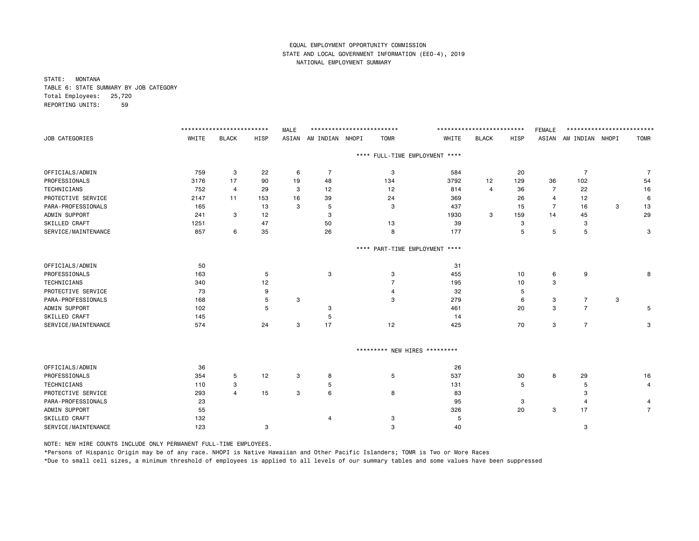STATE: MONTANA TABLE 6: STATE SUMMARY BY JOB CATEGORY Total Employees: 25,720 REPORTING UNITS: 59

|                     |       | ************************* |      | <b>MALE</b> | ************************** |             |                                | ************************** |      | <b>FEMALE</b>  | ************************** |   |                |
|---------------------|-------|---------------------------|------|-------------|----------------------------|-------------|--------------------------------|----------------------------|------|----------------|----------------------------|---|----------------|
| JOB CATEGORIES      | WHITE | <b>BLACK</b>              | HISP | ASIAN       | AM INDIAN NHOPI            | <b>TOMR</b> | WHITE                          | <b>BLACK</b>               | HISP |                | ASIAN AM INDIAN NHOPI      |   | <b>TOMR</b>    |
|                     |       |                           |      |             |                            |             | **** FULL-TIME EMPLOYMENT **** |                            |      |                |                            |   |                |
| OFFICIALS/ADMIN     | 759   | 3                         | 22   | 6           | 7                          | 3           | 584                            |                            | 20   |                | 7                          |   | -7             |
| PROFESSIONALS       | 3176  | 17                        | 90   | 19          | 48                         | 134         | 3792                           | 12                         | 129  | 36             | 102                        |   | 54             |
| TECHNICIANS         | 752   | 4                         | 29   | 3           | 12                         | 12          | 814                            | $\overline{4}$             | 36   | $\overline{7}$ | 22                         |   | 16             |
| PROTECTIVE SERVICE  | 2147  | 11                        | 153  | 16          | 39                         | 24          | 369                            |                            | 26   | 4              | 12                         |   | 6              |
| PARA-PROFESSIONALS  | 165   |                           | 13   | 3           | 5                          | 3           | 437                            |                            | 15   | $\overline{7}$ | 16                         | 3 | 13             |
| ADMIN SUPPORT       | 241   | 3                         | 12   |             | 3                          |             | 1930                           | 3                          | 159  | 14             | 45                         |   | 29             |
| SKILLED CRAFT       | 1251  |                           | 47   |             | 50                         | 13          | 39                             |                            | 3    |                | 3                          |   |                |
| SERVICE/MAINTENANCE | 857   | 6                         | 35   |             | 26                         | 8           | 177                            |                            | 5    | 5              | 5                          |   | 3              |
|                     |       |                           |      |             |                            |             | **** PART-TIME EMPLOYMENT **** |                            |      |                |                            |   |                |
| OFFICIALS/ADMIN     | 50    |                           |      |             |                            |             | 31                             |                            |      |                |                            |   |                |
| PROFESSIONALS       | 163   |                           | 5    |             | 3                          | 3           | 455                            |                            | 10   | 6              | 9                          |   | 8              |
| TECHNICIANS         | 340   |                           | 12   |             |                            | 7           | 195                            |                            | 10   | 3              |                            |   |                |
| PROTECTIVE SERVICE  | 73    |                           | 9    |             |                            | 4           | 32                             |                            | 5    |                |                            |   |                |
| PARA-PROFESSIONALS  | 168   |                           | 5    | 3           |                            | 3           | 279                            |                            | 6    | 3              | $\overline{7}$             | 3 |                |
| ADMIN SUPPORT       | 102   |                           | 5    |             | 3                          |             | 461                            |                            | 20   | 3              | $\overline{7}$             |   | 5              |
| SKILLED CRAFT       | 145   |                           |      |             | 5                          |             | 14                             |                            |      |                |                            |   |                |
| SERVICE/MAINTENANCE | 574   |                           | 24   | 3           | 17                         | 12          | 425                            |                            | 70   | 3              | $\overline{7}$             |   | 3              |
|                     |       |                           |      |             |                            |             | ********* NEW HIRES *********  |                            |      |                |                            |   |                |
|                     |       |                           |      |             |                            |             |                                |                            |      |                |                            |   |                |
| OFFICIALS/ADMIN     | 36    |                           |      |             |                            |             | 26                             |                            |      |                |                            |   |                |
| PROFESSIONALS       | 354   | 5                         | 12   | 3           | 8                          | 5           | 537                            |                            | 30   | 8              | 29                         |   | 16             |
| TECHNICIANS         | 110   | 3                         |      |             | 5                          |             | 131                            |                            | 5    |                | 5                          |   | 4              |
| PROTECTIVE SERVICE  | 293   | Δ                         | 15   | 3           | 6                          | 8           | 83                             |                            |      |                | 3                          |   |                |
| PARA-PROFESSIONALS  | 23    |                           |      |             |                            |             | 95                             |                            | 3    |                | 4                          |   | 4              |
| ADMIN SUPPORT       | 55    |                           |      |             |                            |             | 326                            |                            | 20   | 3              | 17                         |   | $\overline{7}$ |
| SKILLED CRAFT       | 132   |                           |      |             | 4                          | 3           | 5                              |                            |      |                |                            |   |                |
| SERVICE/MAINTENANCE | 123   |                           | 3    |             |                            | 3           | 40                             |                            |      |                | 3                          |   |                |

NOTE: NEW HIRE COUNTS INCLUDE ONLY PERMANENT FULL-TIME EMPLOYEES.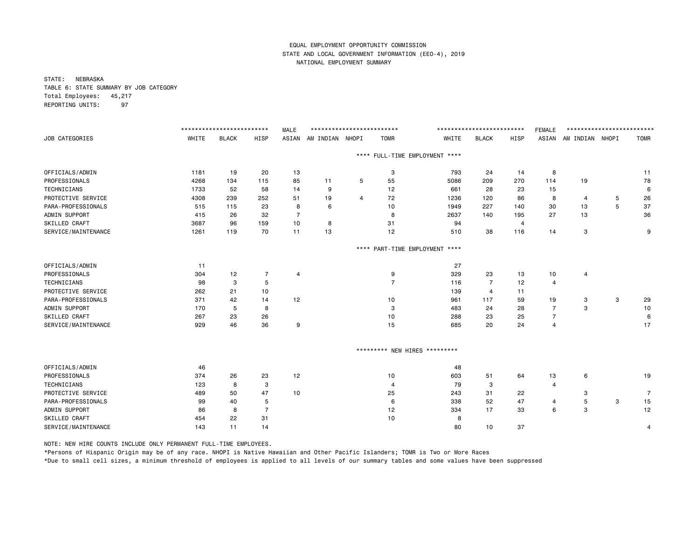STATE: NEBRASKA TABLE 6: STATE SUMMARY BY JOB CATEGORY Total Employees: 45,217 REPORTING UNITS: 97

|                                  |       | ************************** |                | <b>MALE</b>    | ************************** |   |                               |                                | ************************** |      | <b>FEMALE</b>  | ************************** |   |                |
|----------------------------------|-------|----------------------------|----------------|----------------|----------------------------|---|-------------------------------|--------------------------------|----------------------------|------|----------------|----------------------------|---|----------------|
| <b>JOB CATEGORIES</b>            | WHITE | <b>BLACK</b>               | HISP           | ASIAN          | AM INDIAN NHOPI            |   | <b>TOMR</b>                   | WHITE                          | <b>BLACK</b>               | HISP | ASIAN          | AM INDIAN NHOPI            |   | <b>TOMR</b>    |
|                                  |       |                            |                |                |                            |   |                               | **** FULL-TIME EMPLOYMENT **** |                            |      |                |                            |   |                |
| OFFICIALS/ADMIN                  | 1181  | 19                         | 20             | 13             |                            |   | 3                             | 793                            | 24                         | 14   | 8              |                            |   | 11             |
| PROFESSIONALS                    | 4268  | 134                        | 115            | 85             | 11                         | 5 | 55                            | 5086                           | 209                        | 270  | 114            | 19                         |   | 78             |
| TECHNICIANS                      | 1733  | 52                         | 58             | 14             | 9                          |   | 12                            | 661                            | 28                         | 23   | 15             |                            |   | 6              |
| PROTECTIVE SERVICE               | 4308  | 239                        | 252            | 51             | 19                         | 4 | 72                            | 1236                           | 120                        | 86   | 8              | 4                          | 5 | 26             |
| PARA-PROFESSIONALS               | 515   | 115                        | 23             | 8              | 6                          |   | 10                            | 1949                           | 227                        | 140  | 30             | 13                         | 5 | 37             |
| ADMIN SUPPORT                    | 415   | 26                         | 32             | $\overline{7}$ |                            |   | 8                             | 2637                           | 140                        | 195  | 27             | 13                         |   | 36             |
| SKILLED CRAFT                    | 3687  | 96                         | 159            | 10             | 8                          |   | 31                            | 94                             |                            | 4    |                |                            |   |                |
| SERVICE/MAINTENANCE              | 1261  | 119                        | 70             | 11             | 13                         |   | 12                            | 510                            | 38                         | 116  | 14             | 3                          |   | 9              |
|                                  |       |                            |                |                |                            |   |                               | **** PART-TIME EMPLOYMENT **** |                            |      |                |                            |   |                |
| OFFICIALS/ADMIN                  | 11    |                            |                |                |                            |   |                               | 27                             |                            |      |                |                            |   |                |
| PROFESSIONALS                    | 304   | 12                         | 7              | 4              |                            |   | 9                             | 329                            | 23                         | 13   | 10             | 4                          |   |                |
| TECHNICIANS                      | 98    | 3                          | 5              |                |                            |   | $\overline{7}$                | 116                            | $\overline{7}$             | 12   | 4              |                            |   |                |
| PROTECTIVE SERVICE               | 262   | 21                         | 10             |                |                            |   |                               | 139                            | $\overline{4}$             | 11   |                |                            |   |                |
| PARA-PROFESSIONALS               | 371   | 42                         | 14             | 12             |                            |   | 10                            | 961                            | 117                        | 59   | 19             | 3                          | 3 | 29             |
| ADMIN SUPPORT                    | 170   | 5                          | 8              |                |                            |   | 3                             | 483                            | 24                         | 28   | $\overline{7}$ | 3                          |   | 10             |
| SKILLED CRAFT                    | 267   | 23                         | 26             |                |                            |   | 10                            | 288                            | 23                         | 25   | $\overline{7}$ |                            |   | 6              |
| SERVICE/MAINTENANCE              | 929   | 46                         | 36             | 9              |                            |   | 15                            | 685                            | 20                         | 24   | 4              |                            |   | 17             |
|                                  |       |                            |                |                |                            |   | ********* NEW HIRES ********* |                                |                            |      |                |                            |   |                |
|                                  |       |                            |                |                |                            |   |                               |                                |                            |      |                |                            |   |                |
| OFFICIALS/ADMIN<br>PROFESSIONALS | 46    |                            |                |                |                            |   |                               | 48                             |                            |      |                |                            |   |                |
|                                  | 374   | 26                         | 23             | 12             |                            |   | 10                            | 603                            | 51                         | 64   | 13             | 6                          |   | 19             |
| TECHNICIANS                      | 123   | 8                          | 3              |                |                            |   | 4                             | 79                             | 3                          |      | 4              |                            |   |                |
| PROTECTIVE SERVICE               | 489   | 50                         | 47             | 10             |                            |   | 25                            | 243                            | 31                         | 22   |                | 3                          |   | $\overline{7}$ |
| PARA-PROFESSIONALS               | 99    | 40                         | 5              |                |                            |   | 6                             | 338                            | 52                         | 47   | 4              | 5                          | 3 | 15             |
| ADMIN SUPPORT                    | 86    | 8                          | $\overline{7}$ |                |                            |   | 12                            | 334                            | 17                         | 33   | 6              | 3                          |   | 12             |
| SKILLED CRAFT                    | 454   | 22                         | 31             |                |                            |   | 10                            | 8                              |                            |      |                |                            |   |                |
| SERVICE/MAINTENANCE              | 143   | 11                         | 14             |                |                            |   |                               | 80                             | 10                         | 37   |                |                            |   | 4              |

NOTE: NEW HIRE COUNTS INCLUDE ONLY PERMANENT FULL-TIME EMPLOYEES.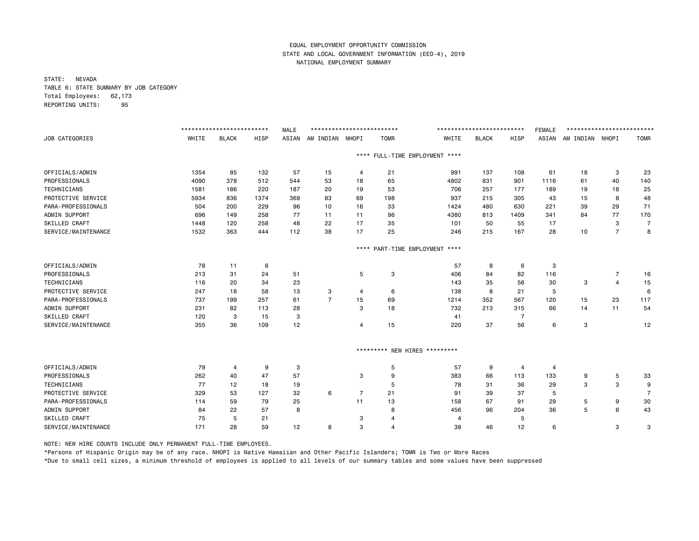STATE: NEVADA TABLE 6: STATE SUMMARY BY JOB CATEGORY Total Employees: 62,173 REPORTING UNITS: 95

|                      |       | ************************* |      | <b>MALE</b> | ************************** |                |                |                               | ************************* |                | <b>FEMALE</b> | ************************* |                |                |
|----------------------|-------|---------------------------|------|-------------|----------------------------|----------------|----------------|-------------------------------|---------------------------|----------------|---------------|---------------------------|----------------|----------------|
| JOB CATEGORIES       | WHITE | <b>BLACK</b>              | HISP | ASIAN       | AM INDIAN                  | NHOPI          | <b>TOMR</b>    | WHITE                         | <b>BLACK</b>              | HISP           | ASIAN         | AM INDIAN NHOPI           |                | <b>TOMR</b>    |
|                      |       |                           |      |             |                            | $***$ * *      |                | FULL-TIME EMPLOYMENT ****     |                           |                |               |                           |                |                |
| OFFICIALS/ADMIN      | 1354  | 85                        | 132  | 57          | 15                         | 4              | 21             | 991                           | 137                       | 108            | 61            | 18                        | 3              | 23             |
| PROFESSIONALS        | 4090  | 378                       | 512  | 544         | 53                         | 18             | 65             | 4802                          | 831                       | 901            | 1116          | 61                        | 40             | 140            |
| TECHNICIANS          | 1581  | 186                       | 220  | 187         | 20                         | 19             | 53             | 706                           | 257                       | 177            | 189           | 19                        | 18             | 25             |
| PROTECTIVE SERVICE   | 5934  | 836                       | 1374 | 369         | 83                         | 69             | 198            | 937                           | 215                       | 305            | 43            | 15                        | 8              | 48             |
| PARA-PROFESSIONALS   | 504   | 200                       | 229  | 96          | 10                         | 16             | 33             | 1424                          | 480                       | 630            | 221           | 39                        | 29             | 71             |
| ADMIN SUPPORT        | 696   | 149                       | 258  | 77          | 11                         | 11             | 96             | 4380                          | 813                       | 1409           | 341           | 84                        | 77             | 170            |
| SKILLED CRAFT        | 1448  | 120                       | 258  | 48          | 22                         | 17             | 35             | 101                           | 50                        | 55             | 17            |                           | 3              | 7              |
| SERVICE/MAINTENANCE  | 1532  | 363                       | 444  | 112         | 38                         | 17             | 25             | 246                           | 215                       | 167            | 28            | 10                        | $\overline{7}$ | 8              |
|                      |       |                           |      |             |                            | ****           |                | PART-TIME EMPLOYMENT ****     |                           |                |               |                           |                |                |
| OFFICIALS/ADMIN      | 78    | 11                        | 6    |             |                            |                |                | 57                            | 8                         | 6              | 3             |                           |                |                |
| PROFESSIONALS        | 213   | 31                        | 24   | 51          |                            | 5              | 3              | 406                           | 84                        | 82             | 116           |                           | 7              | 16             |
| <b>TECHNICIANS</b>   | 116   | 20                        | 34   | 23          |                            |                |                | 143                           | 35                        | 56             | 30            | 3                         | $\overline{4}$ | 15             |
| PROTECTIVE SERVICE   | 247   | 18                        | 58   | 13          | 3                          | 4              | 6              | 138                           | 8                         | 21             | 5             |                           |                | 6              |
| PARA-PROFESSIONALS   | 737   | 199                       | 257  | 61          | $\overline{7}$             | 15             | 69             | 1214                          | 352                       | 567            | 120           | 15                        | 23             | 117            |
| ADMIN SUPPORT        | 231   | 82                        | 113  | 28          |                            | 3              | 18             | 732                           | 213                       | 315            | 66            | 14                        | 11             | 54             |
| SKILLED CRAFT        | 120   | 3                         | 15   | 3           |                            |                |                | 41                            |                           | 7              |               |                           |                |                |
| SERVICE/MAINTENANCE  | 355   | 36                        | 109  | 12          |                            | 4              | 15             | 220                           | 37                        | 56             | 6             | 3                         |                | 12             |
|                      |       |                           |      |             |                            |                |                | ********* NEW HIRES ********* |                           |                |               |                           |                |                |
| OFFICIALS/ADMIN      | 79    | $\overline{4}$            | 9    | 3           |                            |                | 5              | 57                            | 9                         | $\overline{4}$ | 4             |                           |                |                |
| PROFESSIONALS        | 262   | 40                        | 47   | 57          |                            | 3              | 9              | 383                           | 66                        | 113            | 133           | 9                         | 5              | 33             |
| TECHNICIANS          | 77    | 12                        | 18   | 19          |                            |                | 5              | 78                            | 31                        | 36             | 29            | 3                         | 3              | 9              |
| PROTECTIVE SERVICE   | 329   | 53                        | 127  | 32          | 6                          | $\overline{7}$ | 21             | 91                            | 39                        | 37             | 5             |                           |                | $\overline{7}$ |
| PARA-PROFESSIONALS   | 114   | 59                        | 79   | 25          |                            | 11             | 13             | 158                           | 67                        | 91             | 29            | 5                         | 9              | 30             |
| ADMIN SUPPORT        | 84    | 22                        | 57   | 8           |                            |                | 8              | 456                           | 96                        | 204            | 36            | 5                         | 6              | 43             |
| <b>SKILLED CRAFT</b> | 75    | 5                         | 21   |             |                            | 3              | 4              | 4                             |                           | 5              |               |                           |                |                |
| SERVICE/MAINTENANCE  | 171   | 28                        | 59   | 12          | 8                          | 3              | $\overline{4}$ | 38                            | 46                        | 12             | 6             |                           | 3              | 3              |

NOTE: NEW HIRE COUNTS INCLUDE ONLY PERMANENT FULL-TIME EMPLOYEES.

\*Persons of Hispanic Origin may be of any race. NHOPI is Native Hawaiian and Other Pacific Islanders; TOMR is Two or More Races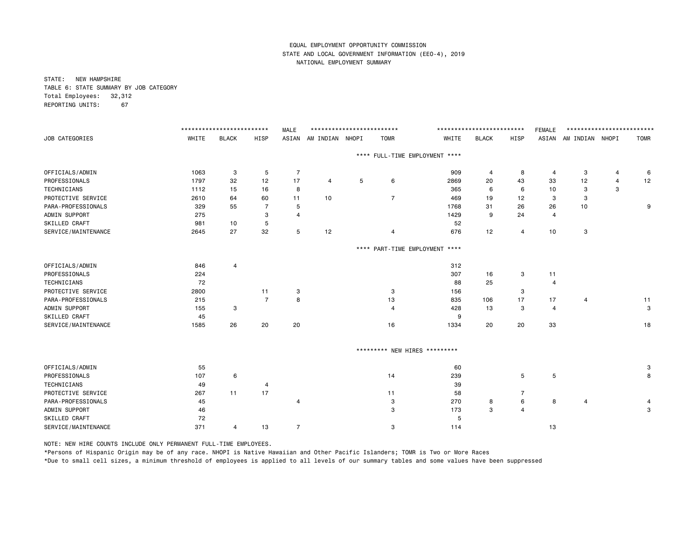STATE: NEW HAMPSHIRE TABLE 6: STATE SUMMARY BY JOB CATEGORY Total Employees: 32,312 REPORTING UNITS: 67

|                     |       | ************************** |                | <b>MALE</b>    | ************************** |       |                               |                                | ************************** |                | <b>FEMALE</b> | ************************** |   |             |
|---------------------|-------|----------------------------|----------------|----------------|----------------------------|-------|-------------------------------|--------------------------------|----------------------------|----------------|---------------|----------------------------|---|-------------|
| JOB CATEGORIES      | WHITE | <b>BLACK</b>               | HISP           | ASIAN          | AM INDIAN                  | NHOPI | <b>TOMR</b>                   | WHITE                          | <b>BLACK</b>               | HISP           |               | ASIAN AM INDIAN NHOPI      |   | <b>TOMR</b> |
|                     |       |                            |                |                |                            |       |                               | **** FULL-TIME EMPLOYMENT **** |                            |                |               |                            |   |             |
| OFFICIALS/ADMIN     | 1063  | 3                          | 5              | $\overline{7}$ |                            |       |                               | 909                            | 4                          | 8              | 4             | 3                          | 4 | 6           |
| PROFESSIONALS       | 1797  | 32                         | 12             | 17             | 4                          | 5     | 6                             | 2869                           | 20                         | 43             | 33            | 12                         | 4 | 12          |
| <b>TECHNICIANS</b>  | 1112  | 15                         | 16             | 8              |                            |       |                               | 365                            | 6                          | 6              | 10            | 3                          | 3 |             |
| PROTECTIVE SERVICE  | 2610  | 64                         | 60             | 11             | 10                         |       | $\overline{7}$                | 469                            | 19                         | 12             | 3             | 3                          |   |             |
| PARA-PROFESSIONALS  | 329   | 55                         | 7              | 5              |                            |       |                               | 1768                           | 31                         | 26             | 26            | 10                         |   | 9           |
| ADMIN SUPPORT       | 275   |                            | 3              | $\overline{4}$ |                            |       |                               | 1429                           | 9                          | 24             | 4             |                            |   |             |
| SKILLED CRAFT       | 981   | 10                         | 5              |                |                            |       |                               | 52                             |                            |                |               |                            |   |             |
| SERVICE/MAINTENANCE | 2645  | 27                         | 32             | 5              | 12                         |       | 4                             | 676                            | 12                         | 4              | 10            | 3                          |   |             |
|                     |       |                            |                |                |                            |       |                               | **** PART-TIME EMPLOYMENT **** |                            |                |               |                            |   |             |
| OFFICIALS/ADMIN     | 846   | 4                          |                |                |                            |       |                               | 312                            |                            |                |               |                            |   |             |
| PROFESSIONALS       | 224   |                            |                |                |                            |       |                               | 307                            | 16                         | 3              | 11            |                            |   |             |
| TECHNICIANS         | 72    |                            |                |                |                            |       |                               | 88                             | 25                         |                | 4             |                            |   |             |
| PROTECTIVE SERVICE  | 2800  |                            | 11             | 3              |                            |       | 3                             | 156                            |                            | 3              |               |                            |   |             |
| PARA-PROFESSIONALS  | 215   |                            | $\overline{7}$ | 8              |                            |       | 13                            | 835                            | 106                        | 17             | 17            | $\overline{4}$             |   | 11          |
| ADMIN SUPPORT       | 155   | 3                          |                |                |                            |       | $\overline{4}$                | 428                            | 13                         | 3              | 4             |                            |   | 3           |
| SKILLED CRAFT       | 45    |                            |                |                |                            |       |                               | 9                              |                            |                |               |                            |   |             |
| SERVICE/MAINTENANCE | 1585  | 26                         | 20             | 20             |                            |       | 16                            | 1334                           | 20                         | 20             | 33            |                            |   | 18          |
|                     |       |                            |                |                |                            |       | ********* NEW HIRES ********* |                                |                            |                |               |                            |   |             |
| OFFICIALS/ADMIN     | 55    |                            |                |                |                            |       |                               | 60                             |                            |                |               |                            |   | 3           |
| PROFESSIONALS       | 107   | 6                          |                |                |                            |       | 14                            | 239                            |                            | 5              | 5             |                            |   | 8           |
| TECHNICIANS         | 49    |                            | 4              |                |                            |       |                               | 39                             |                            |                |               |                            |   |             |
| PROTECTIVE SERVICE  | 267   | 11                         | 17             |                |                            |       | 11                            | 58                             |                            | 7              |               |                            |   |             |
| PARA-PROFESSIONALS  | 45    |                            |                | 4              |                            |       |                               | 270                            |                            | 6              | 8             | 4                          |   |             |
| ADMIN SUPPORT       | 46    |                            |                |                |                            |       | 3<br>3                        | 173                            | 8<br>3                     | $\overline{4}$ |               |                            |   | 4<br>3      |
| SKILLED CRAFT       | 72    |                            |                |                |                            |       |                               | 5                              |                            |                |               |                            |   |             |
| SERVICE/MAINTENANCE | 371   | 4                          | 13             | $\overline{7}$ |                            |       | 3                             | 114                            |                            |                | 13            |                            |   |             |
|                     |       |                            |                |                |                            |       |                               |                                |                            |                |               |                            |   |             |

NOTE: NEW HIRE COUNTS INCLUDE ONLY PERMANENT FULL-TIME EMPLOYEES.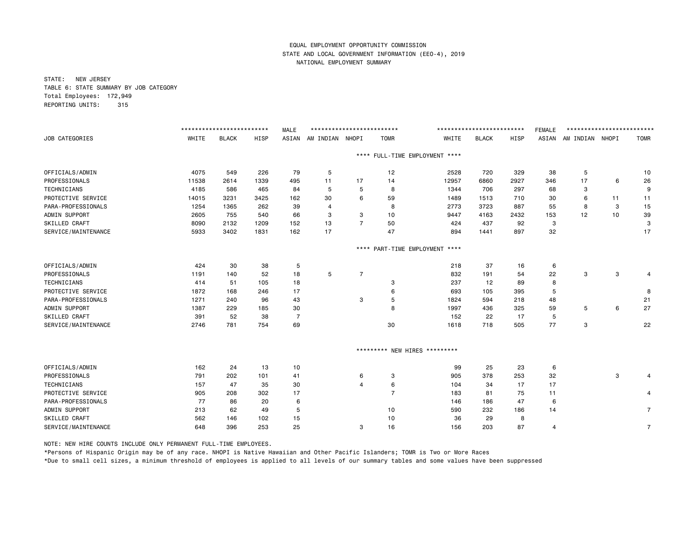STATE: NEW JERSEY TABLE 6: STATE SUMMARY BY JOB CATEGORY Total Employees: 172,949 REPORTING UNITS: 315

|                     |       | ************************* |      | <b>MALE</b> | ************************* |                |                     |                                | ************************* |      | <b>FEMALE</b> | ************************* |    |                |
|---------------------|-------|---------------------------|------|-------------|---------------------------|----------------|---------------------|--------------------------------|---------------------------|------|---------------|---------------------------|----|----------------|
| JOB CATEGORIES      | WHITE | <b>BLACK</b>              | HISP | ASIAN       | AM INDIAN                 | NHOPI          | <b>TOMR</b>         | WHITE                          | <b>BLACK</b>              | HISP | ASIAN         | AM INDIAN NHOPI           |    | <b>TOMR</b>    |
|                     |       |                           |      |             |                           |                |                     | **** FULL-TIME EMPLOYMENT **** |                           |      |               |                           |    |                |
| OFFICIALS/ADMIN     | 4075  | 549                       | 226  | 79          | 5                         |                | 12                  | 2528                           | 720                       | 329  | 38            | 5                         |    | 10             |
| PROFESSIONALS       | 11538 | 2614                      | 1339 | 495         | 11                        | 17             | 14                  | 12957                          | 6860                      | 2927 | 346           | 17                        | 6  | 26             |
| TECHNICIANS         | 4185  | 586                       | 465  | 84          | 5                         | 5              | 8                   | 1344                           | 706                       | 297  | 68            | з                         |    | 9              |
| PROTECTIVE SERVICE  | 14015 | 3231                      | 3425 | 162         | 30                        | 6              | 59                  | 1489                           | 1513                      | 710  | 30            | 6                         | 11 | 11             |
| PARA-PROFESSIONALS  | 1254  | 1365                      | 262  | 39          | 4                         |                | 8                   | 2773                           | 3723                      | 887  | 55            | 8                         | 3  | 15             |
| ADMIN SUPPORT       | 2605  | 755                       | 540  | 66          | 3                         | 3              | 10                  | 9447                           | 4163                      | 2432 | 153           | 12                        | 10 | 39             |
| SKILLED CRAFT       | 8090  | 2132                      | 1209 | 152         | 13                        | $\overline{7}$ | 50                  | 424                            | 437                       | 92   | 3             |                           |    | 3              |
| SERVICE/MAINTENANCE | 5933  | 3402                      | 1831 | 162         | 17                        |                | 47                  | 894                            | 1441                      | 897  | 32            |                           |    | 17             |
|                     |       |                           |      |             |                           |                |                     | **** PART-TIME EMPLOYMENT **** |                           |      |               |                           |    |                |
| OFFICIALS/ADMIN     | 424   | 30                        | 38   | 5           |                           |                |                     | 218                            | 37                        | 16   | 6             |                           |    |                |
| PROFESSIONALS       | 1191  | 140                       | 52   | 18          | 5                         | 7              |                     | 832                            | 191                       | 54   | 22            | з                         | 3  | 4              |
| TECHNICIANS         | 414   | 51                        | 105  | 18          |                           |                | 3                   | 237                            | 12                        | 89   | 8             |                           |    |                |
| PROTECTIVE SERVICE  | 1872  | 168                       | 246  | 17          |                           |                | 6                   | 693                            | 105                       | 395  | 5             |                           |    | 8              |
| PARA-PROFESSIONALS  | 1271  | 240                       | 96   | 43          |                           | 3              | 5                   | 1824                           | 594                       | 218  | 48            |                           |    | 21             |
| ADMIN SUPPORT       | 1387  | 229                       | 185  | 30          |                           |                | 8                   | 1997                           | 436                       | 325  | 59            | 5                         | 6  | 27             |
| SKILLED CRAFT       | 391   | 52                        | 38   | 7           |                           |                |                     | 152                            | 22                        | 17   | 5             |                           |    |                |
| SERVICE/MAINTENANCE | 2746  | 781                       | 754  | 69          |                           |                | 30                  | 1618                           | 718                       | 505  | 77            | 3                         |    | 22             |
|                     |       |                           |      |             |                           |                |                     | *********                      |                           |      |               |                           |    |                |
|                     |       |                           |      |             |                           |                | ********* NEW HIRES |                                |                           |      |               |                           |    |                |
| OFFICIALS/ADMIN     | 162   | 24                        | 13   | 10          |                           |                |                     | 99                             | 25                        | 23   | 6             |                           |    |                |
| PROFESSIONALS       | 791   | 202                       | 101  | 41          |                           | 6              | 3                   | 905                            | 378                       | 253  | 32            |                           | 3  | 4              |
| TECHNICIANS         | 157   | 47                        | 35   | 30          |                           | $\overline{4}$ | 6                   | 104                            | 34                        | 17   | 17            |                           |    |                |
| PROTECTIVE SERVICE  | 905   | 208                       | 302  | 17          |                           |                | $\overline{7}$      | 183                            | 81                        | 75   | 11            |                           |    | 4              |
| PARA-PROFESSIONALS  | 77    | 86                        | 20   | 6           |                           |                |                     | 146                            | 186                       | 47   | 6             |                           |    |                |
| ADMIN SUPPORT       | 213   | 62                        | 49   | 5           |                           |                | 10                  | 590                            | 232                       | 186  | 14            |                           |    | $\overline{7}$ |
| SKILLED CRAFT       | 562   | 146                       | 102  | 15          |                           |                | 10                  | 36                             | 29                        | 8    |               |                           |    |                |
| SERVICE/MAINTENANCE | 648   | 396                       | 253  | 25          |                           | 3              | 16                  | 156                            | 203                       | 87   | 4             |                           |    | $\overline{7}$ |

NOTE: NEW HIRE COUNTS INCLUDE ONLY PERMANENT FULL-TIME EMPLOYEES.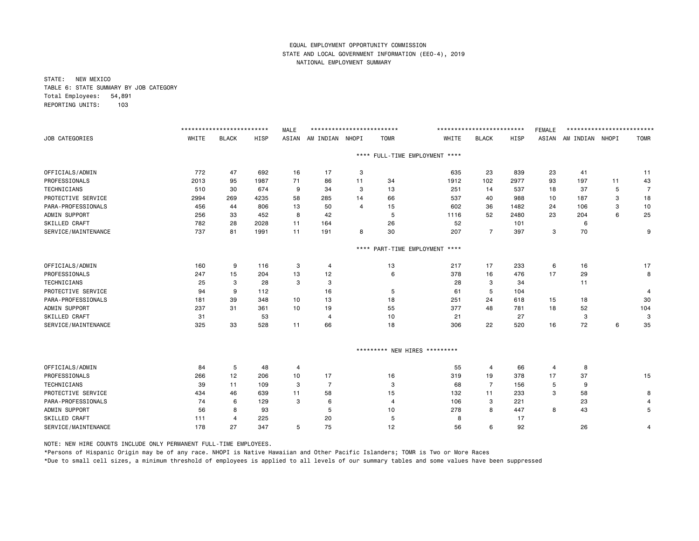STATE: NEW MEXICO TABLE 6: STATE SUMMARY BY JOB CATEGORY Total Employees: 54,891 REPORTING UNITS: 103

|       |                                           |                               | <b>MALE</b>                                                              |                         |                                            |             |                                                                                                    |                                                                                                                                      |                                           | <b>FEMALE</b>                                                            |                        |                                |                                              |
|-------|-------------------------------------------|-------------------------------|--------------------------------------------------------------------------|-------------------------|--------------------------------------------|-------------|----------------------------------------------------------------------------------------------------|--------------------------------------------------------------------------------------------------------------------------------------|-------------------------------------------|--------------------------------------------------------------------------|------------------------|--------------------------------|----------------------------------------------|
| WHITE | <b>BLACK</b>                              | HISP                          | ASIAN                                                                    | AM INDIAN               | NHOPI                                      | <b>TOMR</b> | WHITE                                                                                              | <b>BLACK</b>                                                                                                                         | HISP                                      | ASIAN                                                                    |                        |                                | <b>TOMR</b>                                  |
|       |                                           |                               |                                                                          |                         |                                            |             |                                                                                                    |                                                                                                                                      |                                           |                                                                          |                        |                                |                                              |
| 772   | 47                                        | 692                           | 16                                                                       | 17                      | 3                                          |             | 635                                                                                                | 23                                                                                                                                   | 839                                       | 23                                                                       | 41                     |                                | 11                                           |
| 2013  | 95                                        | 1987                          | 71                                                                       | 86                      | 11                                         | 34          | 1912                                                                                               | 102                                                                                                                                  | 2977                                      | 93                                                                       | 197                    | 11                             | 43                                           |
| 510   | 30                                        | 674                           | 9                                                                        | 34                      | 3                                          | 13          | 251                                                                                                | 14                                                                                                                                   | 537                                       | 18                                                                       | 37                     | 5                              | $\overline{7}$                               |
| 2994  | 269                                       | 4235                          | 58                                                                       | 285                     | 14                                         | 66          | 537                                                                                                | 40                                                                                                                                   | 988                                       | 10                                                                       | 187                    | 3                              | 18                                           |
| 456   | 44                                        | 806                           | 13                                                                       | 50                      | $\overline{4}$                             | 15          | 602                                                                                                | 36                                                                                                                                   | 1482                                      | 24                                                                       | 106                    | 3                              | 10                                           |
| 256   | 33                                        | 452                           | 8                                                                        | 42                      |                                            | 5           | 1116                                                                                               | 52                                                                                                                                   | 2480                                      | 23                                                                       | 204                    | 6                              | 25                                           |
| 782   | 28                                        | 2028                          | 11                                                                       | 164                     |                                            | 26          | 52                                                                                                 |                                                                                                                                      | 101                                       |                                                                          | 6                      |                                |                                              |
| 737   | 81                                        | 1991                          | 11                                                                       | 191                     | 8                                          | 30          | 207                                                                                                | $\overline{7}$                                                                                                                       | 397                                       | з                                                                        | 70                     |                                | 9                                            |
|       |                                           |                               |                                                                          |                         |                                            |             |                                                                                                    |                                                                                                                                      |                                           |                                                                          |                        |                                |                                              |
| 160   | 9                                         | 116                           | 3                                                                        | $\overline{4}$          |                                            | 13          | 217                                                                                                | 17                                                                                                                                   | 233                                       | 6                                                                        | 16                     |                                | 17                                           |
| 247   | 15                                        | 204                           | 13                                                                       | 12                      |                                            | 6           | 378                                                                                                | 16                                                                                                                                   | 476                                       | 17                                                                       | 29                     |                                | 8                                            |
| 25    | 3                                         | 28                            | 3                                                                        | 3                       |                                            |             | 28                                                                                                 | 3                                                                                                                                    | 34                                        |                                                                          | 11                     |                                |                                              |
| 94    | 9                                         | 112                           |                                                                          | 16                      |                                            | 5           | 61                                                                                                 | 5                                                                                                                                    | 104                                       |                                                                          |                        |                                | $\overline{4}$                               |
| 181   | 39                                        | 348                           | 10                                                                       | 13                      |                                            | 18          | 251                                                                                                | 24                                                                                                                                   | 618                                       | 15                                                                       | 18                     |                                | 30                                           |
| 237   | 31                                        | 361                           | 10                                                                       | 19                      |                                            | 55          | 377                                                                                                | 48                                                                                                                                   | 781                                       | 18                                                                       | 52                     |                                | 104                                          |
| 31    |                                           | 53                            |                                                                          | $\overline{4}$          |                                            | 10          | 21                                                                                                 |                                                                                                                                      | 27                                        |                                                                          | 3                      |                                | -3                                           |
| 325   | 33                                        | 528                           | 11                                                                       | 66                      |                                            | 18          | 306                                                                                                | 22                                                                                                                                   | 520                                       | 16                                                                       | 72                     | 6                              | 35                                           |
|       |                                           |                               |                                                                          |                         |                                            |             |                                                                                                    |                                                                                                                                      |                                           |                                                                          |                        |                                |                                              |
|       |                                           |                               |                                                                          |                         |                                            |             |                                                                                                    |                                                                                                                                      |                                           |                                                                          |                        |                                |                                              |
|       |                                           |                               |                                                                          |                         |                                            |             |                                                                                                    |                                                                                                                                      |                                           |                                                                          |                        |                                | 15                                           |
|       |                                           |                               |                                                                          |                         |                                            |             |                                                                                                    |                                                                                                                                      |                                           |                                                                          |                        |                                |                                              |
|       |                                           |                               |                                                                          |                         |                                            |             |                                                                                                    |                                                                                                                                      |                                           |                                                                          |                        |                                | 8                                            |
|       |                                           |                               |                                                                          |                         |                                            |             |                                                                                                    |                                                                                                                                      |                                           |                                                                          |                        |                                | 4                                            |
|       |                                           |                               |                                                                          |                         |                                            |             |                                                                                                    |                                                                                                                                      |                                           |                                                                          |                        |                                | 5                                            |
|       | 4                                         |                               |                                                                          |                         |                                            |             |                                                                                                    |                                                                                                                                      |                                           |                                                                          |                        |                                |                                              |
| 178   | 27                                        | 347                           | 5                                                                        | 75                      |                                            | 12          | 56                                                                                                 | 6                                                                                                                                    | 92                                        |                                                                          | 26                     |                                | 4                                            |
|       | 84<br>266<br>39<br>434<br>74<br>56<br>111 | 5<br>12<br>11<br>46<br>6<br>8 | *************************<br>48<br>206<br>109<br>639<br>129<br>93<br>225 | 4<br>10<br>3<br>11<br>3 | 17<br>$\overline{7}$<br>58<br>6<br>5<br>20 |             | **************************<br>$***$ * *<br>$***$ * *<br>16<br>3<br>15<br>$\overline{4}$<br>10<br>5 | FULL-TIME EMPLOYMENT ****<br>PART-TIME EMPLOYMENT ****<br>********* NEW HIRES *********<br>55<br>319<br>68<br>132<br>106<br>278<br>8 | 4<br>19<br>$\overline{7}$<br>11<br>3<br>8 | *************************<br>66<br>378<br>156<br>233<br>221<br>447<br>17 | 4<br>17<br>5<br>3<br>8 | 8<br>37<br>9<br>58<br>23<br>43 | *************************<br>AM INDIAN NHOPI |

NOTE: NEW HIRE COUNTS INCLUDE ONLY PERMANENT FULL-TIME EMPLOYEES.

\*Persons of Hispanic Origin may be of any race. NHOPI is Native Hawaiian and Other Pacific Islanders; TOMR is Two or More Races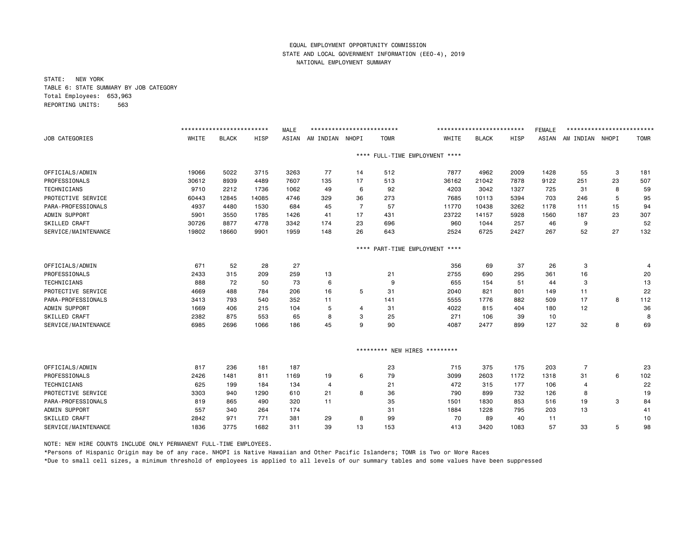STATE: NEW YORK TABLE 6: STATE SUMMARY BY JOB CATEGORY Total Employees: 653,963 REPORTING UNITS: 563

|                     |       | ************************* |       | <b>MALE</b> | ************************* |                |             |                               | ************************* |      | <b>FEMALE</b> | ************************* |    |             |
|---------------------|-------|---------------------------|-------|-------------|---------------------------|----------------|-------------|-------------------------------|---------------------------|------|---------------|---------------------------|----|-------------|
| JOB CATEGORIES      | WHITE | <b>BLACK</b>              | HISP  | ASIAN       | AM INDIAN NHOPI           |                | <b>TOMR</b> | WHITE                         | <b>BLACK</b>              | HISP | ASIAN         | AM INDIAN NHOPI           |    | <b>TOMR</b> |
|                     |       |                           |       |             |                           | ****           |             | FULL-TIME EMPLOYMENT ****     |                           |      |               |                           |    |             |
| OFFICIALS/ADMIN     | 19066 | 5022                      | 3715  | 3263        | 77                        | 14             | 512         | 7877                          | 4962                      | 2009 | 1428          | 55                        | 3  | 181         |
| PROFESSIONALS       | 30612 | 8939                      | 4489  | 7607        | 135                       | 17             | 513         | 36162                         | 21042                     | 7878 | 9122          | 251                       | 23 | 507         |
| <b>TECHNICIANS</b>  | 9710  | 2212                      | 1736  | 1062        | 49                        | 6              | 92          | 4203                          | 3042                      | 1327 | 725           | 31                        | 8  | 59          |
| PROTECTIVE SERVICE  | 60443 | 12845                     | 14085 | 4746        | 329                       | 36             | 273         | 7685                          | 10113                     | 5394 | 703           | 246                       | 5  | 95          |
| PARA-PROFESSIONALS  | 4937  | 4480                      | 1530  | 684         | 45                        | $\overline{7}$ | 57          | 11770                         | 10438                     | 3262 | 1178          | 111                       | 15 | 94          |
| ADMIN SUPPORT       | 5901  | 3550                      | 1785  | 1426        | 41                        | 17             | 431         | 23722                         | 14157                     | 5928 | 1560          | 187                       | 23 | 307         |
| SKILLED CRAFT       | 30726 | 8877                      | 4778  | 3342        | 174                       | 23             | 696         | 960                           | 1044                      | 257  | 46            | 9                         |    | 52          |
| SERVICE/MAINTENANCE | 19802 | 18660                     | 9901  | 1959        | 148                       | 26             | 643         | 2524                          | 6725                      | 2427 | 267           | 52                        | 27 | 132         |
|                     |       |                           |       |             |                           | $***$ * *      |             | PART-TIME EMPLOYMENT ****     |                           |      |               |                           |    |             |
| OFFICIALS/ADMIN     | 671   | 52                        | 28    | 27          |                           |                |             | 356                           | 69                        | 37   | 26            | з                         |    |             |
| PROFESSIONALS       | 2433  | 315                       | 209   | 259         | 13                        |                | 21          | 2755                          | 690                       | 295  | 361           | 16                        |    | 20          |
| <b>TECHNICIANS</b>  | 888   | 72                        | 50    | 73          | 6                         |                | 9           | 655                           | 154                       | 51   | 44            | 3                         |    | 13          |
| PROTECTIVE SERVICE  | 4669  | 488                       | 784   | 206         | 16                        | 5              | 31          | 2040                          | 821                       | 801  | 149           | 11                        |    | 22          |
| PARA-PROFESSIONALS  | 3413  | 793                       | 540   | 352         | 11                        |                | 141         | 5555                          | 1776                      | 882  | 509           | 17                        | 8  | 112         |
| ADMIN SUPPORT       | 1669  | 406                       | 215   | 104         | 5                         | $\overline{4}$ | 31          | 4022                          | 815                       | 404  | 180           | 12                        |    | 36          |
| SKILLED CRAFT       | 2382  | 875                       | 553   | 65          | 8                         | 3              | 25          | 271                           | 106                       | 39   | 10            |                           |    | -8          |
| SERVICE/MAINTENANCE | 6985  | 2696                      | 1066  | 186         | 45                        | 9              | 90          | 4087                          | 2477                      | 899  | 127           | 32                        | 8  | 69          |
|                     |       |                           |       |             |                           |                |             | ********* NEW HIRES ********* |                           |      |               |                           |    |             |
| OFFICIALS/ADMIN     | 817   | 236                       | 181   | 187         |                           |                | 23          | 715                           | 375                       | 175  | 203           | $\overline{7}$            |    | 23          |
| PROFESSIONALS       | 2426  | 1481                      | 811   | 1169        | 19                        | 6              | 79          | 3099                          | 2603                      | 1172 | 1318          | 31                        | 6  | 102         |
| TECHNICIANS         | 625   | 199                       | 184   | 134         | $\overline{4}$            |                | 21          | 472                           | 315                       | 177  | 106           | $\overline{4}$            |    | 22          |
| PROTECTIVE SERVICE  | 3303  | 940                       | 1290  | 610         | 21                        | 8              | 36          | 790                           | 899                       | 732  | 126           | 8                         |    | 19          |
| PARA-PROFESSIONALS  | 819   | 865                       | 490   | 320         | 11                        |                | 35          | 1501                          | 1830                      | 853  | 516           | 19                        | 3  | 84          |
| ADMIN SUPPORT       | 557   | 340                       | 264   | 174         |                           |                | 31          | 1884                          | 1228                      | 795  | 203           | 13                        |    | 41          |
| SKILLED CRAFT       | 2842  | 971                       | 771   | 381         | 29                        | 8              | 99          | 70                            | 89                        | 40   | 11            |                           |    | 10          |
| SERVICE/MAINTENANCE | 1836  | 3775                      | 1682  | 311         | 39                        | 13             | 153         | 413                           | 3420                      | 1083 | 57            | 33                        | 5  | 98          |

NOTE: NEW HIRE COUNTS INCLUDE ONLY PERMANENT FULL-TIME EMPLOYEES.

\*Persons of Hispanic Origin may be of any race. NHOPI is Native Hawaiian and Other Pacific Islanders; TOMR is Two or More Races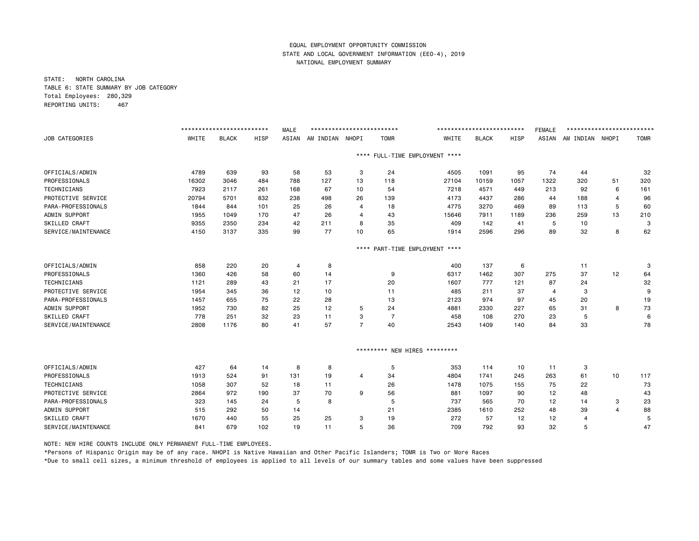STATE: NORTH CAROLINA TABLE 6: STATE SUMMARY BY JOB CATEGORY Total Employees: 280,329 REPORTING UNITS: 467

|                       |       | ************************* |      | <b>MALE</b> | ************************** |                |                      |                                | ************************* |      | <b>FEMALE</b> | ************************* |                |             |
|-----------------------|-------|---------------------------|------|-------------|----------------------------|----------------|----------------------|--------------------------------|---------------------------|------|---------------|---------------------------|----------------|-------------|
| <b>JOB CATEGORIES</b> | WHITE | <b>BLACK</b>              | HISP | ASIAN       | AM INDIAN NHOPI            |                | <b>TOMR</b>          | WHITE                          | <b>BLACK</b>              | HISP | ASIAN         | AM INDIAN NHOPI           |                | <b>TOMR</b> |
|                       |       |                           |      |             |                            |                |                      | **** FULL-TIME EMPLOYMENT **** |                           |      |               |                           |                |             |
| OFFICIALS/ADMIN       | 4789  | 639                       | 93   | 58          | 53                         | 3              | 24                   | 4505                           | 1091                      | 95   | 74            | 44                        |                | 32          |
| PROFESSIONALS         | 16302 | 3046                      | 484  | 788         | 127                        | 13             | 118                  | 27104                          | 10159                     | 1057 | 1322          | 320                       | 51             | 320         |
| TECHNICIANS           | 7923  | 2117                      | 261  | 168         | 67                         | 10             | 54                   | 7218                           | 4571                      | 449  | 213           | 92                        | 6              | 161         |
| PROTECTIVE SERVICE    | 20794 | 5701                      | 832  | 238         | 498                        | 26             | 139                  | 4173                           | 4437                      | 286  | 44            | 188                       | $\overline{4}$ | 96          |
| PARA-PROFESSIONALS    | 1844  | 844                       | 101  | 25          | 26                         | $\overline{4}$ | 18                   | 4775                           | 3270                      | 469  | 89            | 113                       | 5              | 60          |
| ADMIN SUPPORT         | 1955  | 1049                      | 170  | 47          | 26                         | $\overline{4}$ | 43                   | 15646                          | 7911                      | 1189 | 236           | 259                       | 13             | 210         |
| SKILLED CRAFT         | 9355  | 2350                      | 234  | 42          | 211                        | 8              | 35                   | 409                            | 142                       | 41   | 5             | 10                        |                | 3           |
| SERVICE/MAINTENANCE   | 4150  | 3137                      | 335  | 99          | 77                         | 10             | 65                   | 1914                           | 2596                      | 296  | 89            | 32                        | 8              | 62          |
|                       |       |                           |      |             |                            | $***$ * *      | PART-TIME EMPLOYMENT | ****                           |                           |      |               |                           |                |             |
| OFFICIALS/ADMIN       | 858   | 220                       | 20   | 4           | 8                          |                |                      | 400                            | 137                       | 6    |               | 11                        |                | 3           |
| PROFESSIONALS         | 1360  | 426                       | 58   | 60          | 14                         |                | 9                    | 6317                           | 1462                      | 307  | 275           | 37                        | 12             | 64          |
| TECHNICIANS           | 1121  | 289                       | 43   | 21          | 17                         |                | 20                   | 1607                           | 777                       | 121  | 87            | 24                        |                | 32          |
| PROTECTIVE SERVICE    | 1954  | 345                       | 36   | 12          | 10                         |                | 11                   | 485                            | 211                       | 37   | 4             | 3                         |                | 9           |
| PARA-PROFESSIONALS    | 1457  | 655                       | 75   | 22          | 28                         |                | 13                   | 2123                           | 974                       | 97   | 45            | 20                        |                | 19          |
| ADMIN SUPPORT         | 1952  | 730                       | 82   | 25          | 12                         | 5              | 24                   | 4881                           | 2330                      | 227  | 65            | 31                        | 8              | 73          |
| SKILLED CRAFT         | 778   | 251                       | 32   | 23          | 11                         | 3              | $\overline{7}$       | 458                            | 108                       | 270  | 23            | 5                         |                | 6           |
| SERVICE/MAINTENANCE   | 2808  | 1176                      | 80   | 41          | 57                         | $\overline{7}$ | 40                   | 2543                           | 1409                      | 140  | 84            | 33                        |                | 78          |
|                       |       |                           |      |             |                            |                |                      | ********* NEW HIRES *********  |                           |      |               |                           |                |             |
| OFFICIALS/ADMIN       | 427   | 64                        | 14   | 8           | 8                          |                | 5                    | 353                            | 114                       | 10   | 11            | 3                         |                |             |
| PROFESSIONALS         | 1913  | 524                       | 91   | 131         | 19                         | $\overline{a}$ | 34                   | 4804                           | 1741                      | 245  | 263           | 61                        | 10             | 117         |
| TECHNICIANS           | 1058  | 307                       | 52   | 18          | 11                         |                | 26                   | 1478                           | 1075                      | 155  | 75            | 22                        |                | 73          |
| PROTECTIVE SERVICE    | 2864  | 972                       | 190  | 37          | 70                         | 9              | 56                   | 881                            | 1097                      | 90   | 12            | 48                        |                | 43          |
| PARA-PROFESSIONALS    | 323   | 145                       | 24   | 5           | 8                          |                | 5                    | 737                            | 565                       | 70   | 12            | 14                        | 3              | 23          |
| ADMIN SUPPORT         | 515   | 292                       | 50   | 14          |                            |                | 21                   | 2385                           | 1610                      | 252  | 48            | 39                        | $\overline{4}$ | 88          |
| SKILLED CRAFT         | 1670  | 440                       | 55   | 25          | 25                         | 3              | 19                   | 272                            | 57                        | 12   | 12            | 4                         |                | 5           |
| SERVICE/MAINTENANCE   | 841   | 679                       | 102  | 19          | 11                         | 5              | 36                   | 709                            | 792                       | 93   | 32            | 5                         |                | 47          |

NOTE: NEW HIRE COUNTS INCLUDE ONLY PERMANENT FULL-TIME EMPLOYEES.

\*Persons of Hispanic Origin may be of any race. NHOPI is Native Hawaiian and Other Pacific Islanders; TOMR is Two or More Races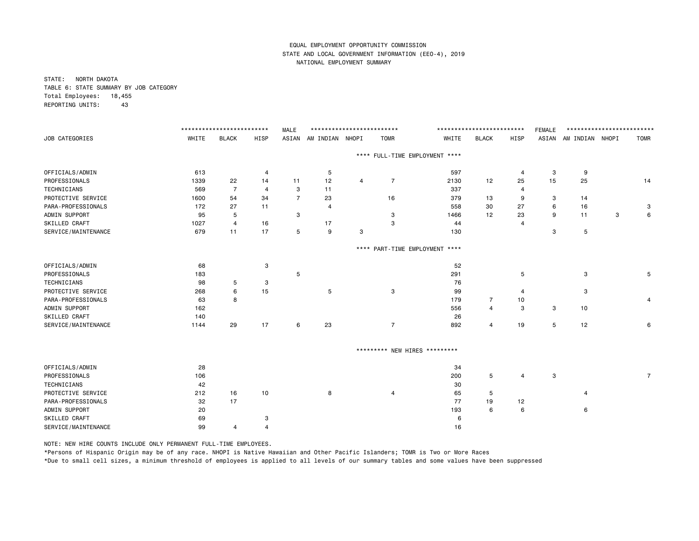STATE: NORTH DAKOTA TABLE 6: STATE SUMMARY BY JOB CATEGORY Total Employees: 18,455 REPORTING UNITS: 43

|                     |       | ************************** |                | <b>MALE</b>    | ************************** |   |                                |       | ************************** |                | <b>FEMALE</b> | ************************** |   |                |
|---------------------|-------|----------------------------|----------------|----------------|----------------------------|---|--------------------------------|-------|----------------------------|----------------|---------------|----------------------------|---|----------------|
| JOB CATEGORIES      | WHITE | <b>BLACK</b>               | HISP           |                | ASIAN AM INDIAN NHOPI      |   | <b>TOMR</b>                    | WHITE | <b>BLACK</b>               | HISP           |               | ASIAN AM INDIAN NHOPI      |   | <b>TOMR</b>    |
|                     |       |                            |                |                |                            |   | **** FULL-TIME EMPLOYMENT **** |       |                            |                |               |                            |   |                |
| OFFICIALS/ADMIN     | 613   |                            | $\overline{4}$ |                | 5                          |   |                                | 597   |                            | $\overline{a}$ | 3             | 9                          |   |                |
| PROFESSIONALS       | 1339  | 22                         | 14             | 11             | 12                         | 4 | $\overline{7}$                 | 2130  | 12                         | 25             | 15            | 25                         |   | 14             |
| TECHNICIANS         | 569   | 7                          | $\overline{4}$ | 3              | 11                         |   |                                | 337   |                            | 4              |               |                            |   |                |
| PROTECTIVE SERVICE  | 1600  | 54                         | 34             | $\overline{7}$ | 23                         |   | 16                             | 379   | 13                         | 9              | 3             | 14                         |   |                |
| PARA-PROFESSIONALS  | 172   | 27                         | 11             |                | $\overline{4}$             |   |                                | 558   | 30                         | 27             | 6             | 16                         |   | 3              |
| ADMIN SUPPORT       | 95    | 5                          |                | 3              |                            |   | 3                              | 1466  | 12                         | 23             | 9             | 11                         | 3 | 6              |
| SKILLED CRAFT       | 1027  | $\overline{4}$             | 16             |                | 17                         |   | 3                              | 44    |                            | $\overline{4}$ |               |                            |   |                |
| SERVICE/MAINTENANCE | 679   | 11                         | 17             | 5              | 9                          | 3 |                                | 130   |                            |                | 3             | 5                          |   |                |
|                     |       |                            |                |                |                            |   | **** PART-TIME EMPLOYMENT **** |       |                            |                |               |                            |   |                |
| OFFICIALS/ADMIN     | 68    |                            | 3              |                |                            |   |                                | 52    |                            |                |               |                            |   |                |
| PROFESSIONALS       | 183   |                            |                | 5              |                            |   |                                | 291   |                            | 5              |               | 3                          |   | 5              |
| TECHNICIANS         | 98    | 5                          | 3              |                |                            |   |                                | 76    |                            |                |               |                            |   |                |
| PROTECTIVE SERVICE  | 268   | 6                          | 15             |                | 5                          |   | 3                              | 99    |                            | 4              |               | 3                          |   |                |
| PARA-PROFESSIONALS  | 63    | 8                          |                |                |                            |   |                                | 179   | $\overline{7}$             | 10             |               |                            |   | 4              |
| ADMIN SUPPORT       | 162   |                            |                |                |                            |   |                                | 556   | $\overline{4}$             | 3              | 3             | 10                         |   |                |
| SKILLED CRAFT       | 140   |                            |                |                |                            |   |                                | 26    |                            |                |               |                            |   |                |
| SERVICE/MAINTENANCE | 1144  | 29                         | 17             | 6              | 23                         |   | $\overline{7}$                 | 892   | 4                          | 19             | 5             | 12                         |   | 6              |
|                     |       |                            |                |                |                            |   | ********* NEW HIRES *********  |       |                            |                |               |                            |   |                |
| OFFICIALS/ADMIN     | 28    |                            |                |                |                            |   |                                | 34    |                            |                |               |                            |   |                |
| PROFESSIONALS       | 106   |                            |                |                |                            |   |                                | 200   | 5                          | $\overline{a}$ | 3             |                            |   | $\overline{7}$ |
| TECHNICIANS         | 42    |                            |                |                |                            |   |                                | 30    |                            |                |               |                            |   |                |
| PROTECTIVE SERVICE  | 212   | 16                         | 10             |                | 8                          |   | 4                              | 65    | 5                          |                |               | 4                          |   |                |
| PARA-PROFESSIONALS  | 32    | 17                         |                |                |                            |   |                                | 77    | 19                         | 12             |               |                            |   |                |
| ADMIN SUPPORT       | 20    |                            |                |                |                            |   |                                | 193   | 6                          | 6              |               | 6                          |   |                |
| SKILLED CRAFT       | 69    |                            | 3              |                |                            |   |                                | 6     |                            |                |               |                            |   |                |
| SERVICE/MAINTENANCE | 99    | 4                          | $\overline{4}$ |                |                            |   |                                | 16    |                            |                |               |                            |   |                |
|                     |       |                            |                |                |                            |   |                                |       |                            |                |               |                            |   |                |

NOTE: NEW HIRE COUNTS INCLUDE ONLY PERMANENT FULL-TIME EMPLOYEES.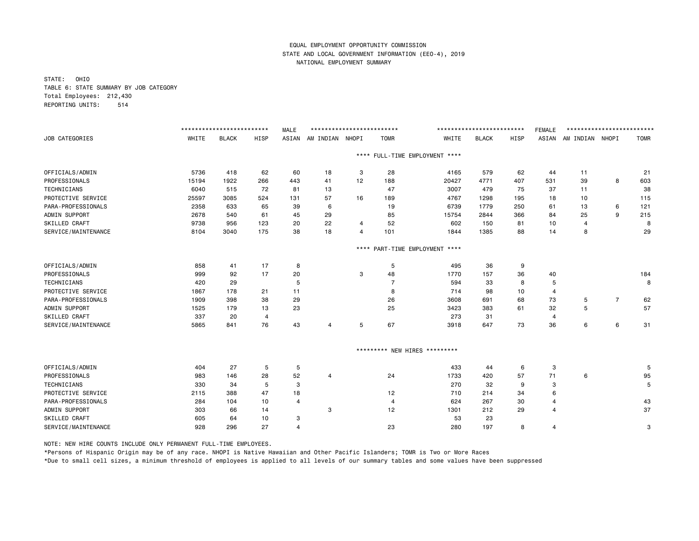STATE: OHIO TABLE 6: STATE SUMMARY BY JOB CATEGORY Total Employees: 212,430 REPORTING UNITS: 514

|                      |       | ************************* |                | <b>MALE</b>    | ************************** |                |                     |                           | ************************* |      | <b>FEMALE</b> | ************************* |                |             |
|----------------------|-------|---------------------------|----------------|----------------|----------------------------|----------------|---------------------|---------------------------|---------------------------|------|---------------|---------------------------|----------------|-------------|
| JOB CATEGORIES       | WHITE | <b>BLACK</b>              | <b>HISP</b>    | ASIAN          | AM INDIAN NHOPI            |                | <b>TOMR</b>         | WHITE                     | <b>BLACK</b>              | HISP | ASIAN         | AM INDIAN NHOPI           |                | <b>TOMR</b> |
|                      |       |                           |                |                |                            | $***$ * *      |                     | FULL-TIME EMPLOYMENT **** |                           |      |               |                           |                |             |
| OFFICIALS/ADMIN      | 5736  | 418                       | 62             | 60             | 18                         | 3              | 28                  | 4165                      | 579                       | 62   | 44            | 11                        |                | 21          |
| PROFESSIONALS        | 15194 | 1922                      | 266            | 443            | 41                         | 12             | 188                 | 20427                     | 4771                      | 407  | 531           | 39                        | 8              | 603         |
| <b>TECHNICIANS</b>   | 6040  | 515                       | 72             | 81             | 13                         |                | 47                  | 3007                      | 479                       | 75   | 37            | 11                        |                | 38          |
| PROTECTIVE SERVICE   | 25597 | 3085                      | 524            | 131            | 57                         | 16             | 189                 | 4767                      | 1298                      | 195  | 18            | 10                        |                | 115         |
| PARA-PROFESSIONALS   | 2358  | 633                       | 65             | 39             | 6                          |                | 19                  | 6739                      | 1779                      | 250  | 61            | 13                        | 6              | 121         |
| ADMIN SUPPORT        | 2678  | 540                       | 61             | 45             | 29                         |                | 85                  | 15754                     | 2844                      | 366  | 84            | 25                        | 9              | 215         |
| SKILLED CRAFT        | 9738  | 956                       | 123            | 20             | 22                         | 4              | 52                  | 602                       | 150                       | 81   | 10            | 4                         |                | 8           |
| SERVICE/MAINTENANCE  | 8104  | 3040                      | 175            | 38             | 18                         | $\overline{4}$ | 101                 | 1844                      | 1385                      | 88   | 14            | 8                         |                | 29          |
|                      |       |                           |                |                |                            | $***$ * *      |                     | PART-TIME EMPLOYMENT **** |                           |      |               |                           |                |             |
| OFFICIALS/ADMIN      | 858   | 41                        | 17             | 8              |                            |                | 5                   | 495                       | 36                        | 9    |               |                           |                |             |
| PROFESSIONALS        | 999   | 92                        | 17             | 20             |                            | 3              | 48                  | 1770                      | 157                       | 36   | 40            |                           |                | 184         |
| <b>TECHNICIANS</b>   | 420   | 29                        |                | 5              |                            |                | $\overline{7}$      | 594                       | 33                        | 8    | 5             |                           |                | 8           |
| PROTECTIVE SERVICE   | 1867  | 178                       | 21             | 11             |                            |                | 8                   | 714                       | 98                        | 10   | 4             |                           |                |             |
| PARA-PROFESSIONALS   | 1909  | 398                       | 38             | 29             |                            |                | 26                  | 3608                      | 691                       | 68   | 73            | 5                         | $\overline{7}$ | 62          |
| ADMIN SUPPORT        | 1525  | 179                       | 13             | 23             |                            |                | 25                  | 3423                      | 383                       | 61   | 32            | 5                         |                | 57          |
| <b>SKILLED CRAFT</b> | 337   | 20                        | $\overline{4}$ |                |                            |                |                     | 273                       | 31                        |      | 4             |                           |                |             |
| SERVICE/MAINTENANCE  | 5865  | 841                       | 76             | 43             | 4                          | 5              | 67                  | 3918                      | 647                       | 73   | 36            | 6                         | 6              | 31          |
|                      |       |                           |                |                |                            |                | ********* NEW HIRES | *********                 |                           |      |               |                           |                |             |
|                      |       |                           |                |                |                            |                |                     |                           |                           |      |               |                           |                |             |
| OFFICIALS/ADMIN      | 404   | 27                        | 5              | 5              |                            |                |                     | 433                       | 44                        | 6    | 3             |                           |                | 5           |
| PROFESSIONALS        | 983   | 146                       | 28             | 52             | 4                          |                | 24                  | 1733                      | 420                       | 57   | 71            | 6                         |                | 95          |
| TECHNICIANS          | 330   | 34                        | 5              | 3              |                            |                |                     | 270                       | 32                        | 9    | 3             |                           |                | 5           |
| PROTECTIVE SERVICE   | 2115  | 388                       | 47             | 18             |                            |                | 12                  | 710                       | 214                       | 34   | 6             |                           |                |             |
| PARA-PROFESSIONALS   | 284   | 104                       | 10             | $\overline{4}$ |                            |                | 4                   | 624                       | 267                       | 30   | 4             |                           |                | 43          |
| ADMIN SUPPORT        | 303   | 66                        | 14             |                | 3                          |                | 12                  | 1301                      | 212                       | 29   | 4             |                           |                | 37          |
| SKILLED CRAFT        | 605   | 64                        | 10             | 3              |                            |                |                     | 53                        | 23                        |      |               |                           |                |             |
| SERVICE/MAINTENANCE  | 928   | 296                       | 27             | $\overline{4}$ |                            |                | 23                  | 280                       | 197                       | 8    | 4             |                           |                | 3           |

NOTE: NEW HIRE COUNTS INCLUDE ONLY PERMANENT FULL-TIME EMPLOYEES.

\*Persons of Hispanic Origin may be of any race. NHOPI is Native Hawaiian and Other Pacific Islanders; TOMR is Two or More Races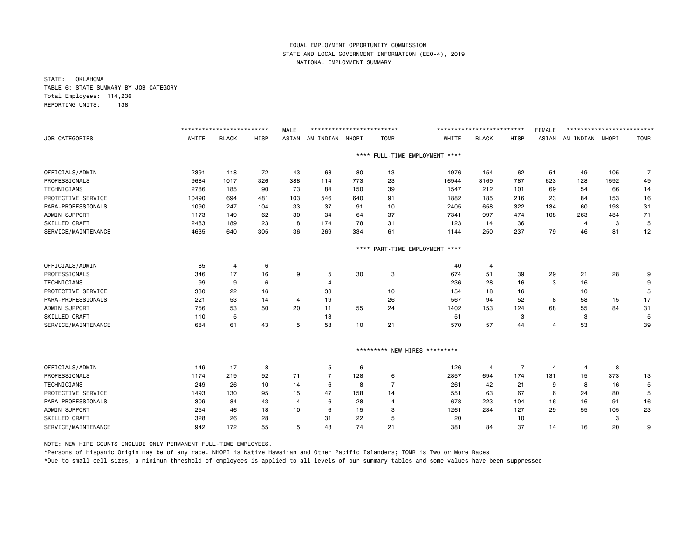STATE: OKLAHOMA TABLE 6: STATE SUMMARY BY JOB CATEGORY Total Employees: 114,236 REPORTING UNITS: 138

|                      |       | ************************** |             | <b>MALE</b> | ************************** |           |                |                                | ************************** |                | <b>FEMALE</b> | ************************** |      |                |
|----------------------|-------|----------------------------|-------------|-------------|----------------------------|-----------|----------------|--------------------------------|----------------------------|----------------|---------------|----------------------------|------|----------------|
| JOB CATEGORIES       | WHITE | <b>BLACK</b>               | <b>HISP</b> | ASIAN       | AM INDIAN NHOPI            |           | <b>TOMR</b>    | WHITE                          | <b>BLACK</b>               | HISP           | ASIAN         | AM INDIAN NHOPI            |      | <b>TOMR</b>    |
|                      |       |                            |             |             |                            |           |                | **** FULL-TIME EMPLOYMENT **** |                            |                |               |                            |      |                |
| OFFICIALS/ADMIN      | 2391  | 118                        | 72          | 43          | 68                         | 80        | 13             | 1976                           | 154                        | 62             | 51            | 49                         | 105  | $\overline{7}$ |
| PROFESSIONALS        | 9684  | 1017                       | 326         | 388         | 114                        | 773       | 23             | 16944                          | 3169                       | 787            | 623           | 128                        | 1592 | 49             |
| TECHNICIANS          | 2786  | 185                        | 90          | 73          | 84                         | 150       | 39             | 1547                           | 212                        | 101            | 69            | 54                         | 66   | 14             |
| PROTECTIVE SERVICE   | 10490 | 694                        | 481         | 103         | 546                        | 640       | 91             | 1882                           | 185                        | 216            | 23            | 84                         | 153  | 16             |
| PARA-PROFESSIONALS   | 1090  | 247                        | 104         | 33          | 37                         | 91        | 10             | 2405                           | 658                        | 322            | 134           | 60                         | 193  | 31             |
| ADMIN SUPPORT        | 1173  | 149                        | 62          | 30          | 34                         | 64        | 37             | 7341                           | 997                        | 474            | 108           | 263                        | 484  | 71             |
| SKILLED CRAFT        | 2483  | 189                        | 123         | 18          | 174                        | 78        | 31             | 123                            | 14                         | 36             |               | 4                          | 3    | 5              |
| SERVICE/MAINTENANCE  | 4635  | 640                        | 305         | 36          | 269                        | 334       | 61             | 1144                           | 250                        | 237            | 79            | 46                         | 81   | 12             |
|                      |       |                            |             |             |                            | $***$ * * |                | PART-TIME EMPLOYMENT ****      |                            |                |               |                            |      |                |
| OFFICIALS/ADMIN      | 85    | $\overline{4}$             | 6           |             |                            |           |                | 40                             | 4                          |                |               |                            |      |                |
| PROFESSIONALS        | 346   | 17                         | 16          | 9           | 5                          | 30        | 3              | 674                            | 51                         | 39             | 29            | 21                         | 28   | 9              |
| <b>TECHNICIANS</b>   | 99    | 9                          | 6           |             | 4                          |           |                | 236                            | 28                         | 16             | 3             | 16                         |      | 9              |
| PROTECTIVE SERVICE   | 330   | 22                         | 16          |             | 38                         |           | 10             | 154                            | 18                         | 16             |               | 10                         |      | 5              |
| PARA-PROFESSIONALS   | 221   | 53                         | 14          | 4           | 19                         |           | 26             | 567                            | 94                         | 52             | 8             | 58                         | 15   | 17             |
| ADMIN SUPPORT        | 756   | 53                         | 50          | 20          | 11                         | 55        | 24             | 1402                           | 153                        | 124            | 68            | 55                         | 84   | 31             |
| SKILLED CRAFT        | 110   | 5                          |             |             | 13                         |           |                | 51                             |                            | 3              |               | 3                          |      | 5              |
| SERVICE/MAINTENANCE  | 684   | 61                         | 43          | 5           | 58                         | 10        | 21             | 570                            | 57                         | 44             | 4             | 53                         |      | 39             |
|                      |       |                            |             |             |                            |           |                | ********* NEW HIRES *********  |                            |                |               |                            |      |                |
| OFFICIALS/ADMIN      | 149   | 17                         | 8           |             | 5                          | 6         |                | 126                            | 4                          | $\overline{7}$ | 4             | 4                          | 8    |                |
| PROFESSIONALS        | 1174  | 219                        | 92          | 71          | $\overline{7}$             | 128       | 6              | 2857                           | 694                        | 174            | 131           | 15                         | 373  | 13             |
| <b>TECHNICIANS</b>   | 249   | 26                         | 10          | 14          | 6                          | 8         | $\overline{7}$ | 261                            | 42                         | 21             | 9             | 8                          | 16   | 5              |
| PROTECTIVE SERVICE   | 1493  | 130                        | 95          | 15          | 47                         | 158       | 14             | 551                            | 63                         | 67             | 6             | 24                         | 80   | 5              |
| PARA-PROFESSIONALS   | 309   | 84                         | 43          | 4           | 6                          | 28        | 4              | 678                            | 223                        | 104            | 16            | 16                         | 91   | 16             |
| ADMIN SUPPORT        | 254   | 46                         | 18          | 10          | 6                          | 15        | 3              | 1261                           | 234                        | 127            | 29            | 55                         | 105  | 23             |
| <b>SKILLED CRAFT</b> | 328   | 26                         | 28          |             | 31                         | 22        | 5              | 20                             |                            | 10             |               |                            | 3    |                |
| SERVICE/MAINTENANCE  | 942   | 172                        | 55          | 5           | 48                         | 74        | 21             | 381                            | 84                         | 37             | 14            | 16                         | 20   | 9              |

NOTE: NEW HIRE COUNTS INCLUDE ONLY PERMANENT FULL-TIME EMPLOYEES.

\*Persons of Hispanic Origin may be of any race. NHOPI is Native Hawaiian and Other Pacific Islanders; TOMR is Two or More Races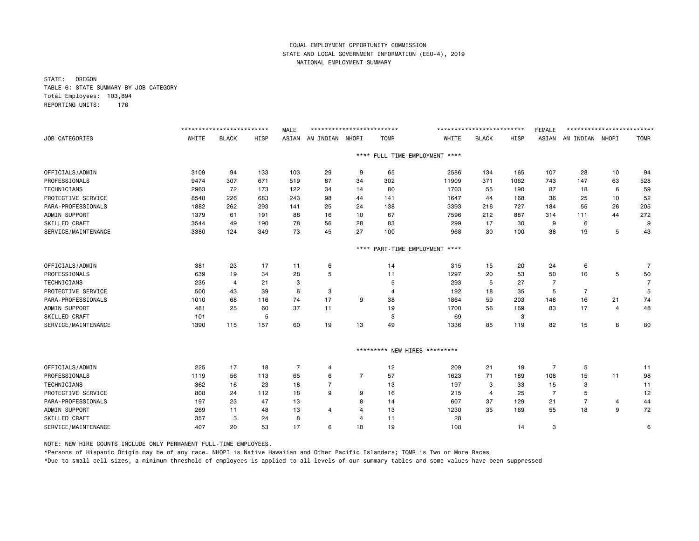STATE: OREGON TABLE 6: STATE SUMMARY BY JOB CATEGORY Total Employees: 103,894 REPORTING UNITS: 176

|                      |       | ************************** |             | <b>MALE</b>    | ************************** |                |                      |                                | ************************** |      | <b>FEMALE</b>  | ************************** |    |                |
|----------------------|-------|----------------------------|-------------|----------------|----------------------------|----------------|----------------------|--------------------------------|----------------------------|------|----------------|----------------------------|----|----------------|
| JOB CATEGORIES       | WHITE | <b>BLACK</b>               | <b>HISP</b> | ASIAN          | AM INDIAN NHOPI            |                | <b>TOMR</b>          | WHITE                          | <b>BLACK</b>               | HISP | ASIAN          | AM INDIAN NHOPI            |    | <b>TOMR</b>    |
|                      |       |                            |             |                |                            |                |                      | **** FULL-TIME EMPLOYMENT **** |                            |      |                |                            |    |                |
| OFFICIALS/ADMIN      | 3109  | 94                         | 133         | 103            | 29                         | 9              | 65                   | 2586                           | 134                        | 165  | 107            | 28                         | 10 | 94             |
| PROFESSIONALS        | 9474  | 307                        | 671         | 519            | 87                         | 34             | 302                  | 11909                          | 371                        | 1062 | 743            | 147                        | 63 | 528            |
| TECHNICIANS          | 2963  | 72                         | 173         | 122            | 34                         | 14             | 80                   | 1703                           | 55                         | 190  | 87             | 18                         | 6  | 59             |
| PROTECTIVE SERVICE   | 8548  | 226                        | 683         | 243            | 98                         | 44             | 141                  | 1647                           | 44                         | 168  | 36             | 25                         | 10 | 52             |
| PARA-PROFESSIONALS   | 1882  | 262                        | 293         | 141            | 25                         | 24             | 138                  | 3393                           | 216                        | 727  | 184            | 55                         | 26 | 205            |
| ADMIN SUPPORT        | 1379  | 61                         | 191         | 88             | 16                         | 10             | 67                   | 7596                           | 212                        | 887  | 314            | 111                        | 44 | 272            |
| SKILLED CRAFT        | 3544  | 49                         | 190         | 78             | 56                         | 28             | 83                   | 299                            | 17                         | 30   | 9              | 6                          |    | 9              |
| SERVICE/MAINTENANCE  | 3380  | 124                        | 349         | 73             | 45                         | 27             | 100                  | 968                            | 30                         | 100  | 38             | 19                         | 5  | 43             |
|                      |       |                            |             |                |                            | $***$ * *      | PART-TIME EMPLOYMENT | ****                           |                            |      |                |                            |    |                |
| OFFICIALS/ADMIN      | 381   | 23                         | 17          | 11             | 6                          |                | 14                   | 315                            | 15                         | 20   | 24             | 6                          |    | $\overline{7}$ |
| PROFESSIONALS        | 639   | 19                         | 34          | 28             | 5                          |                | 11                   | 1297                           | 20                         | 53   | 50             | 10                         | 5  | 50             |
| <b>TECHNICIANS</b>   | 235   | 4                          | 21          | 3              |                            |                | 5                    | 293                            | 5                          | 27   | $\overline{7}$ |                            |    | $\overline{7}$ |
| PROTECTIVE SERVICE   | 500   | 43                         | 39          | 6              | 3                          |                | 4                    | 192                            | 18                         | 35   | 5              | 7                          |    | 5              |
| PARA-PROFESSIONALS   | 1010  | 68                         | 116         | 74             | 17                         | 9              | 38                   | 1864                           | 59                         | 203  | 148            | 16                         | 21 | 74             |
| ADMIN SUPPORT        | 481   | 25                         | 60          | 37             | 11                         |                | 19                   | 1700                           | 56                         | 169  | 83             | 17                         | 4  | 48             |
| SKILLED CRAFT        | 101   |                            | 5           |                |                            |                | 3                    | 69                             |                            | 3    |                |                            |    |                |
| SERVICE/MAINTENANCE  | 1390  | 115                        | 157         | 60             | 19                         | 13             | 49                   | 1336                           | 85                         | 119  | 82             | 15                         | 8  | 80             |
|                      |       |                            |             |                |                            |                | ********* NEW HIRES  | $**********$                   |                            |      |                |                            |    |                |
| OFFICIALS/ADMIN      | 225   | 17                         | 18          | $\overline{7}$ | 4                          |                | 12                   | 209                            | 21                         | 19   | $\overline{7}$ | 5                          |    | 11             |
| PROFESSIONALS        | 1119  | 56                         | 113         | 65             | 6                          | $\overline{7}$ | 57                   | 1623                           | 71                         | 189  | 108            | 15                         | 11 | 98             |
| <b>TECHNICIANS</b>   | 362   | 16                         | 23          | 18             | $\overline{7}$             |                | 13                   | 197                            | 3                          | 33   | 15             | 3                          |    | 11             |
| PROTECTIVE SERVICE   | 808   | 24                         | 112         | 18             | 9                          | 9              | 16                   | 215                            | 4                          | 25   | 7              | 5                          |    | 12             |
| PARA-PROFESSIONALS   | 197   | 23                         | 47          | 13             |                            | 8              | 14                   | 607                            | 37                         | 129  | 21             | $\overline{7}$             | 4  | 44             |
| ADMIN SUPPORT        | 269   | 11                         | 48          | 13             | $\overline{4}$             | 4              | 13                   | 1230                           | 35                         | 169  | 55             | 18                         | 9  | 72             |
| <b>SKILLED CRAFT</b> | 357   | 3                          | 24          | 8              |                            | $\overline{4}$ | 11                   | 28                             |                            |      |                |                            |    |                |
| SERVICE/MAINTENANCE  | 407   | 20                         | 53          | 17             | 6                          | 10             | 19                   | 108                            |                            | 14   | 3              |                            |    | 6              |

NOTE: NEW HIRE COUNTS INCLUDE ONLY PERMANENT FULL-TIME EMPLOYEES.

\*Persons of Hispanic Origin may be of any race. NHOPI is Native Hawaiian and Other Pacific Islanders; TOMR is Two or More Races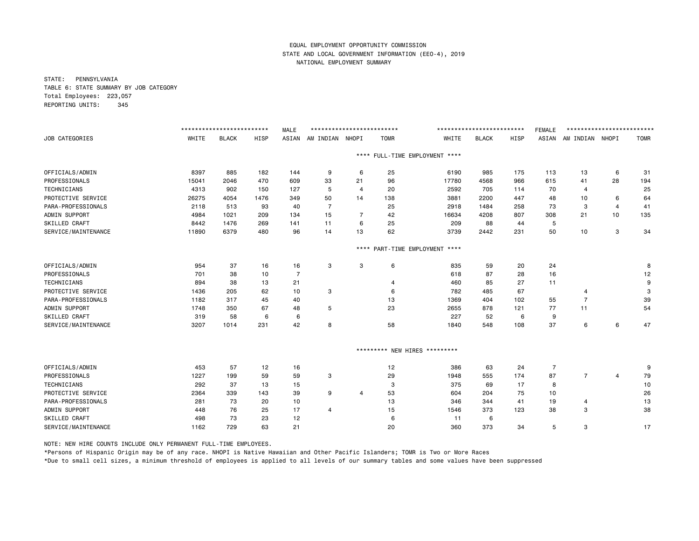STATE: PENNSYLVANIA TABLE 6: STATE SUMMARY BY JOB CATEGORY Total Employees: 223,057 REPORTING UNITS: 345

|                     |       | ************************* |      | <b>MALE</b> | ************************** |                |             |                                | ************************* |      | <b>FEMALE</b>  | ************************* |    |             |
|---------------------|-------|---------------------------|------|-------------|----------------------------|----------------|-------------|--------------------------------|---------------------------|------|----------------|---------------------------|----|-------------|
| JOB CATEGORIES      | WHITE | <b>BLACK</b>              | HISP | ASIAN       | AM INDIAN NHOPI            |                | <b>TOMR</b> | WHITE                          | <b>BLACK</b>              | HISP | ASIAN          | AM INDIAN NHOPI           |    | <b>TOMR</b> |
|                     |       |                           |      |             |                            |                |             | **** FULL-TIME EMPLOYMENT **** |                           |      |                |                           |    |             |
| OFFICIALS/ADMIN     | 8397  | 885                       | 182  | 144         | 9                          | 6              | 25          | 6190                           | 985                       | 175  | 113            | 13                        | 6  | 31          |
| PROFESSIONALS       | 15041 | 2046                      | 470  | 609         | 33                         | 21             | 96          | 17780                          | 4568                      | 966  | 615            | 41                        | 28 | 194         |
| <b>TECHNICIANS</b>  | 4313  | 902                       | 150  | 127         | 5                          | $\overline{4}$ | 20          | 2592                           | 705                       | 114  | 70             | 4                         |    | 25          |
| PROTECTIVE SERVICE  | 26275 | 4054                      | 1476 | 349         | 50                         | 14             | 138         | 3881                           | 2200                      | 447  | 48             | 10                        | 6  | 64          |
| PARA-PROFESSIONALS  | 2118  | 513                       | 93   | 40          | $\overline{7}$             |                | 25          | 2918                           | 1484                      | 258  | 73             | 3                         | 4  | 41          |
| ADMIN SUPPORT       | 4984  | 1021                      | 209  | 134         | 15                         | 7              | 42          | 16634                          | 4208                      | 807  | 308            | 21                        | 10 | 135         |
| SKILLED CRAFT       | 8442  | 1476                      | 269  | 141         | 11                         | 6              | 25          | 209                            | 88                        | 44   | 5              |                           |    |             |
| SERVICE/MAINTENANCE | 11890 | 6379                      | 480  | 96          | 14                         | 13             | 62          | 3739                           | 2442                      | 231  | 50             | 10                        | 3  | 34          |
|                     |       |                           |      |             |                            | $***$ * *      |             | PART-TIME EMPLOYMENT ****      |                           |      |                |                           |    |             |
| OFFICIALS/ADMIN     | 954   | 37                        | 16   | 16          | 3                          | 3              | 6           | 835                            | 59                        | 20   | 24             |                           |    | 8           |
| PROFESSIONALS       | 701   | 38                        | 10   | 7           |                            |                |             | 618                            | 87                        | 28   | 16             |                           |    | 12          |
| TECHNICIANS         | 894   | 38                        | 13   | 21          |                            |                | 4           | 460                            | 85                        | 27   | 11             |                           |    | 9           |
| PROTECTIVE SERVICE  | 1436  | 205                       | 62   | 10          | 3                          |                | 6           | 782                            | 485                       | 67   |                | 4                         |    | 3           |
| PARA-PROFESSIONALS  | 1182  | 317                       | 45   | 40          |                            |                | 13          | 1369                           | 404                       | 102  | 55             | $\overline{7}$            |    | 39          |
| ADMIN SUPPORT       | 1748  | 350                       | 67   | 48          | 5                          |                | 23          | 2655                           | 878                       | 121  | 77             | 11                        |    | 54          |
| SKILLED CRAFT       | 319   | 58                        | 6    | 6           |                            |                |             | 227                            | 52                        | 6    | 9              |                           |    |             |
| SERVICE/MAINTENANCE | 3207  | 1014                      | 231  | 42          | 8                          |                | 58          | 1840                           | 548                       | 108  | 37             | 6                         | 6  | 47          |
|                     |       |                           |      |             |                            |                |             | ********* NEW HIRES *********  |                           |      |                |                           |    |             |
| OFFICIALS/ADMIN     | 453   | 57                        | 12   | 16          |                            |                | 12          | 386                            | 63                        | 24   | $\overline{7}$ |                           |    | 9           |
| PROFESSIONALS       | 1227  | 199                       | 59   | 59          | 3                          |                | 29          | 1948                           | 555                       | 174  | 87             | 7                         | 4  | 79          |
| TECHNICIANS         | 292   | 37                        | 13   | 15          |                            |                | 3           | 375                            | 69                        | 17   | 8              |                           |    | 10          |
| PROTECTIVE SERVICE  | 2364  | 339                       | 143  | 39          | 9                          | 4              | 53          | 604                            | 204                       | 75   | 10             |                           |    | 26          |
| PARA-PROFESSIONALS  | 281   | 73                        | 20   | 10          |                            |                | 13          | 346                            | 344                       | 41   | 19             | 4                         |    | 13          |
| ADMIN SUPPORT       | 448   | 76                        | 25   | 17          | $\overline{4}$             |                | 15          | 1546                           | 373                       | 123  | 38             | з                         |    | 38          |
| SKILLED CRAFT       | 498   | 73                        | 23   | 12          |                            |                | 6           | 11                             | 6                         |      |                |                           |    |             |
| SERVICE/MAINTENANCE | 1162  | 729                       | 63   | 21          |                            |                | 20          | 360                            | 373                       | 34   | 5              | 3                         |    | 17          |

NOTE: NEW HIRE COUNTS INCLUDE ONLY PERMANENT FULL-TIME EMPLOYEES.

\*Persons of Hispanic Origin may be of any race. NHOPI is Native Hawaiian and Other Pacific Islanders; TOMR is Two or More Races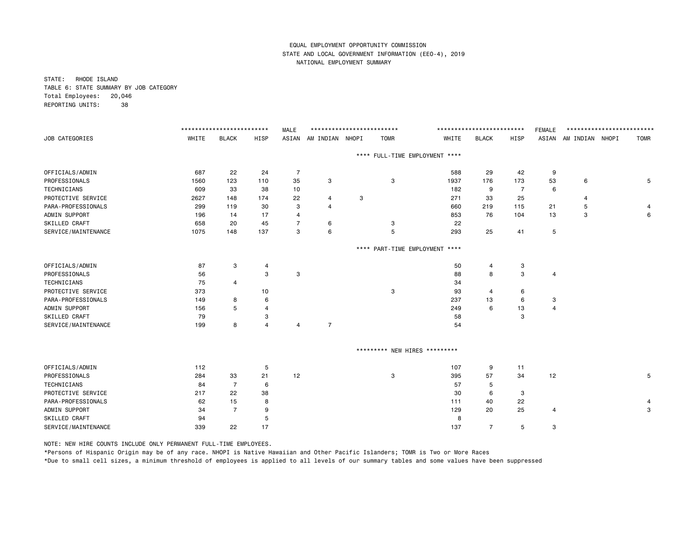STATE: RHODE ISLAND TABLE 6: STATE SUMMARY BY JOB CATEGORY Total Employees: 20,046 REPORTING UNITS: 38

|                     |       | ************************** |                | <b>MALE</b> | ************************** |      |                               |                                | ************************** |                | <b>FEMALE</b>  | ************************** |             |
|---------------------|-------|----------------------------|----------------|-------------|----------------------------|------|-------------------------------|--------------------------------|----------------------------|----------------|----------------|----------------------------|-------------|
| JOB CATEGORIES      | WHITE | <b>BLACK</b>               | HISP           | ASIAN       | AM INDIAN NHOPI            |      | <b>TOMR</b>                   | WHITE                          | <b>BLACK</b>               | HISP           |                | ASIAN AM INDIAN NHOPI      | <b>TOMR</b> |
|                     |       |                            |                |             |                            |      |                               | **** FULL-TIME EMPLOYMENT **** |                            |                |                |                            |             |
| OFFICIALS/ADMIN     | 687   | 22                         | 24             | 7           |                            |      |                               | 588                            | 29                         | 42             | 9              |                            |             |
| PROFESSIONALS       | 1560  | 123                        | 110            | 35          | 3                          |      | 3                             | 1937                           | 176                        | 173            | 53             | 6                          | 5           |
| TECHNICIANS         | 609   | 33                         | 38             | 10          |                            |      |                               | 182                            | 9                          | $\overline{7}$ | 6              |                            |             |
| PROTECTIVE SERVICE  | 2627  | 148                        | 174            | 22          | 4                          | 3    |                               | 271                            | 33                         | 25             |                | 4                          |             |
| PARA-PROFESSIONALS  | 299   | 119                        | 30             | з           | $\overline{4}$             |      |                               | 660                            | 219                        | 115            | 21             | 5                          | 4           |
| ADMIN SUPPORT       | 196   | 14                         | 17             | 4           |                            |      |                               | 853                            | 76                         | 104            | 13             | 3                          | 6           |
| SKILLED CRAFT       | 658   | 20                         | 45             | 7           | 6                          |      | 3                             | 22                             |                            |                |                |                            |             |
| SERVICE/MAINTENANCE | 1075  | 148                        | 137            | 3           | 6                          |      | 5                             | 293                            | 25                         | 41             | 5              |                            |             |
|                     |       |                            |                |             |                            | **** | PART-TIME EMPLOYMENT          | $***$                          |                            |                |                |                            |             |
| OFFICIALS/ADMIN     | 87    | 3                          | 4              |             |                            |      |                               | 50                             | 4                          | 3              |                |                            |             |
| PROFESSIONALS       | 56    |                            | 3              | з           |                            |      |                               | 88                             | 8                          | 3              | $\overline{4}$ |                            |             |
| TECHNICIANS         | 75    | 4                          |                |             |                            |      |                               | 34                             |                            |                |                |                            |             |
| PROTECTIVE SERVICE  | 373   |                            | 10             |             |                            |      | 3                             | 93                             | 4                          | 6              |                |                            |             |
| PARA-PROFESSIONALS  | 149   | 8                          | 6              |             |                            |      |                               | 237                            | 13                         | 6              | 3              |                            |             |
| ADMIN SUPPORT       | 156   | 5                          | 4              |             |                            |      |                               | 249                            | 6                          | 13             | $\overline{4}$ |                            |             |
| SKILLED CRAFT       | 79    |                            | 3              |             |                            |      |                               | 58                             |                            | 3              |                |                            |             |
| SERVICE/MAINTENANCE | 199   | 8                          | $\overline{4}$ | 4           | $\overline{7}$             |      |                               | 54                             |                            |                |                |                            |             |
|                     |       |                            |                |             |                            |      | ********* NEW HIRES ********* |                                |                            |                |                |                            |             |
| OFFICIALS/ADMIN     | 112   |                            | 5              |             |                            |      |                               | 107                            | 9                          | 11             |                |                            |             |
| PROFESSIONALS       | 284   | 33                         | 21             | 12          |                            |      | 3                             | 395                            | 57                         | 34             | 12             |                            | 5           |
| TECHNICIANS         | 84    | $\overline{7}$             | 6              |             |                            |      |                               | 57                             | 5                          |                |                |                            |             |
| PROTECTIVE SERVICE  | 217   | 22                         | 38             |             |                            |      |                               | 30                             | 6                          | 3              |                |                            |             |
| PARA-PROFESSIONALS  | 62    | 15                         | 8              |             |                            |      |                               | 111                            | 40                         | 22             |                |                            | 4           |
| ADMIN SUPPORT       | 34    | $\overline{7}$             | 9              |             |                            |      |                               | 129                            | 20                         | 25             | $\overline{a}$ |                            | 3           |
| SKILLED CRAFT       | 94    |                            | 5              |             |                            |      |                               | 8                              |                            |                |                |                            |             |
| SERVICE/MAINTENANCE | 339   | 22                         | 17             |             |                            |      |                               | 137                            | $\overline{7}$             | 5              | 3              |                            |             |
|                     |       |                            |                |             |                            |      |                               |                                |                            |                |                |                            |             |

NOTE: NEW HIRE COUNTS INCLUDE ONLY PERMANENT FULL-TIME EMPLOYEES.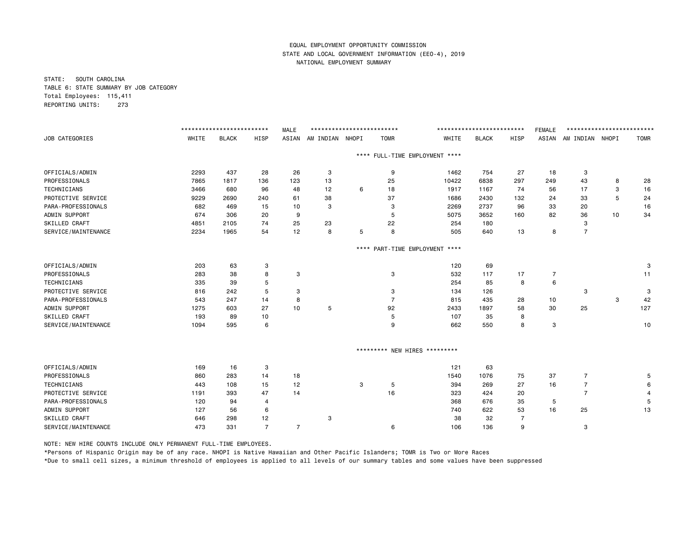STATE: SOUTH CAROLINA TABLE 6: STATE SUMMARY BY JOB CATEGORY Total Employees: 115,411 REPORTING UNITS: 273

|       |                                                |                                            | <b>MALE</b>                                                       |                |           |                      |                                       |                                                                                                                                               |                                              | <b>FEMALE</b>                                                 |                     |                                             |                                               |
|-------|------------------------------------------------|--------------------------------------------|-------------------------------------------------------------------|----------------|-----------|----------------------|---------------------------------------|-----------------------------------------------------------------------------------------------------------------------------------------------|----------------------------------------------|---------------------------------------------------------------|---------------------|---------------------------------------------|-----------------------------------------------|
| WHITE | <b>BLACK</b>                                   | HISP                                       | ASIAN                                                             |                |           | <b>TOMR</b>          | WHITE                                 | <b>BLACK</b>                                                                                                                                  | HISP                                         | ASIAN                                                         |                     |                                             | <b>TOMR</b>                                   |
|       |                                                |                                            |                                                                   |                |           |                      |                                       |                                                                                                                                               |                                              |                                                               |                     |                                             |                                               |
| 2293  | 437                                            | 28                                         | 26                                                                | 3              |           | 9                    | 1462                                  | 754                                                                                                                                           | 27                                           | 18                                                            | 3                   |                                             |                                               |
| 7865  | 1817                                           | 136                                        | 123                                                               | 13             |           | 25                   | 10422                                 | 6838                                                                                                                                          | 297                                          | 249                                                           | 43                  | 8                                           | 28                                            |
| 3466  | 680                                            | 96                                         | 48                                                                | 12             | 6         | 18                   | 1917                                  | 1167                                                                                                                                          | 74                                           | 56                                                            | 17                  | 3                                           | 16                                            |
| 9229  | 2690                                           | 240                                        | 61                                                                | 38             |           | 37                   | 1686                                  | 2430                                                                                                                                          | 132                                          | 24                                                            | 33                  | 5                                           | 24                                            |
| 682   | 469                                            | 15                                         | 10                                                                | 3              |           | 3                    | 2269                                  | 2737                                                                                                                                          | 96                                           | 33                                                            | 20                  |                                             | 16                                            |
| 674   | 306                                            | 20                                         | 9                                                                 |                |           | 5                    | 5075                                  | 3652                                                                                                                                          | 160                                          | 82                                                            | 36                  | 10                                          | 34                                            |
| 4851  | 2105                                           | 74                                         | 25                                                                | 23             |           | 22                   | 254                                   | 180                                                                                                                                           |                                              |                                                               | 3                   |                                             |                                               |
| 2234  | 1965                                           | 54                                         | 12                                                                | 8              | 5         | 8                    | 505                                   | 640                                                                                                                                           | 13                                           | 8                                                             | $\overline{7}$      |                                             |                                               |
|       |                                                |                                            |                                                                   |                | $***$ * * |                      |                                       |                                                                                                                                               |                                              |                                                               |                     |                                             |                                               |
| 203   | 63                                             | 3                                          |                                                                   |                |           |                      | 120                                   | 69                                                                                                                                            |                                              |                                                               |                     |                                             | 3                                             |
| 283   | 38                                             | 8                                          | 3                                                                 |                |           | 3                    | 532                                   | 117                                                                                                                                           | 17                                           | 7                                                             |                     |                                             | 11                                            |
| 335   | 39                                             | 5                                          |                                                                   |                |           |                      | 254                                   | 85                                                                                                                                            | 8                                            | 6                                                             |                     |                                             |                                               |
| 816   | 242                                            | 5                                          | 3                                                                 |                |           | 3                    | 134                                   | 126                                                                                                                                           |                                              |                                                               | 3                   |                                             | 3                                             |
| 543   | 247                                            | 14                                         | 8                                                                 |                |           | $\overline{7}$       | 815                                   | 435                                                                                                                                           | 28                                           | 10                                                            |                     | 3                                           | 42                                            |
| 1275  | 603                                            | 27                                         | 10                                                                | 5              |           | 92                   | 2433                                  | 1897                                                                                                                                          | 58                                           | 30                                                            | 25                  |                                             | 127                                           |
| 193   | 89                                             | 10                                         |                                                                   |                |           | 5                    | 107                                   | 35                                                                                                                                            | 8                                            |                                                               |                     |                                             |                                               |
| 1094  | 595                                            | 6                                          |                                                                   |                |           | 9                    | 662                                   | 550                                                                                                                                           | 8                                            | $\mathbf 3$                                                   |                     |                                             | 10                                            |
|       |                                                |                                            |                                                                   |                |           |                      |                                       |                                                                                                                                               |                                              |                                                               |                     |                                             |                                               |
|       |                                                |                                            |                                                                   |                |           |                      |                                       |                                                                                                                                               |                                              |                                                               |                     |                                             |                                               |
|       |                                                |                                            |                                                                   |                |           |                      |                                       |                                                                                                                                               |                                              |                                                               |                     |                                             | 5                                             |
|       |                                                |                                            |                                                                   |                |           |                      |                                       |                                                                                                                                               |                                              |                                                               |                     |                                             | 6                                             |
|       |                                                |                                            |                                                                   |                |           |                      |                                       |                                                                                                                                               |                                              |                                                               |                     |                                             | 4                                             |
|       |                                                |                                            |                                                                   |                |           |                      |                                       |                                                                                                                                               |                                              |                                                               |                     |                                             | 5                                             |
|       |                                                |                                            |                                                                   |                |           |                      |                                       |                                                                                                                                               |                                              |                                                               |                     |                                             | 13                                            |
|       |                                                |                                            |                                                                   |                |           |                      |                                       |                                                                                                                                               |                                              |                                                               |                     |                                             |                                               |
| 473   | 331                                            | $\overline{7}$                             | $\overline{7}$                                                    |                |           | 6                    | 106                                   | 136                                                                                                                                           | 9                                            |                                                               | 3                   |                                             |                                               |
|       | 169<br>860<br>443<br>1191<br>120<br>127<br>646 | 16<br>283<br>108<br>393<br>94<br>56<br>298 | **************************<br>3<br>14<br>15<br>47<br>4<br>6<br>12 | 18<br>12<br>14 | 3         | AM INDIAN NHOPI<br>3 | **************************<br>5<br>16 | **** FULL-TIME EMPLOYMENT ****<br>PART-TIME EMPLOYMENT ****<br>********* NEW HIRES *********<br>121<br>1540<br>394<br>323<br>368<br>740<br>38 | 63<br>1076<br>269<br>424<br>676<br>622<br>32 | **************************<br>75<br>27<br>20<br>35<br>53<br>7 | 37<br>16<br>5<br>16 | 7<br>$\overline{7}$<br>$\overline{7}$<br>25 | **************************<br>AM INDIAN NHOPI |

NOTE: NEW HIRE COUNTS INCLUDE ONLY PERMANENT FULL-TIME EMPLOYEES.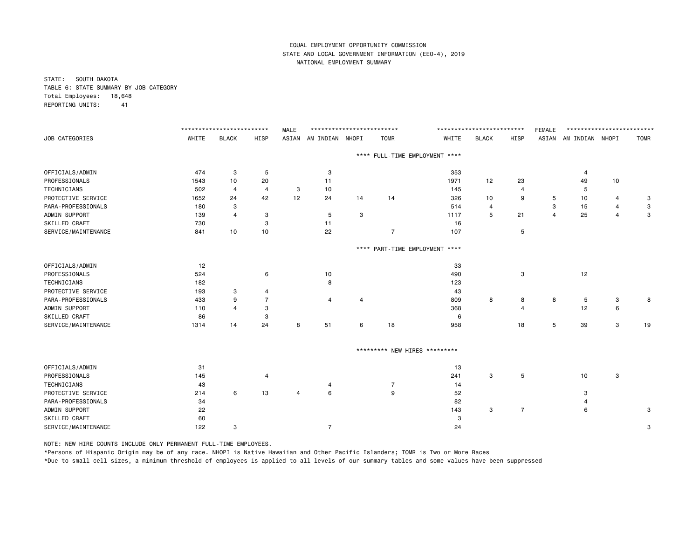STATE: SOUTH DAKOTA TABLE 6: STATE SUMMARY BY JOB CATEGORY Total Employees: 18,648 REPORTING UNITS: 41

|                     |       | ************************** |                | <b>MALE</b> | ************************** |    |                               |                                | ************************** |                | <b>FEMALE</b> | ************************** |    |             |
|---------------------|-------|----------------------------|----------------|-------------|----------------------------|----|-------------------------------|--------------------------------|----------------------------|----------------|---------------|----------------------------|----|-------------|
| JOB CATEGORIES      | WHITE | <b>BLACK</b>               | HISP           |             | ASIAN AM INDIAN NHOPI      |    | <b>TOMR</b>                   | WHITE                          | <b>BLACK</b>               | HISP           |               | ASIAN AM INDIAN NHOPI      |    | <b>TOMR</b> |
|                     |       |                            |                |             |                            |    |                               | **** FULL-TIME EMPLOYMENT **** |                            |                |               |                            |    |             |
| OFFICIALS/ADMIN     | 474   | 3                          | 5              |             | 3                          |    |                               | 353                            |                            |                |               | 4                          |    |             |
| PROFESSIONALS       | 1543  | 10                         | 20             |             | 11                         |    |                               | 1971                           | 12                         | 23             |               | 49                         | 10 |             |
| <b>TECHNICIANS</b>  | 502   | 4                          | $\overline{4}$ | 3           | 10                         |    |                               | 145                            |                            | 4              |               | 5                          |    |             |
| PROTECTIVE SERVICE  | 1652  | 24                         | 42             | 12          | 24                         | 14 | 14                            | 326                            | 10                         | 9              | 5             | 10                         | 4  | 3           |
| PARA-PROFESSIONALS  | 180   | 3                          |                |             |                            |    |                               | 514                            | 4                          |                | 3             | 15                         | 4  | 3           |
| ADMIN SUPPORT       | 139   | $\overline{4}$             | 3              |             | 5                          | 3  |                               | 1117                           | 5                          | 21             | 4             | 25                         | 4  | 3           |
| SKILLED CRAFT       | 730   |                            | 3              |             | 11                         |    |                               | 16                             |                            |                |               |                            |    |             |
| SERVICE/MAINTENANCE | 841   | 10                         | 10             |             | 22                         |    | $\overline{7}$                | 107                            |                            | 5              |               |                            |    |             |
|                     |       |                            |                |             |                            |    |                               | **** PART-TIME EMPLOYMENT **** |                            |                |               |                            |    |             |
| OFFICIALS/ADMIN     | 12    |                            |                |             |                            |    |                               | 33                             |                            |                |               |                            |    |             |
| PROFESSIONALS       | 524   |                            | 6              |             | 10                         |    |                               | 490                            |                            | 3              |               | 12                         |    |             |
| TECHNICIANS         | 182   |                            |                |             | 8                          |    |                               | 123                            |                            |                |               |                            |    |             |
| PROTECTIVE SERVICE  | 193   | 3                          | 4              |             |                            |    |                               | 43                             |                            |                |               |                            |    |             |
| PARA-PROFESSIONALS  | 433   | 9                          | $\overline{7}$ |             | 4                          | 4  |                               | 809                            | 8                          | 8              | 8             | 5                          | 3  | 8           |
| ADMIN SUPPORT       | 110   | Δ                          | 3              |             |                            |    |                               | 368                            |                            |                |               | 12                         | 6  |             |
| SKILLED CRAFT       | 86    |                            | 3              |             |                            |    |                               | 6                              |                            |                |               |                            |    |             |
| SERVICE/MAINTENANCE | 1314  | 14                         | 24             | 8           | 51                         | 6  | 18                            | 958                            |                            | 18             | 5             | 39                         | 3  | 19          |
|                     |       |                            |                |             |                            |    | ********* NEW HIRES ********* |                                |                            |                |               |                            |    |             |
|                     |       |                            |                |             |                            |    |                               |                                |                            |                |               |                            |    |             |
| OFFICIALS/ADMIN     | 31    |                            |                |             |                            |    |                               | 13                             |                            |                |               |                            |    |             |
| PROFESSIONALS       | 145   |                            | $\overline{4}$ |             |                            |    |                               | 241                            | 3                          | 5              |               | 10                         | 3  |             |
| TECHNICIANS         | 43    |                            |                |             | 4                          |    | $\overline{7}$                | 14                             |                            |                |               |                            |    |             |
| PROTECTIVE SERVICE  | 214   | 6                          | 13             | 4           | 6                          |    | 9                             | 52                             |                            |                |               | 3                          |    |             |
| PARA-PROFESSIONALS  | 34    |                            |                |             |                            |    |                               | 82                             |                            |                |               | 4                          |    |             |
| ADMIN SUPPORT       | 22    |                            |                |             |                            |    |                               | 143                            | 3                          | $\overline{7}$ |               | 6                          |    | 3           |
| SKILLED CRAFT       | 60    |                            |                |             |                            |    |                               | 3                              |                            |                |               |                            |    |             |
| SERVICE/MAINTENANCE | 122   | 3                          |                |             | $\overline{7}$             |    |                               | 24                             |                            |                |               |                            |    | 3           |

NOTE: NEW HIRE COUNTS INCLUDE ONLY PERMANENT FULL-TIME EMPLOYEES.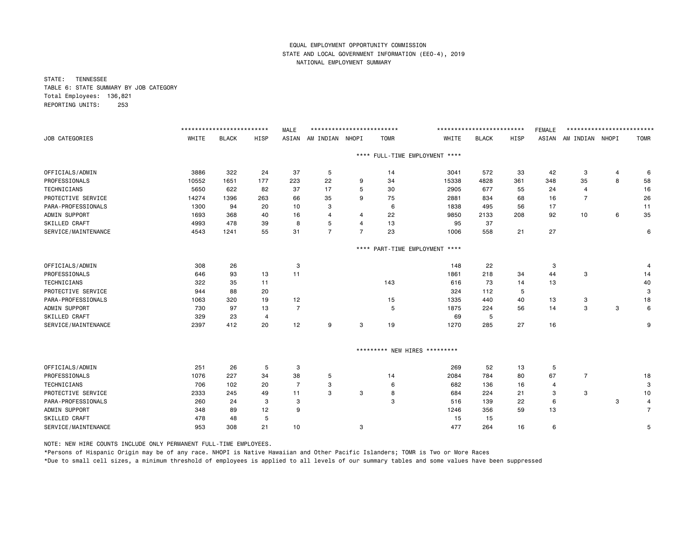STATE: TENNESSEE TABLE 6: STATE SUMMARY BY JOB CATEGORY Total Employees: 136,821 REPORTING UNITS: 253

|                     |       | ************************* |                | <b>MALE</b>    | ************************** |                |                               |                                | ************************* |      | <b>FEMALE</b> | ************************* |   |                |
|---------------------|-------|---------------------------|----------------|----------------|----------------------------|----------------|-------------------------------|--------------------------------|---------------------------|------|---------------|---------------------------|---|----------------|
| JOB CATEGORIES      | WHITE | <b>BLACK</b>              | <b>HISP</b>    | ASIAN          | AM INDIAN NHOPI            |                | <b>TOMR</b>                   | WHITE                          | <b>BLACK</b>              | HISP | ASIAN         | AM INDIAN NHOPI           |   | <b>TOMR</b>    |
|                     |       |                           |                |                |                            |                |                               | **** FULL-TIME EMPLOYMENT **** |                           |      |               |                           |   |                |
| OFFICIALS/ADMIN     | 3886  | 322                       | 24             | 37             | 5                          |                | 14                            | 3041                           | 572                       | 33   | 42            | 3                         | 4 | 6              |
| PROFESSIONALS       | 10552 | 1651                      | 177            | 223            | 22                         | 9              | 34                            | 15338                          | 4828                      | 361  | 348           | 35                        | 8 | 58             |
| <b>TECHNICIANS</b>  | 5650  | 622                       | 82             | 37             | 17                         | 5              | 30                            | 2905                           | 677                       | 55   | 24            | 4                         |   | 16             |
| PROTECTIVE SERVICE  | 14274 | 1396                      | 263            | 66             | 35                         | 9              | 75                            | 2881                           | 834                       | 68   | 16            | $\overline{7}$            |   | 26             |
| PARA-PROFESSIONALS  | 1300  | 94                        | 20             | 10             | 3                          |                | 6                             | 1838                           | 495                       | 56   | 17            |                           |   | 11             |
| ADMIN SUPPORT       | 1693  | 368                       | 40             | 16             | 4                          | 4              | 22                            | 9850                           | 2133                      | 208  | 92            | 10                        | 6 | 35             |
| SKILLED CRAFT       | 4993  | 478                       | 39             | 8              | 5                          | 4              | 13                            | 95                             | 37                        |      |               |                           |   |                |
| SERVICE/MAINTENANCE | 4543  | 1241                      | 55             | 31             | $\overline{7}$             | $\overline{7}$ | 23                            | 1006                           | 558                       | 21   | 27            |                           |   | 6              |
|                     |       |                           |                |                |                            | $***$ * *      |                               | PART-TIME EMPLOYMENT ****      |                           |      |               |                           |   |                |
| OFFICIALS/ADMIN     | 308   | 26                        |                | 3              |                            |                |                               | 148                            | 22                        |      | 3             |                           |   |                |
| PROFESSIONALS       | 646   | 93                        | 13             | 11             |                            |                |                               | 1861                           | 218                       | 34   | 44            | 3                         |   | 14             |
| TECHNICIANS         | 322   | 35                        | 11             |                |                            |                | 143                           | 616                            | 73                        | 14   | 13            |                           |   | 40             |
| PROTECTIVE SERVICE  | 944   | 88                        | 20             |                |                            |                |                               | 324                            | 112                       | 5    |               |                           |   | 3              |
| PARA-PROFESSIONALS  | 1063  | 320                       | 19             | 12             |                            |                | 15                            | 1335                           | 440                       | 40   | 13            | 3                         |   | 18             |
| ADMIN SUPPORT       | 730   | 97                        | 13             | $\overline{7}$ |                            |                | 5                             | 1875                           | 224                       | 56   | 14            | 3                         | 3 | 6              |
| SKILLED CRAFT       | 329   | 23                        | $\overline{4}$ |                |                            |                |                               | 69                             | 5                         |      |               |                           |   |                |
| SERVICE/MAINTENANCE | 2397  | 412                       | 20             | 12             | 9                          | 3              | 19                            | 1270                           | 285                       | 27   | 16            |                           |   | 9              |
|                     |       |                           |                |                |                            |                | ********* NEW HIRES ********* |                                |                           |      |               |                           |   |                |
| OFFICIALS/ADMIN     | 251   | 26                        | 5              | 3              |                            |                |                               | 269                            | 52                        | 13   | 5             |                           |   |                |
| PROFESSIONALS       | 1076  | 227                       | 34             | 38             | 5                          |                | 14                            | 2084                           | 784                       | 80   | 67            | $\overline{7}$            |   | 18             |
| <b>TECHNICIANS</b>  | 706   | 102                       | 20             | $\overline{7}$ | 3                          |                | 6                             | 682                            | 136                       | 16   | 4             |                           |   | 3              |
| PROTECTIVE SERVICE  | 2333  | 245                       | 49             | 11             | 3                          | 3              | 8                             | 684                            | 224                       | 21   | 3             | 3                         |   | 10             |
| PARA-PROFESSIONALS  | 260   | 24                        | 3              | 3              |                            |                | 3                             | 516                            | 139                       | 22   | 6             |                           | 3 | 4              |
| ADMIN SUPPORT       | 348   | 89                        | 12             | 9              |                            |                |                               | 1246                           | 356                       | 59   | 13            |                           |   | $\overline{7}$ |
| SKILLED CRAFT       | 478   | 48                        | 5              |                |                            |                |                               | 15                             | 15                        |      |               |                           |   |                |
| SERVICE/MAINTENANCE | 953   | 308                       | 21             | 10             |                            | 3              |                               | 477                            | 264                       | 16   | 6             |                           |   | 5              |

NOTE: NEW HIRE COUNTS INCLUDE ONLY PERMANENT FULL-TIME EMPLOYEES.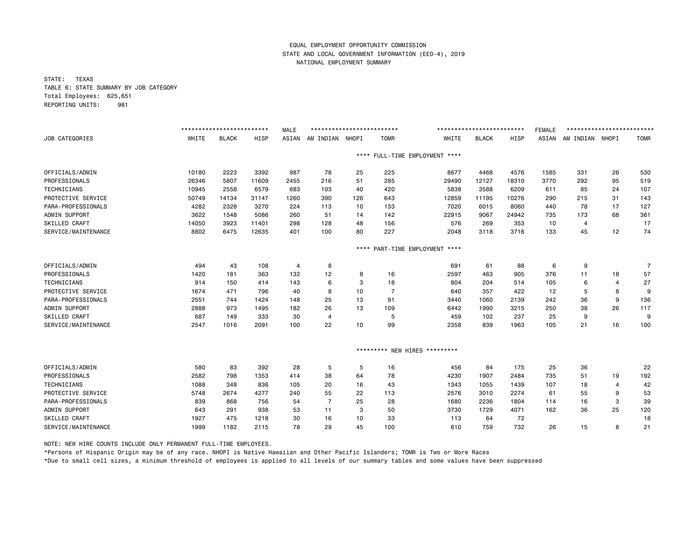STATE: TEXAS TABLE 6: STATE SUMMARY BY JOB CATEGORY Total Employees: 625,651 REPORTING UNITS: 981

|                      |       | ************************* |             | <b>MALE</b> | ************************** |           |                |                               | ************************* |       | <b>FEMALE</b> | ************************* |                |                |
|----------------------|-------|---------------------------|-------------|-------------|----------------------------|-----------|----------------|-------------------------------|---------------------------|-------|---------------|---------------------------|----------------|----------------|
| JOB CATEGORIES       | WHITE | <b>BLACK</b>              | <b>HISP</b> | ASIAN       | AM INDIAN                  | NHOPI     | <b>TOMR</b>    | WHITE                         | <b>BLACK</b>              | HISP  | ASIAN         | AM INDIAN NHOPI           |                | <b>TOMR</b>    |
|                      |       |                           |             |             |                            | $***$ * * |                | FULL-TIME EMPLOYMENT ****     |                           |       |               |                           |                |                |
| OFFICIALS/ADMIN      | 10180 | 2223                      | 3392        | 987         | 78                         | 25        | 225            | 8677                          | 4468                      | 4576  | 1585          | 331                       | 26             | 530            |
| PROFESSIONALS        | 26346 | 5807                      | 11609       | 2455        | 216                        | 51        | 285            | 29490                         | 12127                     | 18310 | 3770          | 292                       | 95             | 519            |
| <b>TECHNICIANS</b>   | 10945 | 2558                      | 6579        | 683         | 103                        | 40        | 420            | 5838                          | 3588                      | 6209  | 611           | 85                        | 24             | 107            |
| PROTECTIVE SERVICE   | 50749 | 14134                     | 31147       | 1260        | 390                        | 126       | 643            | 12859                         | 11195                     | 10276 | 290           | 215                       | 31             | 143            |
| PARA-PROFESSIONALS   | 4282  | 2328                      | 3270        | 224         | 113                        | 10        | 133            | 7020                          | 6015                      | 8060  | 440           | 78                        | 17             | 127            |
| ADMIN SUPPORT        | 3622  | 1548                      | 5086        | 260         | 51                         | 14        | 142            | 22915                         | 9067                      | 24942 | 735           | 173                       | 68             | 361            |
| SKILLED CRAFT        | 14050 | 3923                      | 11401       | 298         | 128                        | 48        | 156            | 576                           | 269                       | 353   | 10            | 4                         |                | 17             |
| SERVICE/MAINTENANCE  | 8802  | 6475                      | 12635       | 401         | 100                        | 80        | 227            | 2048                          | 3118                      | 3716  | 133           | 45                        | 12             | 74             |
|                      |       |                           |             |             |                            | ****      |                | PART-TIME EMPLOYMENT ****     |                           |       |               |                           |                |                |
| OFFICIALS/ADMIN      | 494   | 43                        | 108         | 4           | 8                          |           |                | 691                           | 61                        | 88    | 6             | 9                         |                | $\overline{7}$ |
| PROFESSIONALS        | 1420  | 181                       | 363         | 132         | 12                         | 8         | 16             | 2597                          | 463                       | 905   | 376           | 11                        | 18             | 57             |
| <b>TECHNICIANS</b>   | 914   | 150                       | 414         | 143         | 6                          | 3         | 18             | 804                           | 204                       | 514   | 105           | 6                         | $\overline{4}$ | 27             |
| PROTECTIVE SERVICE   | 1674  | 471                       | 796         | 40          | 8                          | 10        | $\overline{7}$ | 640                           | 357                       | 422   | 12            | 5                         | 8              | 9              |
| PARA-PROFESSIONALS   | 2551  | 744                       | 1424        | 148         | 25                         | 13        | 91             | 3440                          | 1060                      | 2139  | 242           | 36                        | 9              | 136            |
| ADMIN SUPPORT        | 2888  | 973                       | 1495        | 182         | 26                         | 13        | 109            | 6442                          | 1990                      | 3215  | 250           | 38                        | 26             | 117            |
| SKILLED CRAFT        | 687   | 149                       | 333         | 30          | $\overline{4}$             |           | 5              | 459                           | 102                       | 237   | 25            | 9                         |                | 9              |
| SERVICE/MAINTENANCE  | 2547  | 1016                      | 2091        | 100         | 22                         | 10        | 99             | 2358                          | 839                       | 1963  | 105           | 21                        | 16             | 100            |
|                      |       |                           |             |             |                            |           |                | ********* NEW HIRES ********* |                           |       |               |                           |                |                |
| OFFICIALS/ADMIN      | 580   | 83                        | 392         | 28          | 5                          | 5         | 16             | 456                           | 84                        | 175   | 25            | 36                        |                | 22             |
| PROFESSIONALS        | 2582  | 798                       | 1353        | 414         | 38                         | 64        | 78             | 4230                          | 1907                      | 2484  | 735           | 51                        | 19             | 192            |
| <b>TECHNICIANS</b>   | 1088  | 348                       | 836         | 105         | 20                         | 16        | 43             | 1343                          | 1055                      | 1439  | 107           | 18                        | $\overline{4}$ | 42             |
| PROTECTIVE SERVICE   | 5748  | 2674                      | 4277        | 240         | 55                         | 22        | 113            | 2576                          | 3010                      | 2274  | 61            | 55                        | 9              | 53             |
| PARA-PROFESSIONALS   | 839   | 868                       | 756         | 54          | $\overline{7}$             | 25        | 28             | 1680                          | 2236                      | 1804  | 114           | 16                        | 3              | 39             |
| ADMIN SUPPORT        | 643   | 291                       | 938         | 53          | 11                         | 3         | 50             | 3730                          | 1729                      | 4071  | 162           | 36                        | 25             | 120            |
| <b>SKILLED CRAFT</b> | 1927  | 475                       | 1218        | 30          | 16                         | 10        | 33             | 113                           | 64                        | 72    |               |                           |                | 18             |
| SERVICE/MAINTENANCE  | 1999  | 1182                      | 2115        | 78          | 29                         | 45        | 100            | 610                           | 759                       | 732   | 26            | 15                        | 8              | 21             |

NOTE: NEW HIRE COUNTS INCLUDE ONLY PERMANENT FULL-TIME EMPLOYEES.

\*Persons of Hispanic Origin may be of any race. NHOPI is Native Hawaiian and Other Pacific Islanders; TOMR is Two or More Races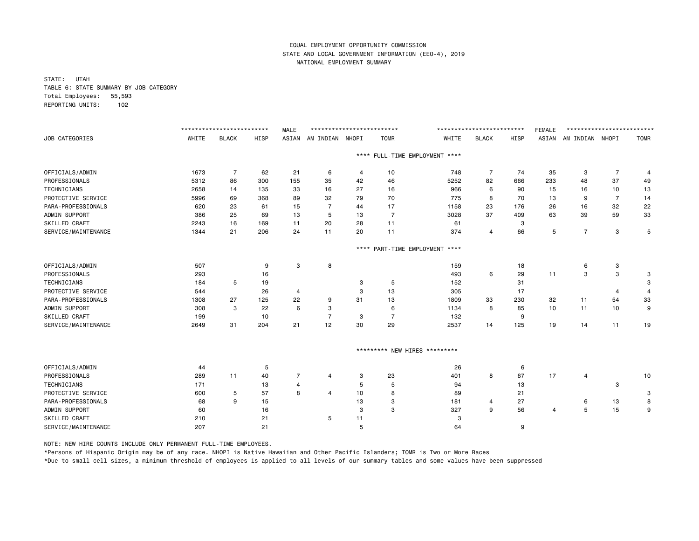STATE: UTAH TABLE 6: STATE SUMMARY BY JOB CATEGORY Total Employees: 55,593 REPORTING UNITS: 102

|                      |       | ************************* |      | <b>MALE</b>    | ************************** |                |                               |                           | ************************* |      | <b>FEMALE</b> | ************************* |                |             |
|----------------------|-------|---------------------------|------|----------------|----------------------------|----------------|-------------------------------|---------------------------|---------------------------|------|---------------|---------------------------|----------------|-------------|
| JOB CATEGORIES       | WHITE | <b>BLACK</b>              | HISP | ASIAN          | AM INDIAN NHOPI            |                | <b>TOMR</b>                   | WHITE                     | <b>BLACK</b>              | HISP | ASIAN         | AM INDIAN NHOPI           |                | <b>TOMR</b> |
|                      |       |                           |      |                |                            | $***$ *        |                               | FULL-TIME EMPLOYMENT **** |                           |      |               |                           |                |             |
| OFFICIALS/ADMIN      | 1673  | $\overline{7}$            | 62   | 21             | 6                          | $\overline{4}$ | 10                            | 748                       | $\overline{7}$            | 74   | 35            | 3                         | $\overline{7}$ | -4          |
| PROFESSIONALS        | 5312  | 86                        | 300  | 155            | 35                         | 42             | 46                            | 5252                      | 82                        | 666  | 233           | 48                        | 37             | 49          |
| <b>TECHNICIANS</b>   | 2658  | 14                        | 135  | 33             | 16                         | 27             | 16                            | 966                       | 6                         | 90   | 15            | 16                        | 10             | 13          |
| PROTECTIVE SERVICE   | 5996  | 69                        | 368  | 89             | 32                         | 79             | 70                            | 775                       | 8                         | 70   | 13            | 9                         | $\overline{7}$ | 14          |
| PARA-PROFESSIONALS   | 620   | 23                        | 61   | 15             | $\overline{7}$             | 44             | 17                            | 1158                      | 23                        | 176  | 26            | 16                        | 32             | 22          |
| ADMIN SUPPORT        | 386   | 25                        | 69   | 13             | 5                          | 13             | $\overline{7}$                | 3028                      | 37                        | 409  | 63            | 39                        | 59             | 33          |
| SKILLED CRAFT        | 2243  | 16                        | 169  | 11             | 20                         | 28             | 11                            | 61                        |                           | 3    |               |                           |                |             |
| SERVICE/MAINTENANCE  | 1344  | 21                        | 206  | 24             | 11                         | 20             | 11                            | 374                       | 4                         | 66   | 5             | $\overline{7}$            | 3              | 5           |
|                      |       |                           |      |                |                            | ****           |                               | PART-TIME EMPLOYMENT **** |                           |      |               |                           |                |             |
| OFFICIALS/ADMIN      | 507   |                           | 9    | 3              | 8                          |                |                               | 159                       |                           | 18   |               | 6                         | 3              |             |
| PROFESSIONALS        | 293   |                           | 16   |                |                            |                |                               | 493                       | 6                         | 29   | 11            | 3                         | 3              | 3           |
| TECHNICIANS          | 184   | 5                         | 19   |                |                            | 3              | 5                             | 152                       |                           | 31   |               |                           |                | 3           |
| PROTECTIVE SERVICE   | 544   |                           | 26   | 4              |                            | 3              | 13                            | 305                       |                           | 17   |               |                           | $\overline{4}$ | 4           |
| PARA-PROFESSIONALS   | 1308  | 27                        | 125  | 22             | 9                          | 31             | 13                            | 1809                      | 33                        | 230  | 32            | 11                        | 54             | 33          |
| ADMIN SUPPORT        | 308   | 3                         | 22   | 6              | 3                          |                | 6                             | 1134                      | 8                         | 85   | 10            | 11                        | 10             | 9           |
| SKILLED CRAFT        | 199   |                           | 10   |                | $\overline{7}$             | 3              | $\overline{7}$                | 132                       |                           | 9    |               |                           |                |             |
| SERVICE/MAINTENANCE  | 2649  | 31                        | 204  | 21             | 12                         | 30             | 29                            | 2537                      | 14                        | 125  | 19            | 14                        | 11             | 19          |
|                      |       |                           |      |                |                            |                | ********* NEW HIRES ********* |                           |                           |      |               |                           |                |             |
| OFFICIALS/ADMIN      | 44    |                           | 5    |                |                            |                |                               | 26                        |                           | 6    |               |                           |                |             |
| PROFESSIONALS        | 289   | 11                        | 40   | 7              | 4                          | 3              | 23                            | 401                       | 8                         | 67   | 17            | 4                         |                | 10          |
| <b>TECHNICIANS</b>   | 171   |                           | 13   | $\overline{4}$ |                            | 5              | 5                             | 94                        |                           | 13   |               |                           | 3              |             |
| PROTECTIVE SERVICE   | 600   | 5                         | 57   | 8              | 4                          | 10             | 8                             | 89                        |                           | 21   |               |                           |                | 3           |
| PARA-PROFESSIONALS   | 68    | 9                         | 15   |                |                            | 13             | 3                             | 181                       | 4                         | 27   |               | 6                         | 13             | 8           |
| ADMIN SUPPORT        | 60    |                           | 16   |                |                            | 3              | 3                             | 327                       | 9                         | 56   | 4             | 5                         | 15             | 9           |
| <b>SKILLED CRAFT</b> | 210   |                           | 21   |                | 5                          | 11             |                               | 3                         |                           |      |               |                           |                |             |
| SERVICE/MAINTENANCE  | 207   |                           | 21   |                |                            | 5              |                               | 64                        |                           | 9    |               |                           |                |             |

NOTE: NEW HIRE COUNTS INCLUDE ONLY PERMANENT FULL-TIME EMPLOYEES.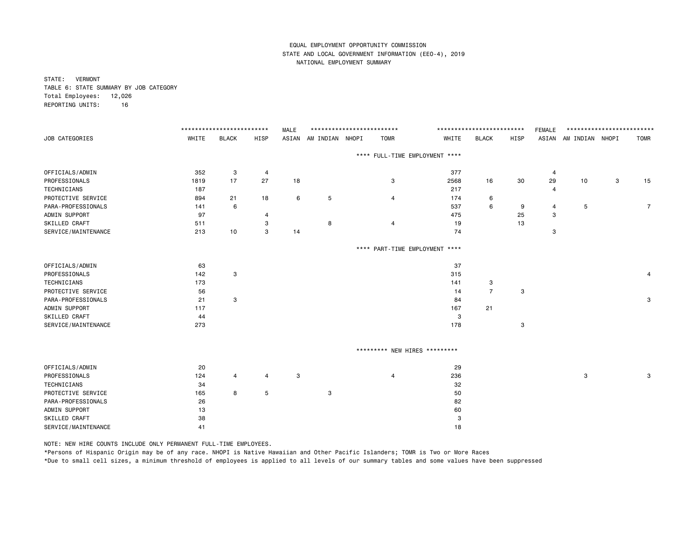STATE: VERMONT TABLE 6: STATE SUMMARY BY JOB CATEGORY Total Employees: 12,026 REPORTING UNITS: 16

|                     |       | ************************** |                | <b>MALE</b> | ************************** |                                |       | ************************* |      | <b>FEMALE</b>  | ************************* |   |                |
|---------------------|-------|----------------------------|----------------|-------------|----------------------------|--------------------------------|-------|---------------------------|------|----------------|---------------------------|---|----------------|
| JOB CATEGORIES      | WHITE | <b>BLACK</b>               | HISP           | ASIAN       | AM INDIAN NHOPI            | <b>TOMR</b>                    | WHITE | <b>BLACK</b>              | HISP |                | ASIAN AM INDIAN NHOPI     |   | <b>TOMR</b>    |
|                     |       |                            |                |             |                            | **** FULL-TIME EMPLOYMENT **** |       |                           |      |                |                           |   |                |
| OFFICIALS/ADMIN     | 352   | 3                          | 4              |             |                            |                                | 377   |                           |      | $\overline{4}$ |                           |   |                |
| PROFESSIONALS       | 1819  | 17                         | 27             | 18          |                            | 3                              | 2568  | 16                        | 30   | 29             | 10                        | 3 | 15             |
| TECHNICIANS         | 187   |                            |                |             |                            |                                | 217   |                           |      | 4              |                           |   |                |
| PROTECTIVE SERVICE  | 894   | 21                         | 18             | 6           | 5                          | 4                              | 174   | 6                         |      |                |                           |   |                |
| PARA-PROFESSIONALS  | 141   | 6                          |                |             |                            |                                | 537   | 6                         | 9    | 4              | 5                         |   | $\overline{7}$ |
| ADMIN SUPPORT       | 97    |                            | 4              |             |                            |                                | 475   |                           | 25   | 3              |                           |   |                |
| SKILLED CRAFT       | 511   |                            | 3              |             | 8                          | 4                              | 19    |                           | 13   |                |                           |   |                |
| SERVICE/MAINTENANCE | 213   | 10                         | 3              | 14          |                            |                                | 74    |                           |      | 3              |                           |   |                |
|                     |       |                            |                |             |                            | **** PART-TIME EMPLOYMENT **** |       |                           |      |                |                           |   |                |
| OFFICIALS/ADMIN     | 63    |                            |                |             |                            |                                | 37    |                           |      |                |                           |   |                |
| PROFESSIONALS       | 142   | 3                          |                |             |                            |                                | 315   |                           |      |                |                           |   | 4              |
| TECHNICIANS         | 173   |                            |                |             |                            |                                | 141   | 3                         |      |                |                           |   |                |
| PROTECTIVE SERVICE  | 56    |                            |                |             |                            |                                | 14    | $\overline{7}$            | 3    |                |                           |   |                |
| PARA-PROFESSIONALS  | 21    | 3                          |                |             |                            |                                | 84    |                           |      |                |                           |   | 3              |
| ADMIN SUPPORT       | 117   |                            |                |             |                            |                                | 167   | 21                        |      |                |                           |   |                |
| SKILLED CRAFT       | 44    |                            |                |             |                            |                                | 3     |                           |      |                |                           |   |                |
| SERVICE/MAINTENANCE | 273   |                            |                |             |                            |                                | 178   |                           | 3    |                |                           |   |                |
|                     |       |                            |                |             |                            | ********* NEW HIRES *********  |       |                           |      |                |                           |   |                |
| OFFICIALS/ADMIN     | 20    |                            |                |             |                            |                                | 29    |                           |      |                |                           |   |                |
| PROFESSIONALS       | 124   | 4                          | $\overline{4}$ | 3           |                            | 4                              | 236   |                           |      |                | 3                         |   | 3              |
| TECHNICIANS         | 34    |                            |                |             |                            |                                | 32    |                           |      |                |                           |   |                |
| PROTECTIVE SERVICE  | 165   | 8                          | 5              |             | 3                          |                                | 50    |                           |      |                |                           |   |                |
| PARA-PROFESSIONALS  | 26    |                            |                |             |                            |                                | 82    |                           |      |                |                           |   |                |
| ADMIN SUPPORT       | 13    |                            |                |             |                            |                                | 60    |                           |      |                |                           |   |                |
| SKILLED CRAFT       | 38    |                            |                |             |                            |                                | 3     |                           |      |                |                           |   |                |
| SERVICE/MAINTENANCE | 41    |                            |                |             |                            |                                | 18    |                           |      |                |                           |   |                |

NOTE: NEW HIRE COUNTS INCLUDE ONLY PERMANENT FULL-TIME EMPLOYEES.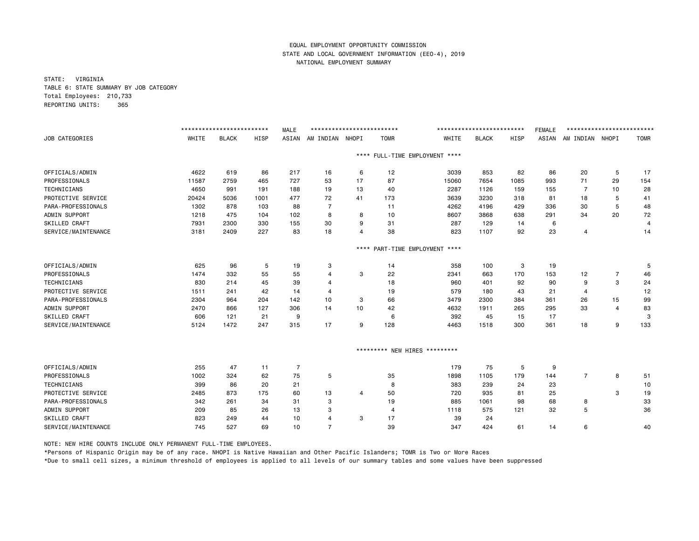STATE: VIRGINIA TABLE 6: STATE SUMMARY BY JOB CATEGORY Total Employees: 210,733 REPORTING UNITS: 365

|                     |       | ************************* |             | <b>MALE</b>    | ************************** |                |                |                               | ************************* |      | <b>FEMALE</b> | ************************* |                |             |
|---------------------|-------|---------------------------|-------------|----------------|----------------------------|----------------|----------------|-------------------------------|---------------------------|------|---------------|---------------------------|----------------|-------------|
| JOB CATEGORIES      | WHITE | <b>BLACK</b>              | <b>HISP</b> | ASIAN          | AM INDIAN                  | NHOPI          | <b>TOMR</b>    | WHITE                         | <b>BLACK</b>              | HISP | ASIAN         | AM INDIAN NHOPI           |                | <b>TOMR</b> |
|                     |       |                           |             |                |                            | $***$ * *      |                | FULL-TIME EMPLOYMENT ****     |                           |      |               |                           |                |             |
| OFFICIALS/ADMIN     | 4622  | 619                       | 86          | 217            | 16                         | 6              | 12             | 3039                          | 853                       | 82   | 86            | 20                        | 5              | 17          |
| PROFESSIONALS       | 11587 | 2759                      | 465         | 727            | 53                         | 17             | 87             | 15060                         | 7654                      | 1085 | 993           | 71                        | 29             | 154         |
| <b>TECHNICIANS</b>  | 4650  | 991                       | 191         | 188            | 19                         | 13             | 40             | 2287                          | 1126                      | 159  | 155           | $\overline{7}$            | 10             | 28          |
| PROTECTIVE SERVICE  | 20424 | 5036                      | 1001        | 477            | 72                         | 41             | 173            | 3639                          | 3230                      | 318  | 81            | 18                        | 5              | 41          |
| PARA-PROFESSIONALS  | 1302  | 878                       | 103         | 88             | $\overline{7}$             |                | 11             | 4262                          | 4196                      | 429  | 336           | 30                        | 5              | 48          |
| ADMIN SUPPORT       | 1218  | 475                       | 104         | 102            | 8                          | 8              | 10             | 8607                          | 3868                      | 638  | 291           | 34                        | 20             | 72          |
| SKILLED CRAFT       | 7931  | 2300                      | 330         | 155            | 30                         | 9              | 31             | 287                           | 129                       | 14   | 6             |                           |                | 4           |
| SERVICE/MAINTENANCE | 3181  | 2409                      | 227         | 83             | 18                         | $\overline{4}$ | 38             | 823                           | 1107                      | 92   | 23            | $\overline{4}$            |                | 14          |
|                     |       |                           |             |                |                            | $***$ * *      |                | PART-TIME EMPLOYMENT ****     |                           |      |               |                           |                |             |
| OFFICIALS/ADMIN     | 625   | 96                        | 5           | 19             | 3                          |                | 14             | 358                           | 100                       | 3    | 19            |                           |                | 5           |
| PROFESSIONALS       | 1474  | 332                       | 55          | 55             | 4                          | 3              | 22             | 2341                          | 663                       | 170  | 153           | 12                        | $\overline{7}$ | 46          |
| TECHNICIANS         | 830   | 214                       | 45          | 39             | 4                          |                | 18             | 960                           | 401                       | 92   | 90            | 9                         | 3              | 24          |
| PROTECTIVE SERVICE  | 1511  | 241                       | 42          | 14             | 4                          |                | 19             | 579                           | 180                       | 43   | 21            | 4                         |                | 12          |
| PARA-PROFESSIONALS  | 2304  | 964                       | 204         | 142            | 10                         | 3              | 66             | 3479                          | 2300                      | 384  | 361           | 26                        | 15             | 99          |
| ADMIN SUPPORT       | 2470  | 866                       | 127         | 306            | 14                         | 10             | 42             | 4632                          | 1911                      | 265  | 295           | 33                        | $\overline{4}$ | 83          |
| SKILLED CRAFT       | 606   | 121                       | 21          | 9              |                            |                | 6              | 392                           | 45                        | 15   | 17            |                           |                | 3           |
| SERVICE/MAINTENANCE | 5124  | 1472                      | 247         | 315            | 17                         | 9              | 128            | 4463                          | 1518                      | 300  | 361           | 18                        | 9              | 133         |
|                     |       |                           |             |                |                            |                |                | ********* NEW HIRES ********* |                           |      |               |                           |                |             |
| OFFICIALS/ADMIN     | 255   | 47                        | 11          | $\overline{7}$ |                            |                |                | 179                           | 75                        | 5    | 9             |                           |                |             |
| PROFESSIONALS       | 1002  | 324                       | 62          | 75             | 5                          |                | 35             | 1898                          | 1105                      | 179  | 144           | $\overline{7}$            | 8              | 51          |
| <b>TECHNICIANS</b>  | 399   | 86                        | 20          | 21             |                            |                | 8              | 383                           | 239                       | 24   | 23            |                           |                | 10          |
| PROTECTIVE SERVICE  | 2485  | 873                       | 175         | 60             | 13                         | $\overline{4}$ | 50             | 720                           | 935                       | 81   | 25            |                           | 3              | 19          |
| PARA-PROFESSIONALS  | 342   | 261                       | 34          | 31             | 3                          |                | 19             | 885                           | 1061                      | 98   | 68            | 8                         |                | 33          |
| ADMIN SUPPORT       | 209   | 85                        | 26          | 13             | 3                          |                | $\overline{a}$ | 1118                          | 575                       | 121  | 32            | 5                         |                | 36          |
| SKILLED CRAFT       | 823   | 249                       | 44          | 10             | 4                          | 3              | 17             | 39                            | 24                        |      |               |                           |                |             |
| SERVICE/MAINTENANCE | 745   | 527                       | 69          | 10             | $\overline{7}$             |                | 39             | 347                           | 424                       | 61   | 14            | 6                         |                | 40          |

NOTE: NEW HIRE COUNTS INCLUDE ONLY PERMANENT FULL-TIME EMPLOYEES.

\*Persons of Hispanic Origin may be of any race. NHOPI is Native Hawaiian and Other Pacific Islanders; TOMR is Two or More Races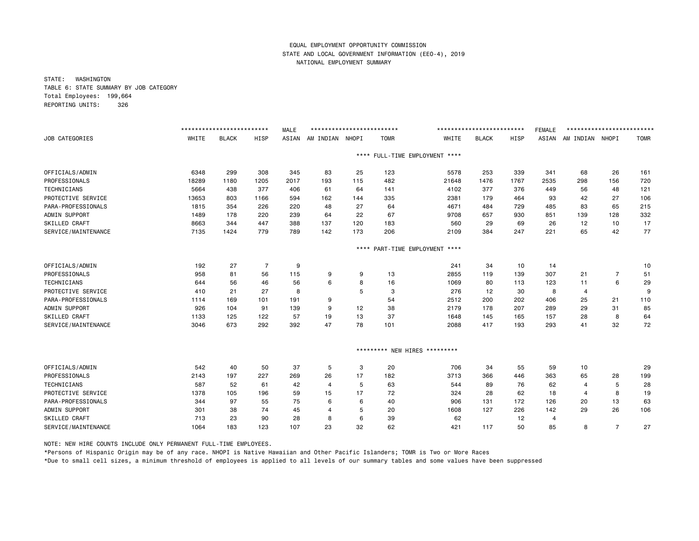STATE: WASHINGTON TABLE 6: STATE SUMMARY BY JOB CATEGORY Total Employees: 199,664 REPORTING UNITS: 326

|                     | ************************* |              |                | <b>MALE</b><br>************************* |                 |           |             | *************************     |              |      | <b>FEMALE</b> | ************************* |                |             |  |
|---------------------|---------------------------|--------------|----------------|------------------------------------------|-----------------|-----------|-------------|-------------------------------|--------------|------|---------------|---------------------------|----------------|-------------|--|
| JOB CATEGORIES      | WHITE                     | <b>BLACK</b> | HISP           | ASIAN                                    | AM INDIAN NHOPI |           | <b>TOMR</b> | WHITE                         | <b>BLACK</b> | HISP | ASIAN         | AM INDIAN NHOPI           |                | <b>TOMR</b> |  |
|                     |                           |              |                |                                          |                 | ****      |             | FULL-TIME EMPLOYMENT ****     |              |      |               |                           |                |             |  |
| OFFICIALS/ADMIN     | 6348                      | 299          | 308            | 345                                      | 83              | 25        | 123         | 5578                          | 253          | 339  | 341           | 68                        | 26             | 161         |  |
| PROFESSIONALS       | 18289                     | 1180         | 1205           | 2017                                     | 193             | 115       | 482         | 21648                         | 1476         | 1767 | 2535          | 298                       | 156            | 720         |  |
| <b>TECHNICIANS</b>  | 5664                      | 438          | 377            | 406                                      | 61              | 64        | 141         | 4102                          | 377          | 376  | 449           | 56                        | 48             | 121         |  |
| PROTECTIVE SERVICE  | 13653                     | 803          | 1166           | 594                                      | 162             | 144       | 335         | 2381                          | 179          | 464  | 93            | 42                        | 27             | 106         |  |
| PARA-PROFESSIONALS  | 1815                      | 354          | 226            | 220                                      | 48              | 27        | 64          | 4671                          | 484          | 729  | 485           | 83                        | 65             | 215         |  |
| ADMIN SUPPORT       | 1489                      | 178          | 220            | 239                                      | 64              | 22        | 67          | 9708                          | 657          | 930  | 851           | 139                       | 128            | 332         |  |
| SKILLED CRAFT       | 8663                      | 344          | 447            | 388                                      | 137             | 120       | 183         | 560                           | 29           | 69   | 26            | 12                        | 10             | 17          |  |
| SERVICE/MAINTENANCE | 7135                      | 1424         | 779            | 789                                      | 142             | 173       | 206         | 2109                          | 384          | 247  | 221           | 65                        | 42             | 77          |  |
|                     |                           |              |                |                                          |                 | $***$ * * |             | PART-TIME EMPLOYMENT ****     |              |      |               |                           |                |             |  |
| OFFICIALS/ADMIN     | 192                       | 27           | $\overline{7}$ | 9                                        |                 |           |             | 241                           | 34           | 10   | 14            |                           |                | 10          |  |
| PROFESSIONALS       | 958                       | 81           | 56             | 115                                      | 9               | 9         | 13          | 2855                          | 119          | 139  | 307           | 21                        | $\overline{7}$ | 51          |  |
| <b>TECHNICIANS</b>  | 644                       | 56           | 46             | 56                                       | 6               | 8         | 16          | 1069                          | 80           | 113  | 123           | 11                        | 6              | 29          |  |
| PROTECTIVE SERVICE  | 410                       | 21           | 27             | 8                                        |                 | 5         | 3           | 276                           | 12           | 30   | 8             | $\overline{4}$            |                | 9           |  |
| PARA-PROFESSIONALS  | 1114                      | 169          | 101            | 191                                      | 9               |           | 54          | 2512                          | 200          | 202  | 406           | 25                        | 21             | 110         |  |
| ADMIN SUPPORT       | 926                       | 104          | 91             | 139                                      | 9               | 12        | 38          | 2179                          | 178          | 207  | 289           | 29                        | 31             | 85          |  |
| SKILLED CRAFT       | 1133                      | 125          | 122            | 57                                       | 19              | 13        | 37          | 1648                          | 145          | 165  | 157           | 28                        | 8              | 64          |  |
| SERVICE/MAINTENANCE | 3046                      | 673          | 292            | 392                                      | 47              | 78        | 101         | 2088                          | 417          | 193  | 293           | 41                        | 32             | 72          |  |
|                     |                           |              |                |                                          |                 |           |             | ********* NEW HIRES ********* |              |      |               |                           |                |             |  |
| OFFICIALS/ADMIN     | 542                       | 40           | 50             | 37                                       | 5               | 3         | 20          | 706                           | 34           | 55   | 59            | 10                        |                | 29          |  |
| PROFESSIONALS       | 2143                      | 197          | 227            | 269                                      | 26              | 17        | 182         | 3713                          | 366          | 446  | 363           | 65                        | 28             | 199         |  |
| TECHNICIANS         | 587                       | 52           | 61             | 42                                       | $\overline{4}$  | 5         | 63          | 544                           | 89           | 76   | 62            | $\overline{4}$            | 5              | 28          |  |
| PROTECTIVE SERVICE  | 1378                      | 105          | 196            | 59                                       | 15              | 17        | 72          | 324                           | 28           | 62   | 18            | 4                         | 8              | 19          |  |
| PARA-PROFESSIONALS  | 344                       | 97           | 55             | 75                                       | 6               | 6         | 40          | 906                           | 131          | 172  | 126           | 20                        | 13             | 63          |  |
| ADMIN SUPPORT       | 301                       | 38           | 74             | 45                                       | 4               | 5         | 20          | 1608                          | 127          | 226  | 142           | 29                        | 26             | 106         |  |
| SKILLED CRAFT       | 713                       | 23           | 90             | 28                                       | 8               | 6         | 39          | 62                            |              | 12   | 4             |                           |                |             |  |
| SERVICE/MAINTENANCE | 1064                      | 183          | 123            | 107                                      | 23              | 32        | 62          | 421                           | 117          | 50   | 85            | 8                         | 7              | 27          |  |

NOTE: NEW HIRE COUNTS INCLUDE ONLY PERMANENT FULL-TIME EMPLOYEES.

\*Persons of Hispanic Origin may be of any race. NHOPI is Native Hawaiian and Other Pacific Islanders; TOMR is Two or More Races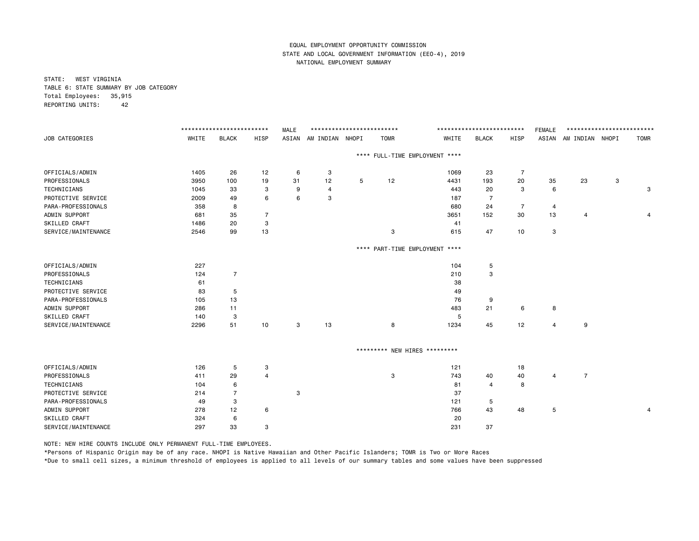STATE: WEST VIRGINIA TABLE 6: STATE SUMMARY BY JOB CATEGORY Total Employees: 35,915 REPORTING UNITS: 42

|                     |       | ************************* |                |       | **************************<br><b>MALE</b> |   |                               |                                | ************************* |                |                |                       | **************************<br><b>FEMALE</b> |             |  |  |  |
|---------------------|-------|---------------------------|----------------|-------|-------------------------------------------|---|-------------------------------|--------------------------------|---------------------------|----------------|----------------|-----------------------|---------------------------------------------|-------------|--|--|--|
| JOB CATEGORIES      | WHITE | <b>BLACK</b>              | HISP           | ASIAN | AM INDIAN NHOPI                           |   | <b>TOMR</b>                   | WHITE                          | <b>BLACK</b>              | HISP           |                | ASIAN AM INDIAN NHOPI |                                             | <b>TOMR</b> |  |  |  |
|                     |       |                           |                |       |                                           |   |                               | **** FULL-TIME EMPLOYMENT **** |                           |                |                |                       |                                             |             |  |  |  |
| OFFICIALS/ADMIN     | 1405  | 26                        | 12             | 6     | 3                                         |   |                               | 1069                           | 23                        | $\overline{7}$ |                |                       |                                             |             |  |  |  |
| PROFESSIONALS       | 3950  | 100                       | 19             | 31    | 12                                        | 5 | 12                            | 4431                           | 193                       | 20             | 35             | 23                    | 3                                           |             |  |  |  |
| TECHNICIANS         | 1045  | 33                        | 3              | 9     | $\overline{4}$                            |   |                               | 443                            | 20                        | 3              | 6              |                       |                                             | 3           |  |  |  |
| PROTECTIVE SERVICE  | 2009  | 49                        | 6              | 6     | 3                                         |   |                               | 187                            | $\overline{7}$            |                |                |                       |                                             |             |  |  |  |
| PARA-PROFESSIONALS  | 358   | 8                         |                |       |                                           |   |                               | 680                            | 24                        | $\overline{7}$ | $\overline{a}$ |                       |                                             |             |  |  |  |
| ADMIN SUPPORT       | 681   | 35                        | $\overline{7}$ |       |                                           |   |                               | 3651                           | 152                       | 30             | 13             | 4                     |                                             | 4           |  |  |  |
| SKILLED CRAFT       | 1486  | 20                        | 3              |       |                                           |   |                               | 41                             |                           |                |                |                       |                                             |             |  |  |  |
| SERVICE/MAINTENANCE | 2546  | 99                        | 13             |       |                                           |   | 3                             | 615                            | 47                        | 10             | 3              |                       |                                             |             |  |  |  |
|                     |       |                           |                |       |                                           |   |                               | **** PART-TIME EMPLOYMENT **** |                           |                |                |                       |                                             |             |  |  |  |
| OFFICIALS/ADMIN     | 227   |                           |                |       |                                           |   |                               | 104                            | 5                         |                |                |                       |                                             |             |  |  |  |
| PROFESSIONALS       | 124   | $\overline{7}$            |                |       |                                           |   |                               | 210                            | 3                         |                |                |                       |                                             |             |  |  |  |
| TECHNICIANS         | 61    |                           |                |       |                                           |   |                               | 38                             |                           |                |                |                       |                                             |             |  |  |  |
| PROTECTIVE SERVICE  | 83    | 5                         |                |       |                                           |   |                               | 49                             |                           |                |                |                       |                                             |             |  |  |  |
| PARA-PROFESSIONALS  | 105   | 13                        |                |       |                                           |   |                               | 76                             | 9                         |                |                |                       |                                             |             |  |  |  |
| ADMIN SUPPORT       | 286   | 11                        |                |       |                                           |   |                               | 483                            | 21                        | 6              | 8              |                       |                                             |             |  |  |  |
| SKILLED CRAFT       | 140   | 3                         |                |       |                                           |   |                               | 5                              |                           |                |                |                       |                                             |             |  |  |  |
| SERVICE/MAINTENANCE | 2296  | 51                        | 10             | 3     | 13                                        |   | 8                             | 1234                           | 45                        | 12             | 4              | 9                     |                                             |             |  |  |  |
|                     |       |                           |                |       |                                           |   | ********* NEW HIRES ********* |                                |                           |                |                |                       |                                             |             |  |  |  |
| OFFICIALS/ADMIN     | 126   | 5                         | 3              |       |                                           |   |                               | 121                            |                           | 18             |                |                       |                                             |             |  |  |  |
| PROFESSIONALS       | 411   | 29                        | $\overline{4}$ |       |                                           |   | 3                             | 743                            | 40                        | 40             | $\overline{4}$ | $\overline{7}$        |                                             |             |  |  |  |
| TECHNICIANS         | 104   | 6                         |                |       |                                           |   |                               | 81                             | 4                         | 8              |                |                       |                                             |             |  |  |  |
| PROTECTIVE SERVICE  | 214   | 7                         |                | 3     |                                           |   |                               | 37                             |                           |                |                |                       |                                             |             |  |  |  |
| PARA-PROFESSIONALS  | 49    | 3                         |                |       |                                           |   |                               | 121                            | 5                         |                |                |                       |                                             |             |  |  |  |
| ADMIN SUPPORT       | 278   | 12                        | 6              |       |                                           |   |                               | 766                            | 43                        | 48             | 5              |                       |                                             | 4           |  |  |  |
| SKILLED CRAFT       | 324   | 6                         |                |       |                                           |   |                               | 20                             |                           |                |                |                       |                                             |             |  |  |  |
| SERVICE/MAINTENANCE | 297   | 33                        | 3              |       |                                           |   |                               | 231                            | 37                        |                |                |                       |                                             |             |  |  |  |

NOTE: NEW HIRE COUNTS INCLUDE ONLY PERMANENT FULL-TIME EMPLOYEES.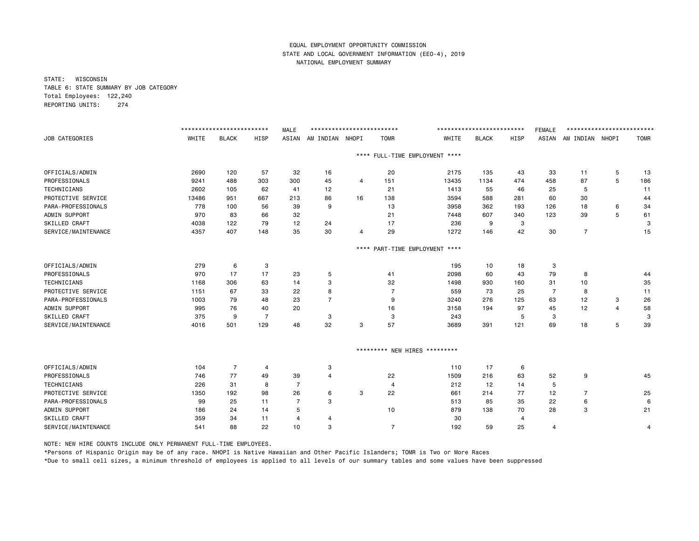STATE: WISCONSIN TABLE 6: STATE SUMMARY BY JOB CATEGORY Total Employees: 122,240 REPORTING UNITS: 274

|                      | ************************** |                |                | **************************<br><b>MALE</b> |                 |           |                | **************************     |              |      | <b>FEMALE</b>  | ************************** |                |             |  |
|----------------------|----------------------------|----------------|----------------|-------------------------------------------|-----------------|-----------|----------------|--------------------------------|--------------|------|----------------|----------------------------|----------------|-------------|--|
| JOB CATEGORIES       | WHITE                      | <b>BLACK</b>   | <b>HISP</b>    | ASIAN                                     | AM INDIAN NHOPI |           | <b>TOMR</b>    | WHITE                          | <b>BLACK</b> | HISP | ASIAN          | AM INDIAN NHOPI            |                | <b>TOMR</b> |  |
|                      |                            |                |                |                                           |                 |           |                | **** FULL-TIME EMPLOYMENT **** |              |      |                |                            |                |             |  |
| OFFICIALS/ADMIN      | 2690                       | 120            | 57             | 32                                        | 16              |           | 20             | 2175                           | 135          | 43   | 33             | 11                         | 5              | 13          |  |
| PROFESSIONALS        | 9241                       | 488            | 303            | 300                                       | 45              | 4         | 151            | 13435                          | 1134         | 474  | 458            | 87                         | 5              | 186         |  |
| TECHNICIANS          | 2602                       | 105            | 62             | 41                                        | 12              |           | 21             | 1413                           | 55           | 46   | 25             | 5                          |                | 11          |  |
| PROTECTIVE SERVICE   | 13486                      | 951            | 667            | 213                                       | 86              | 16        | 138            | 3594                           | 588          | 281  | 60             | 30                         |                | 44          |  |
| PARA-PROFESSIONALS   | 778                        | 100            | 56             | 39                                        | 9               |           | 13             | 3958                           | 362          | 193  | 126            | 18                         | 6              | 34          |  |
| ADMIN SUPPORT        | 970                        | 83             | 66             | 32                                        |                 |           | 21             | 7448                           | 607          | 340  | 123            | 39                         | 5              | 61          |  |
| SKILLED CRAFT        | 4038                       | 122            | 79             | 12                                        | 24              |           | 17             | 236                            | 9            | 3    |                |                            |                | 3           |  |
| SERVICE/MAINTENANCE  | 4357                       | 407            | 148            | 35                                        | 30              | 4         | 29             | 1272                           | 146          | 42   | 30             | $\overline{7}$             |                | 15          |  |
|                      |                            |                |                |                                           |                 | $***$ * * |                | PART-TIME EMPLOYMENT ****      |              |      |                |                            |                |             |  |
| OFFICIALS/ADMIN      | 279                        | 6              | 3              |                                           |                 |           |                | 195                            | 10           | 18   | 3              |                            |                |             |  |
| PROFESSIONALS        | 970                        | 17             | 17             | 23                                        | 5               |           | 41             | 2098                           | 60           | 43   | 79             | 8                          |                | 44          |  |
| <b>TECHNICIANS</b>   | 1168                       | 306            | 63             | 14                                        | 3               |           | 32             | 1498                           | 930          | 160  | 31             | 10                         |                | 35          |  |
| PROTECTIVE SERVICE   | 1151                       | 67             | 33             | 22                                        | 8               |           | 7              | 559                            | 73           | 25   | $\overline{7}$ | 8                          |                | 11          |  |
| PARA-PROFESSIONALS   | 1003                       | 79             | 48             | 23                                        | $\overline{7}$  |           | 9              | 3240                           | 276          | 125  | 63             | 12                         | 3              | 26          |  |
| ADMIN SUPPORT        | 995                        | 76             | 40             | 20                                        |                 |           | 16             | 3158                           | 194          | 97   | 45             | 12                         | $\overline{4}$ | 58          |  |
| SKILLED CRAFT        | 375                        | 9              | $\overline{7}$ |                                           | 3               |           | 3              | 243                            |              | 5    | 3              |                            |                | 3           |  |
| SERVICE/MAINTENANCE  | 4016                       | 501            | 129            | 48                                        | 32              | 3         | 57             | 3689                           | 391          | 121  | 69             | 18                         | 5              | 39          |  |
|                      |                            |                |                |                                           |                 |           |                | ********* NEW HIRES *********  |              |      |                |                            |                |             |  |
| OFFICIALS/ADMIN      | 104                        | $\overline{7}$ | 4              |                                           | 3               |           |                | 110                            | 17           | 6    |                |                            |                |             |  |
| PROFESSIONALS        | 746                        | 77             | 49             | 39                                        | $\overline{4}$  |           | 22             | 1509                           | 216          | 63   | 52             | 9                          |                | 45          |  |
| <b>TECHNICIANS</b>   | 226                        | 31             | 8              | $\overline{7}$                            |                 |           | $\overline{4}$ | 212                            | 12           | 14   | 5              |                            |                |             |  |
| PROTECTIVE SERVICE   | 1350                       | 192            | 98             | 26                                        | 6               | 3         | 22             | 661                            | 214          | 77   | 12             | 7                          |                | 25          |  |
| PARA-PROFESSIONALS   | 99                         | 25             | 11             | 7                                         | 3               |           |                | 513                            | 85           | 35   | 22             | 6                          |                | 6           |  |
| ADMIN SUPPORT        | 186                        | 24             | 14             | 5                                         |                 |           | 10             | 879                            | 138          | 70   | 28             | 3                          |                | 21          |  |
| <b>SKILLED CRAFT</b> | 359                        | 34             | 11             | 4                                         | 4               |           |                | 30                             |              | 4    |                |                            |                |             |  |
| SERVICE/MAINTENANCE  | 541                        | 88             | 22             | 10                                        | 3               |           | $\overline{7}$ | 192                            | 59           | 25   | 4              |                            |                | 4           |  |

NOTE: NEW HIRE COUNTS INCLUDE ONLY PERMANENT FULL-TIME EMPLOYEES.